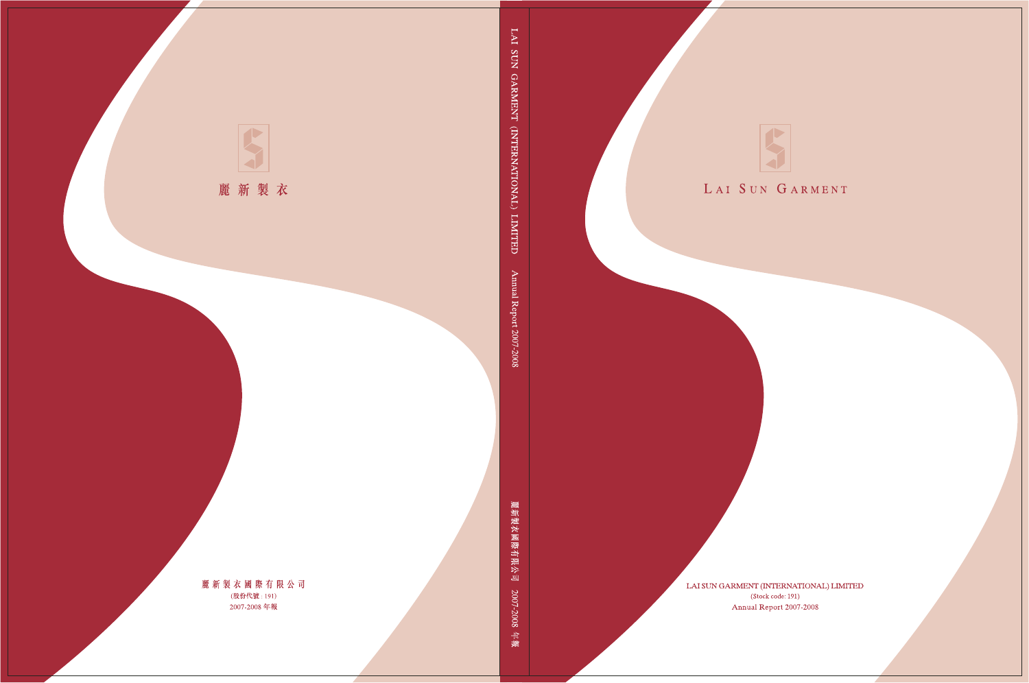

# LAI SUN GARMENT

LAI SUN GARMENT (INTERNATIONAL) LIMITED (Stock code: 191) Annual Report 2007-2008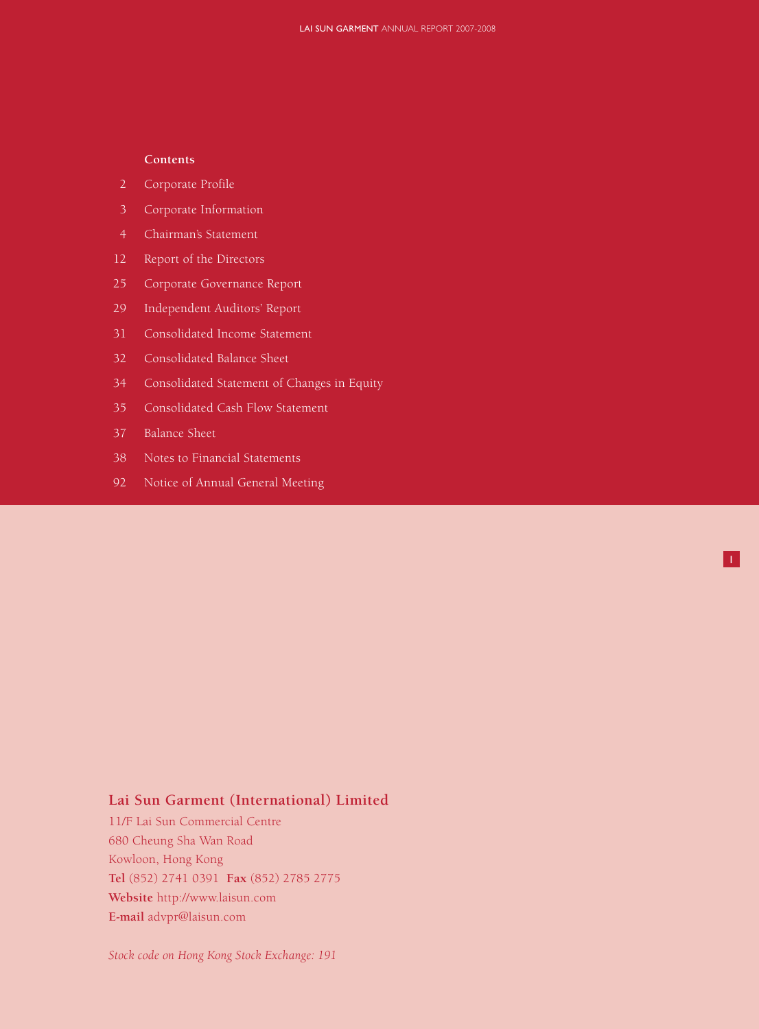#### **Contents**

- 2 Corporate Profile
- 3 Corporate Information
- 4 Chairman's Statement
- 12 Report of the Directors
- 25 Corporate Governance Report
- 29 Independent Auditors' Report
- 31 Consolidated Income Statement
- 32 Consolidated Balance Sheet
- 34 Consolidated Statement of Changes in Equity
- 35 Consolidated Cash Flow Statement
- 37 Balance Sheet
- 38 Notes to Financial Statements
- 92 Notice of Annual General Meeting

## **Lai Sun Garment (International) Limited**

11/F Lai Sun Commercial Centre 680 Cheung Sha Wan Road Kowloon, Hong Kong **Tel** (852) 2741 0391 **Fax** (852) 2785 2775 **Website** http://www.laisun.com **E-mail** advpr@laisun.com

*Stock code on Hong Kong Stock Exchange: 191*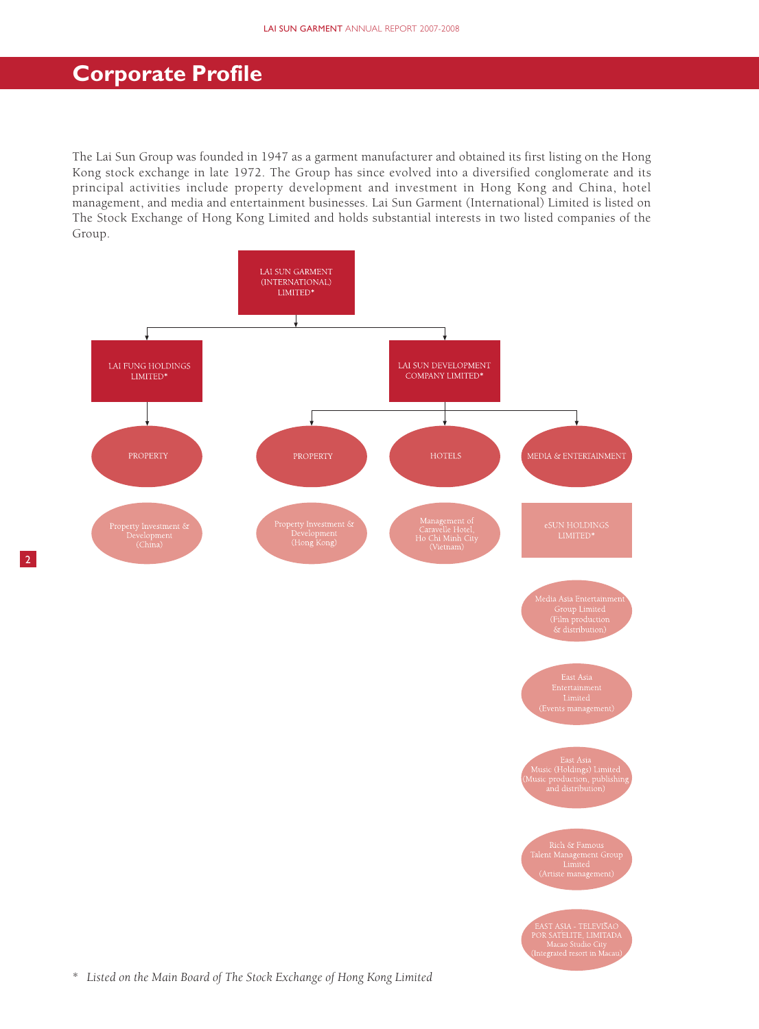## **Corporate Profile**

The Lai Sun Group was founded in 1947 as a garment manufacturer and obtained its first listing on the Hong Kong stock exchange in late 1972. The Group has since evolved into a diversified conglomerate and its principal activities include property development and investment in Hong Kong and China, hotel management, and media and entertainment businesses. Lai Sun Garment (International) Limited is listed on The Stock Exchange of Hong Kong Limited and holds substantial interests in two listed companies of the Group.

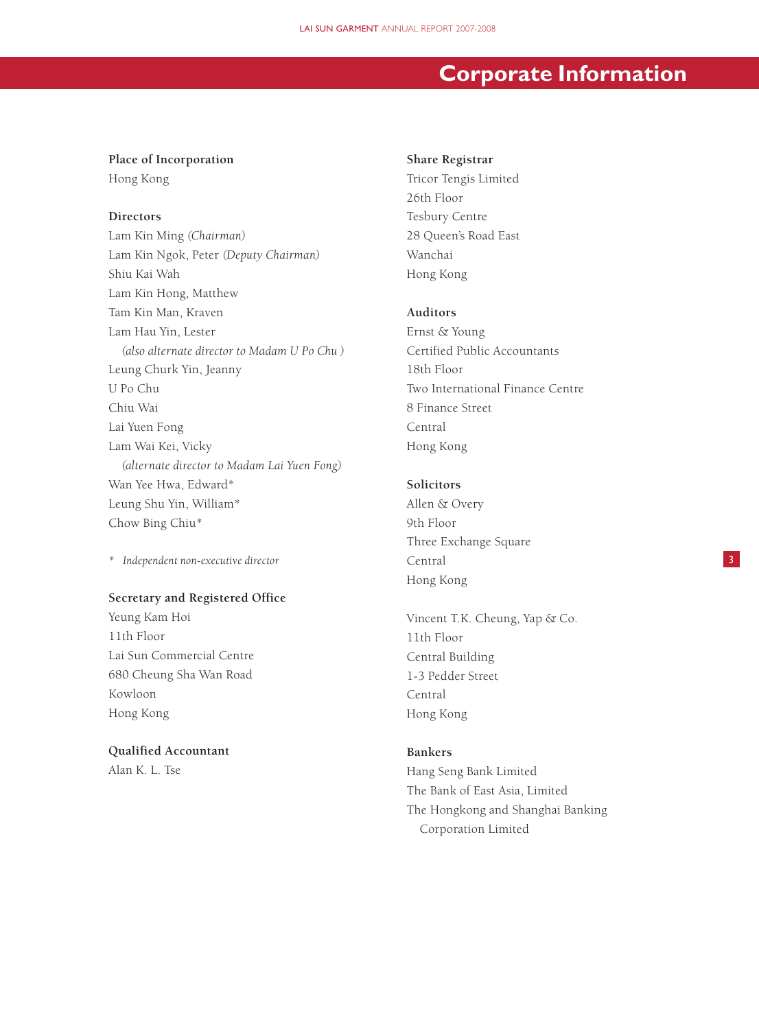## **Corporate Information**

## **Place of Incorporation**

Hong Kong

#### **Directors**

Lam Kin Ming *(Chairman)* Lam Kin Ngok, Peter *(Deputy Chairman)* Shiu Kai Wah Lam Kin Hong, Matthew Tam Kin Man, Kraven Lam Hau Yin, Lester *(also alternate director to Madam U Po Chu )* Leung Churk Yin, Jeanny U Po Chu Chiu Wai Lai Yuen Fong Lam Wai Kei, Vicky *(alternate director to Madam Lai Yuen Fong)* Wan Yee Hwa, Edward\* Leung Shu Yin, William\* Chow Bing Chiu\*

*\* Independent non-executive director*

## **Secretary and Registered Office**

Yeung Kam Hoi 11th Floor Lai Sun Commercial Centre 680 Cheung Sha Wan Road Kowloon Hong Kong

### **Qualified Accountant** Alan K. L. Tse

#### **Share Registrar**

Tricor Tengis Limited 26th Floor Tesbury Centre 28 Queen's Road East Wanchai Hong Kong

#### **Auditors**

Ernst & Young Certified Public Accountants 18th Floor Two International Finance Centre 8 Finance Street Central Hong Kong

#### **Solicitors**

Allen & Overy 9th Floor Three Exchange Square Central Hong Kong

Vincent T.K. Cheung, Yap & Co. 11th Floor Central Building 1-3 Pedder Street Central Hong Kong

## **Bankers**

Hang Seng Bank Limited The Bank of East Asia, Limited The Hongkong and Shanghai Banking Corporation Limited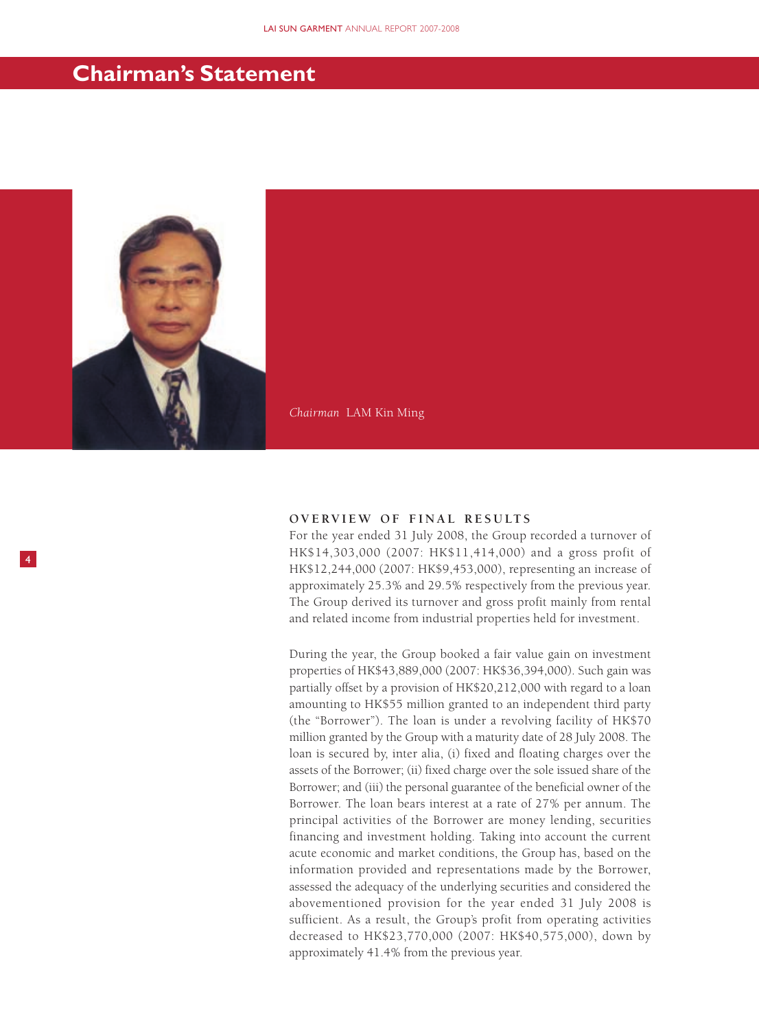## **Chairman's Statement**



*Chairman* LAM Kin Ming

#### **OVERVIEW OF FINAL RESULTS**

For the year ended 31 July 2008, the Group recorded a turnover of HK\$14,303,000 (2007: HK\$11,414,000) and a gross profit of HK\$12,244,000 (2007: HK\$9,453,000), representing an increase of approximately 25.3% and 29.5% respectively from the previous year. The Group derived its turnover and gross profit mainly from rental and related income from industrial properties held for investment.

During the year, the Group booked a fair value gain on investment properties of HK\$43,889,000 (2007: HK\$36,394,000). Such gain was partially offset by a provision of HK\$20,212,000 with regard to a loan amounting to HK\$55 million granted to an independent third party (the "Borrower"). The loan is under a revolving facility of HK\$70 million granted by the Group with a maturity date of 28 July 2008. The loan is secured by, inter alia, (i) fixed and floating charges over the assets of the Borrower; (ii) fixed charge over the sole issued share of the Borrower; and (iii) the personal guarantee of the beneficial owner of the Borrower. The loan bears interest at a rate of 27% per annum. The principal activities of the Borrower are money lending, securities financing and investment holding. Taking into account the current acute economic and market conditions, the Group has, based on the information provided and representations made by the Borrower, assessed the adequacy of the underlying securities and considered the abovementioned provision for the year ended 31 July 2008 is sufficient. As a result, the Group's profit from operating activities decreased to HK\$23,770,000 (2007: HK\$40,575,000), down by approximately 41.4% from the previous year.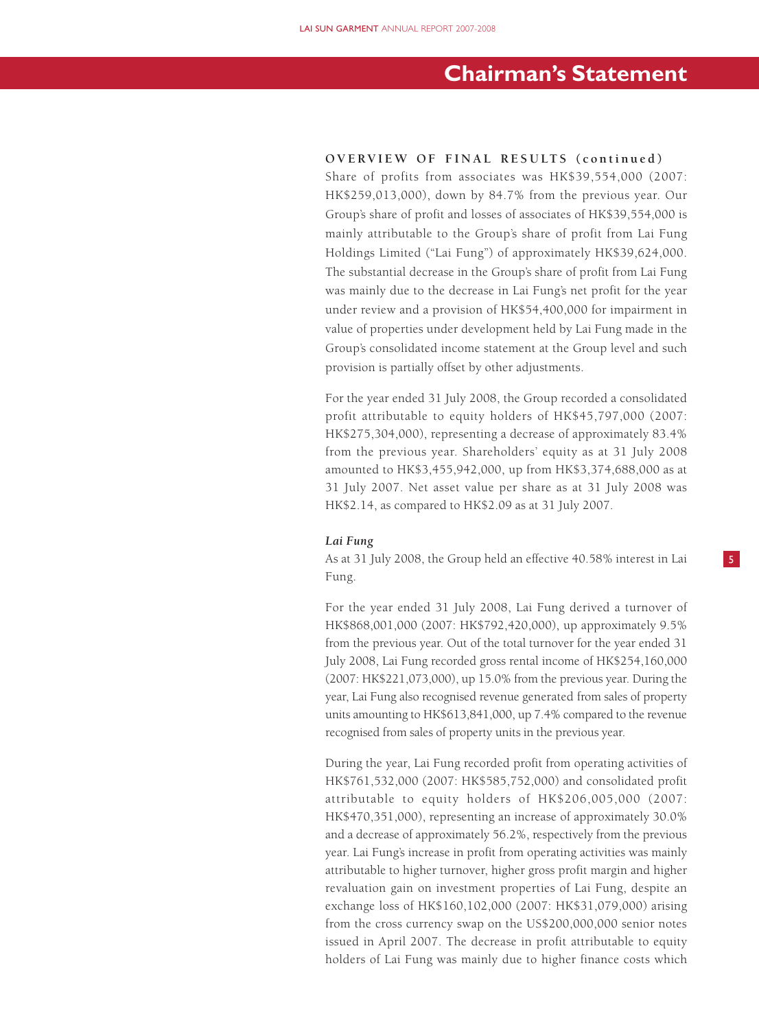## **Chairman's Statement**

#### **OVERVIEW OF FINAL RESULTS (continued)**

Share of profits from associates was HK\$39,554,000 (2007: HK\$259,013,000), down by 84.7% from the previous year. Our Group's share of profit and losses of associates of HK\$39,554,000 is mainly attributable to the Group's share of profit from Lai Fung Holdings Limited ("Lai Fung") of approximately HK\$39,624,000. The substantial decrease in the Group's share of profit from Lai Fung was mainly due to the decrease in Lai Fung's net profit for the year under review and a provision of HK\$54,400,000 for impairment in value of properties under development held by Lai Fung made in the Group's consolidated income statement at the Group level and such provision is partially offset by other adjustments.

For the year ended 31 July 2008, the Group recorded a consolidated profit attributable to equity holders of HK\$45,797,000 (2007: HK\$275,304,000), representing a decrease of approximately 83.4% from the previous year. Shareholders' equity as at 31 July 2008 amounted to HK\$3,455,942,000, up from HK\$3,374,688,000 as at 31 July 2007. Net asset value per share as at 31 July 2008 was HK\$2.14, as compared to HK\$2.09 as at 31 July 2007.

#### *Lai Fung*

As at 31 July 2008, the Group held an effective 40.58% interest in Lai Fung.

For the year ended 31 July 2008, Lai Fung derived a turnover of HK\$868,001,000 (2007: HK\$792,420,000), up approximately 9.5% from the previous year. Out of the total turnover for the year ended 31 July 2008, Lai Fung recorded gross rental income of HK\$254,160,000 (2007: HK\$221,073,000), up 15.0% from the previous year. During the year, Lai Fung also recognised revenue generated from sales of property units amounting to HK\$613,841,000, up 7.4% compared to the revenue recognised from sales of property units in the previous year.

During the year, Lai Fung recorded profit from operating activities of HK\$761,532,000 (2007: HK\$585,752,000) and consolidated profit attributable to equity holders of HK\$206,005,000 (2007: HK\$470,351,000), representing an increase of approximately 30.0% and a decrease of approximately 56.2%, respectively from the previous year. Lai Fung's increase in profit from operating activities was mainly attributable to higher turnover, higher gross profit margin and higher revaluation gain on investment properties of Lai Fung, despite an exchange loss of HK\$160,102,000 (2007: HK\$31,079,000) arising from the cross currency swap on the US\$200,000,000 senior notes issued in April 2007. The decrease in profit attributable to equity holders of Lai Fung was mainly due to higher finance costs which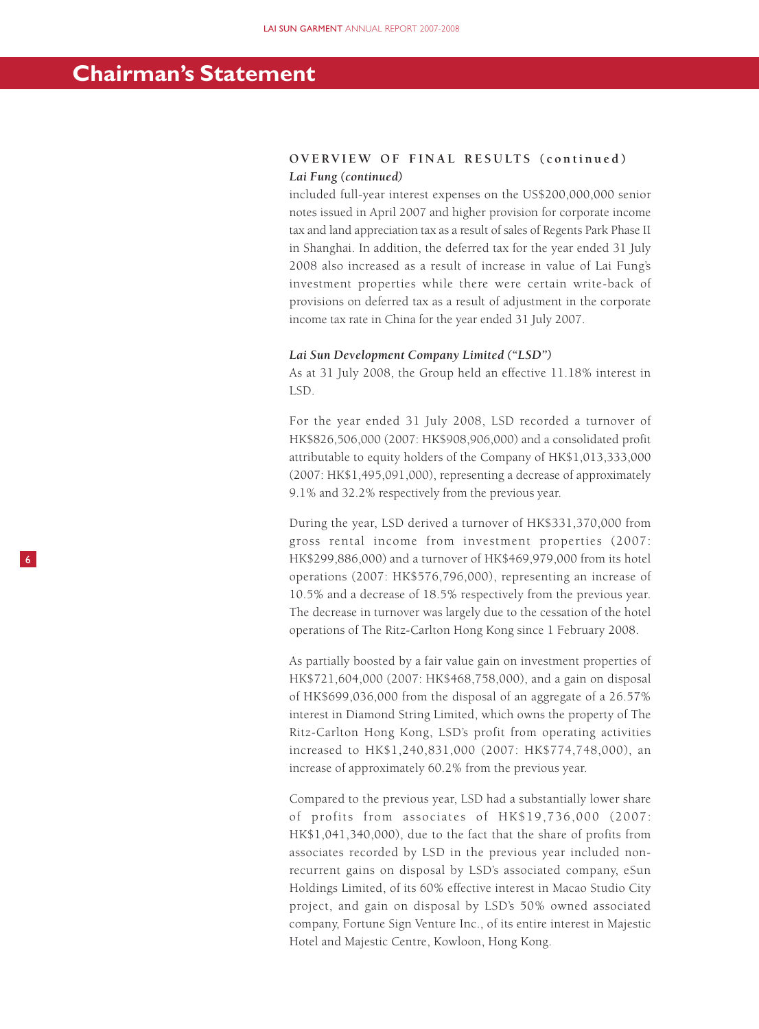## **OVERVIEW OF FINAL RESULTS (continued)** *Lai Fung (continued)*

included full-year interest expenses on the US\$200,000,000 senior notes issued in April 2007 and higher provision for corporate income tax and land appreciation tax as a result of sales of Regents Park Phase II in Shanghai. In addition, the deferred tax for the year ended 31 July 2008 also increased as a result of increase in value of Lai Fung's investment properties while there were certain write-back of provisions on deferred tax as a result of adjustment in the corporate income tax rate in China for the year ended 31 July 2007.

#### *Lai Sun Development Company Limited ("LSD")*

As at 31 July 2008, the Group held an effective 11.18% interest in LSD.

For the year ended 31 July 2008, LSD recorded a turnover of HK\$826,506,000 (2007: HK\$908,906,000) and a consolidated profit attributable to equity holders of the Company of HK\$1,013,333,000 (2007: HK\$1,495,091,000), representing a decrease of approximately 9.1% and 32.2% respectively from the previous year.

During the year, LSD derived a turnover of HK\$331,370,000 from gross rental income from investment properties (2007: HK\$299,886,000) and a turnover of HK\$469,979,000 from its hotel operations (2007: HK\$576,796,000), representing an increase of 10.5% and a decrease of 18.5% respectively from the previous year. The decrease in turnover was largely due to the cessation of the hotel operations of The Ritz-Carlton Hong Kong since 1 February 2008.

As partially boosted by a fair value gain on investment properties of HK\$721,604,000 (2007: HK\$468,758,000), and a gain on disposal of HK\$699,036,000 from the disposal of an aggregate of a 26.57% interest in Diamond String Limited, which owns the property of The Ritz-Carlton Hong Kong, LSD's profit from operating activities increased to HK\$1,240,831,000 (2007: HK\$774,748,000), an increase of approximately 60.2% from the previous year.

Compared to the previous year, LSD had a substantially lower share of profits from associates of HK\$19,736,000 (2007: HK\$1,041,340,000), due to the fact that the share of profits from associates recorded by LSD in the previous year included nonrecurrent gains on disposal by LSD's associated company, eSun Holdings Limited, of its 60% effective interest in Macao Studio City project, and gain on disposal by LSD's 50% owned associated company, Fortune Sign Venture Inc., of its entire interest in Majestic Hotel and Majestic Centre, Kowloon, Hong Kong.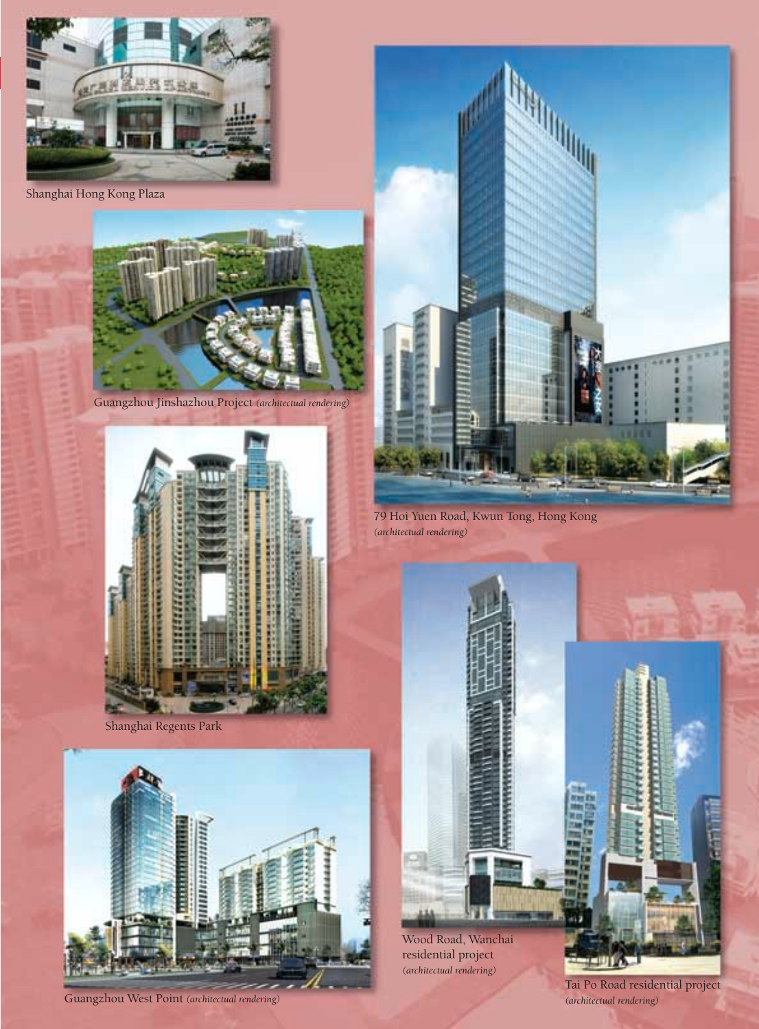

Shanghai Hong Kong Plaza



Guangzhou Jinshazhou Project *(architectual rendering)*



Shanghai Regents Park



Guangzhou West Point *(architectual rendering)*



79 Hoi Yuen Road, Kwun Tong, Hong Kong *(architectual rendering)*



Tai Po Road residential project *(architectual rendering)*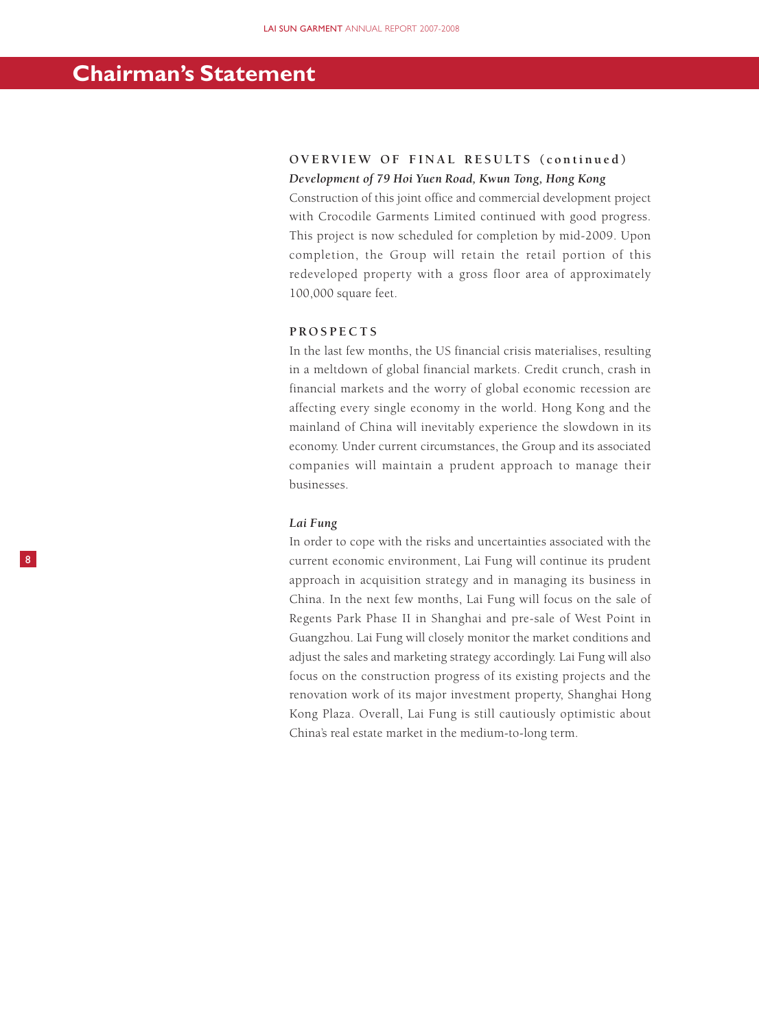## **OVERVIEW OF FINAL RESULTS (continued)** *Development of 79 Hoi Yuen Road, Kwun Tong, Hong Kong*

Construction of this joint office and commercial development project with Crocodile Garments Limited continued with good progress. This project is now scheduled for completion by mid-2009. Upon completion, the Group will retain the retail portion of this redeveloped property with a gross floor area of approximately 100,000 square feet.

## **PROSPECTS**

In the last few months, the US financial crisis materialises, resulting in a meltdown of global financial markets. Credit crunch, crash in financial markets and the worry of global economic recession are affecting every single economy in the world. Hong Kong and the mainland of China will inevitably experience the slowdown in its economy. Under current circumstances, the Group and its associated companies will maintain a prudent approach to manage their businesses.

#### *Lai Fung*

In order to cope with the risks and uncertainties associated with the current economic environment, Lai Fung will continue its prudent approach in acquisition strategy and in managing its business in China. In the next few months, Lai Fung will focus on the sale of Regents Park Phase II in Shanghai and pre-sale of West Point in Guangzhou. Lai Fung will closely monitor the market conditions and adjust the sales and marketing strategy accordingly. Lai Fung will also focus on the construction progress of its existing projects and the renovation work of its major investment property, Shanghai Hong Kong Plaza. Overall, Lai Fung is still cautiously optimistic about China's real estate market in the medium-to-long term.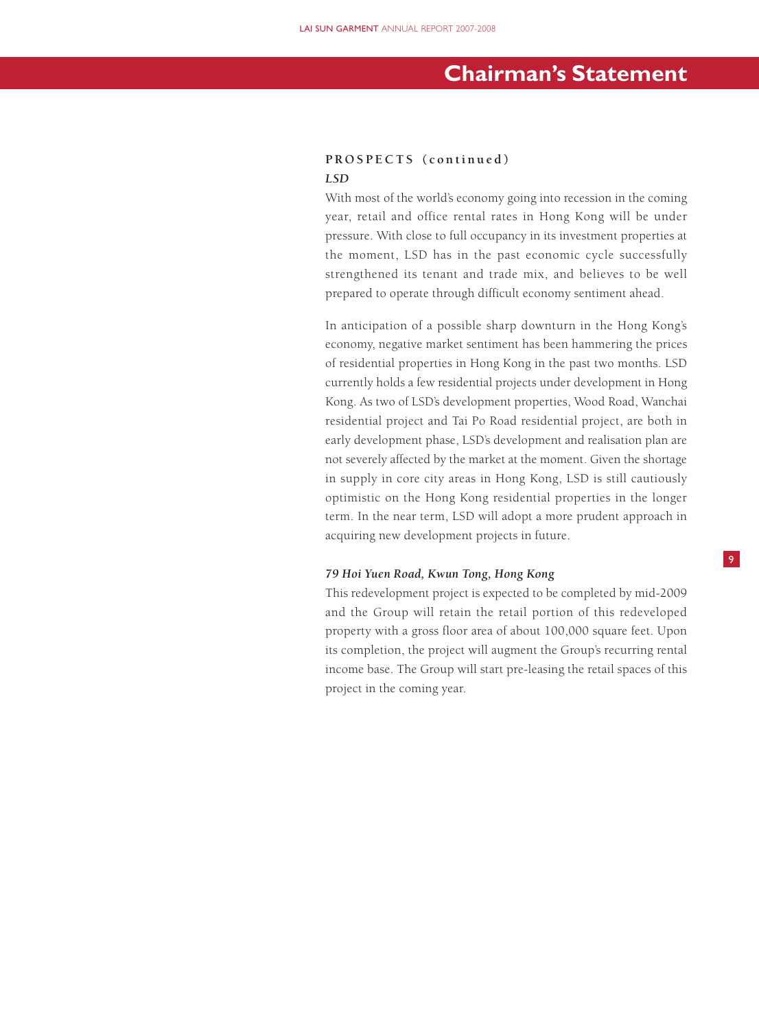## **Chairman's Statement**

## **PROSPECTS (continued)** *LSD*

With most of the world's economy going into recession in the coming year, retail and office rental rates in Hong Kong will be under pressure. With close to full occupancy in its investment properties at the moment, LSD has in the past economic cycle successfully strengthened its tenant and trade mix, and believes to be well prepared to operate through difficult economy sentiment ahead.

In anticipation of a possible sharp downturn in the Hong Kong's economy, negative market sentiment has been hammering the prices of residential properties in Hong Kong in the past two months. LSD currently holds a few residential projects under development in Hong Kong. As two of LSD's development properties, Wood Road, Wanchai residential project and Tai Po Road residential project, are both in early development phase, LSD's development and realisation plan are not severely affected by the market at the moment. Given the shortage in supply in core city areas in Hong Kong, LSD is still cautiously optimistic on the Hong Kong residential properties in the longer term. In the near term, LSD will adopt a more prudent approach in acquiring new development projects in future.

#### *79 Hoi Yuen Road, Kwun Tong, Hong Kong*

This redevelopment project is expected to be completed by mid-2009 and the Group will retain the retail portion of this redeveloped property with a gross floor area of about 100,000 square feet. Upon its completion, the project will augment the Group's recurring rental income base. The Group will start pre-leasing the retail spaces of this project in the coming year.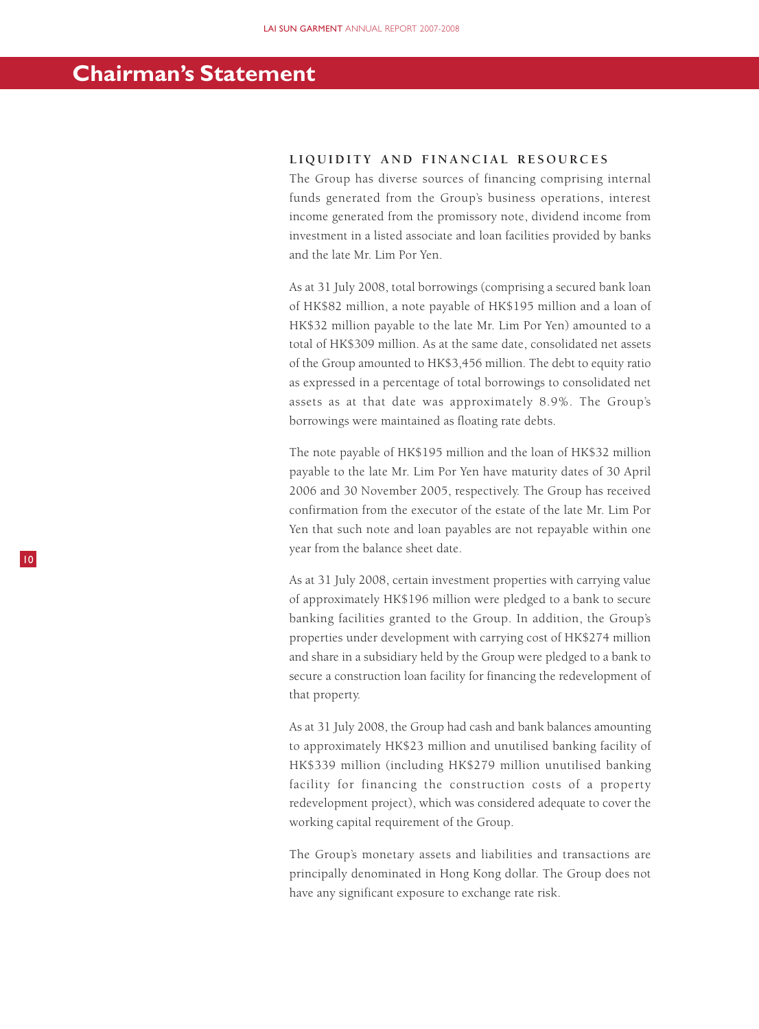#### **LIQUIDITY AND FINANCIAL RESOURCES**

The Group has diverse sources of financing comprising internal funds generated from the Group's business operations, interest income generated from the promissory note, dividend income from investment in a listed associate and loan facilities provided by banks and the late Mr. Lim Por Yen.

As at 31 July 2008, total borrowings (comprising a secured bank loan of HK\$82 million, a note payable of HK\$195 million and a loan of HK\$32 million payable to the late Mr. Lim Por Yen) amounted to a total of HK\$309 million. As at the same date, consolidated net assets of the Group amounted to HK\$3,456 million. The debt to equity ratio as expressed in a percentage of total borrowings to consolidated net assets as at that date was approximately 8.9%. The Group's borrowings were maintained as floating rate debts.

The note payable of HK\$195 million and the loan of HK\$32 million payable to the late Mr. Lim Por Yen have maturity dates of 30 April 2006 and 30 November 2005, respectively. The Group has received confirmation from the executor of the estate of the late Mr. Lim Por Yen that such note and loan payables are not repayable within one year from the balance sheet date.

As at 31 July 2008, certain investment properties with carrying value of approximately HK\$196 million were pledged to a bank to secure banking facilities granted to the Group. In addition, the Group's properties under development with carrying cost of HK\$274 million and share in a subsidiary held by the Group were pledged to a bank to secure a construction loan facility for financing the redevelopment of that property.

As at 31 July 2008, the Group had cash and bank balances amounting to approximately HK\$23 million and unutilised banking facility of HK\$339 million (including HK\$279 million unutilised banking facility for financing the construction costs of a property redevelopment project), which was considered adequate to cover the working capital requirement of the Group.

The Group's monetary assets and liabilities and transactions are principally denominated in Hong Kong dollar. The Group does not have any significant exposure to exchange rate risk.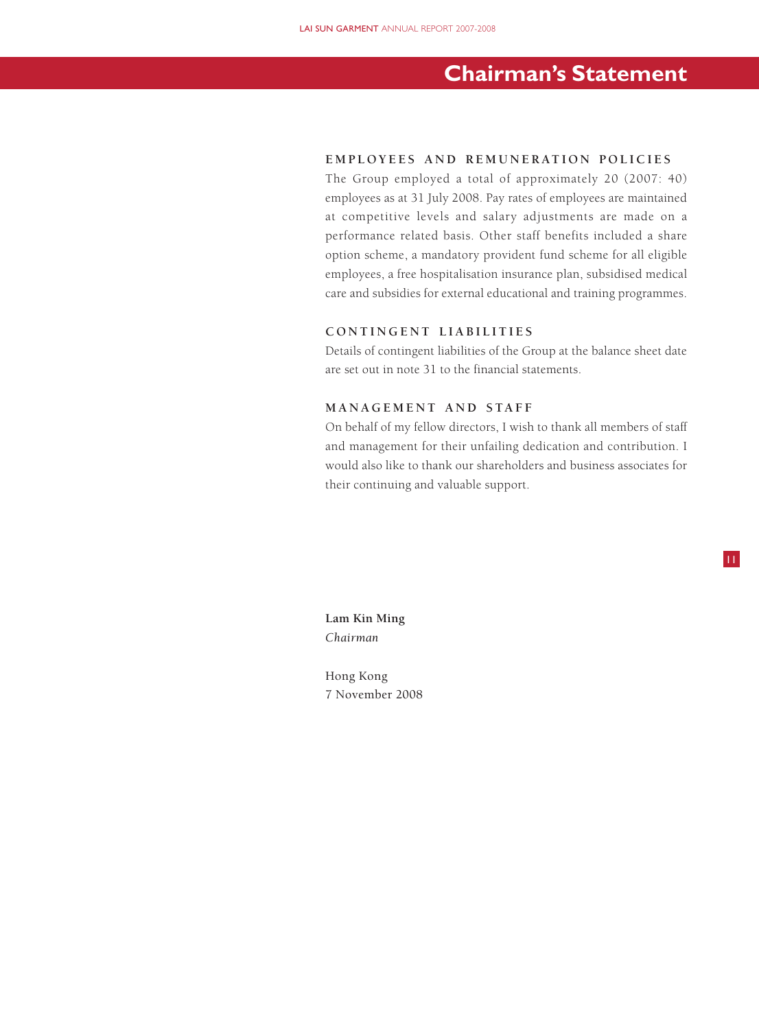## **Chairman's Statement**

## **EMPLOYEES AND REMUNERATION POLICIES**

The Group employed a total of approximately 20 (2007: 40) employees as at 31 July 2008. Pay rates of employees are maintained at competitive levels and salary adjustments are made on a performance related basis. Other staff benefits included a share option scheme, a mandatory provident fund scheme for all eligible employees, a free hospitalisation insurance plan, subsidised medical care and subsidies for external educational and training programmes.

## **CONTINGENT LIABILITIES**

Details of contingent liabilities of the Group at the balance sheet date are set out in note 31 to the financial statements.

## **MANAGEMENT AND STAFF**

On behalf of my fellow directors, I wish to thank all members of staff and management for their unfailing dedication and contribution. I would also like to thank our shareholders and business associates for their continuing and valuable support.

**Lam Kin Ming** *Chairman*

Hong Kong 7 November 2008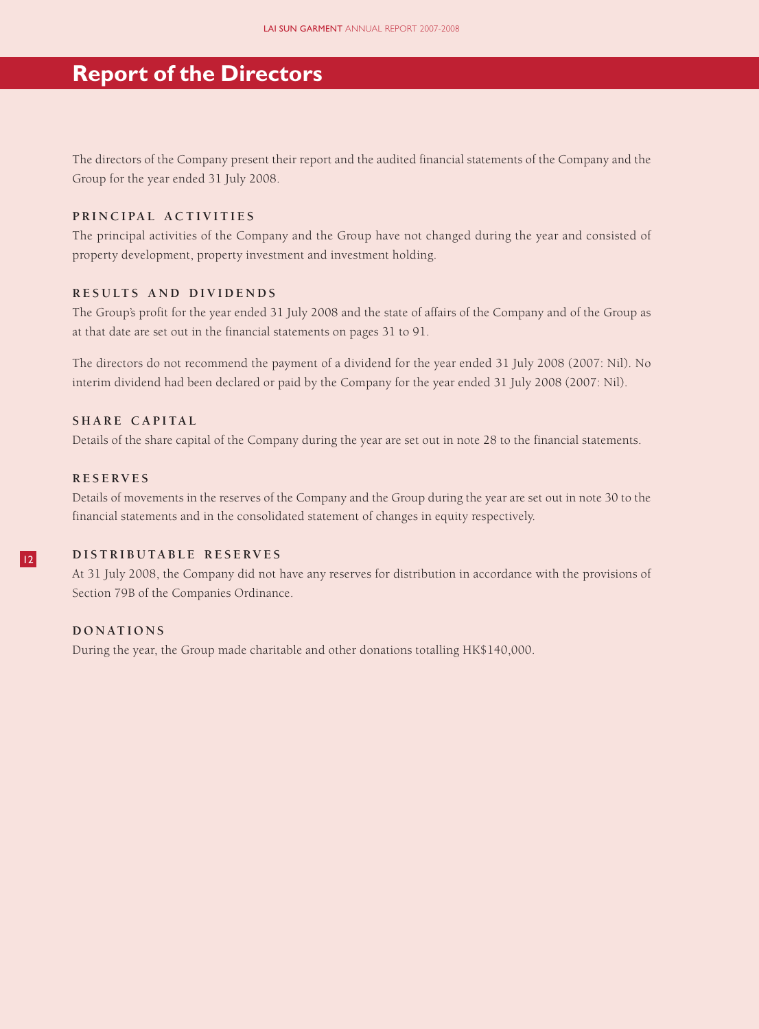The directors of the Company present their report and the audited financial statements of the Company and the Group for the year ended 31 July 2008.

## **PRINCIPAL ACTIVITIES**

The principal activities of the Company and the Group have not changed during the year and consisted of property development, property investment and investment holding.

## **RESULTS AND DIVIDENDS**

The Group's profit for the year ended 31 July 2008 and the state of affairs of the Company and of the Group as at that date are set out in the financial statements on pages 31 to 91.

The directors do not recommend the payment of a dividend for the year ended 31 July 2008 (2007: Nil). No interim dividend had been declared or paid by the Company for the year ended 31 July 2008 (2007: Nil).

### **SHARE CAPITAL**

Details of the share capital of the Company during the year are set out in note 28 to the financial statements.

### **RESERVES**

Details of movements in the reserves of the Company and the Group during the year are set out in note 30 to the financial statements and in the consolidated statement of changes in equity respectively.

## **DISTRIBUTABLE RESERVES**

At 31 July 2008, the Company did not have any reserves for distribution in accordance with the provisions of Section 79B of the Companies Ordinance.

#### **DONATIONS**

During the year, the Group made charitable and other donations totalling HK\$140,000.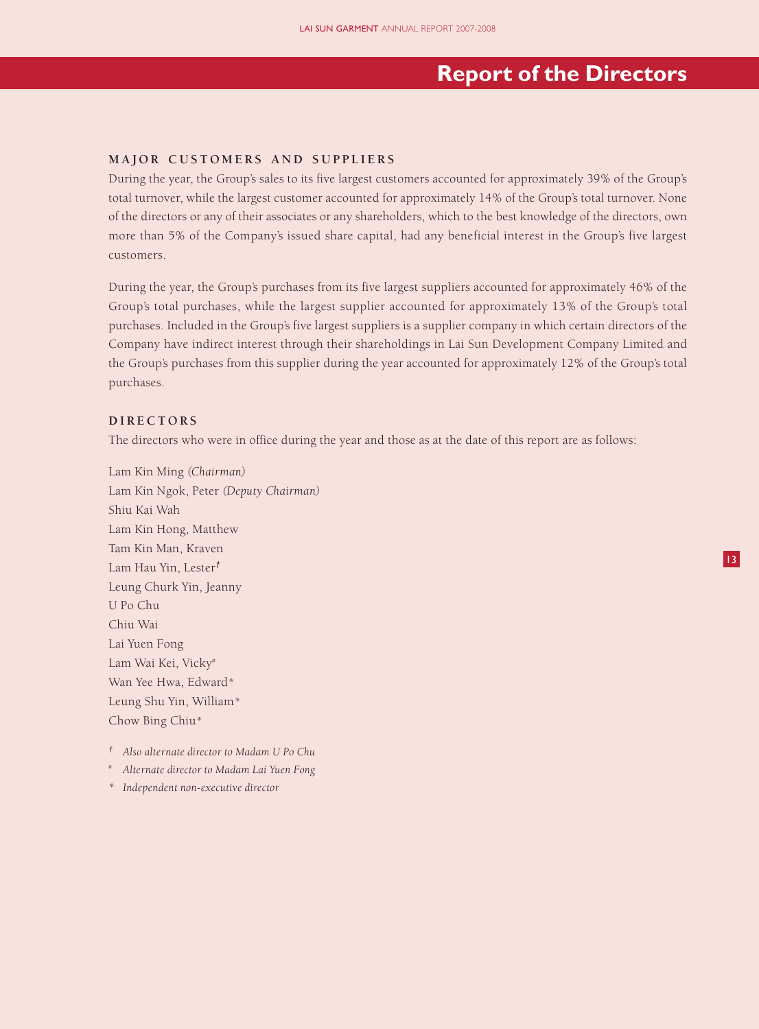#### **MAJOR CUSTOMERS AND SUPPLIERS**

During the year, the Group's sales to its five largest customers accounted for approximately 39% of the Group's total turnover, while the largest customer accounted for approximately 14% of the Group's total turnover. None of the directors or any of their associates or any shareholders, which to the best knowledge of the directors, own more than 5% of the Company's issued share capital, had any beneficial interest in the Group's five largest customers.

During the year, the Group's purchases from its five largest suppliers accounted for approximately 46% of the Group's total purchases, while the largest supplier accounted for approximately 13% of the Group's total purchases. Included in the Group's five largest suppliers is a supplier company in which certain directors of the Company have indirect interest through their shareholdings in Lai Sun Development Company Limited and the Group's purchases from this supplier during the year accounted for approximately 12% of the Group's total purchases.

#### **DIRECTORS**

The directors who were in office during the year and those as at the date of this report are as follows:

Lam Kin Ming *(Chairman)* Lam Kin Ngok, Peter *(Deputy Chairman)* Shiu Kai Wah Lam Kin Hong, Matthew Tam Kin Man, Kraven Lam Hau Yin, Lester† Leung Churk Yin, Jeanny U Po Chu Chiu Wai Lai Yuen Fong Lam Wai Kei, Vicky*#* Wan Yee Hwa, Edward*\** Leung Shu Yin, William*\** Chow Bing Chiu*\**

† *Also alternate director to Madam U Po Chu*

*# Alternate director to Madam Lai Yuen Fong*

*\* Independent non-executive director*

13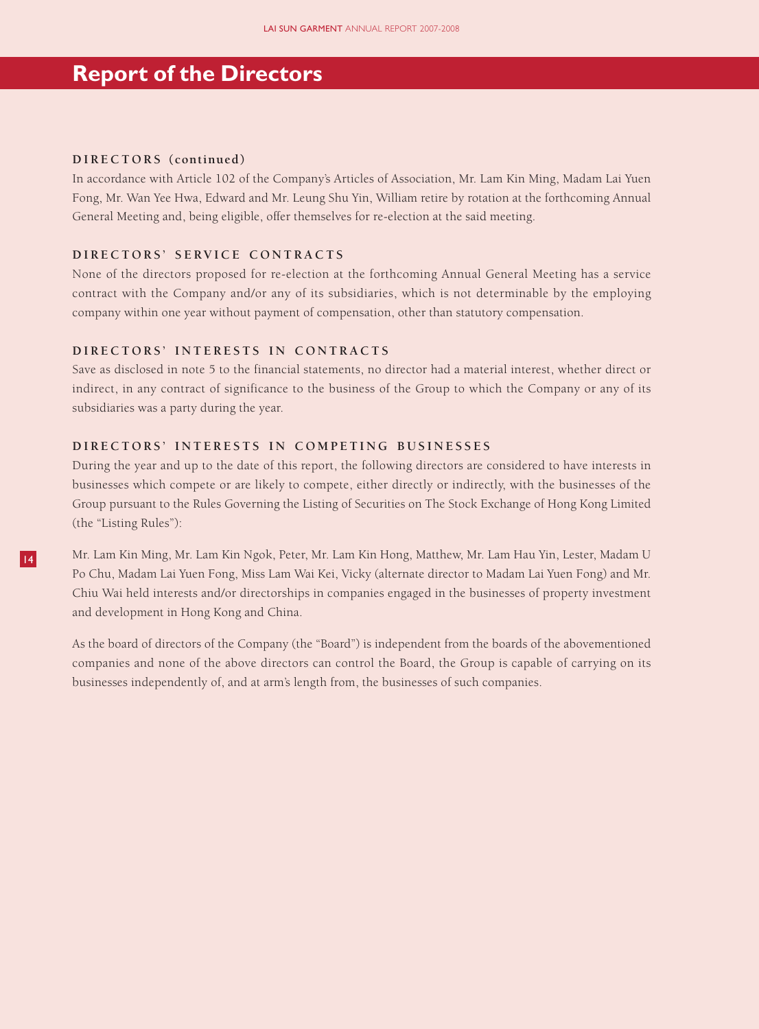#### **DIRECTORS (continued)**

In accordance with Article 102 of the Company's Articles of Association, Mr. Lam Kin Ming, Madam Lai Yuen Fong, Mr. Wan Yee Hwa, Edward and Mr. Leung Shu Yin, William retire by rotation at the forthcoming Annual General Meeting and, being eligible, offer themselves for re-election at the said meeting.

## **DIRECTORS' SERVICE CONTRACTS**

None of the directors proposed for re-election at the forthcoming Annual General Meeting has a service contract with the Company and/or any of its subsidiaries, which is not determinable by the employing company within one year without payment of compensation, other than statutory compensation.

#### **DIRECTORS' INTERESTS IN CONTRACTS**

Save as disclosed in note 5 to the financial statements, no director had a material interest, whether direct or indirect, in any contract of significance to the business of the Group to which the Company or any of its subsidiaries was a party during the year.

#### **DIRECTORS' INTERESTS IN COMPETING BUSINESSES**

During the year and up to the date of this report, the following directors are considered to have interests in businesses which compete or are likely to compete, either directly or indirectly, with the businesses of the Group pursuant to the Rules Governing the Listing of Securities on The Stock Exchange of Hong Kong Limited (the "Listing Rules"):

Mr. Lam Kin Ming, Mr. Lam Kin Ngok, Peter, Mr. Lam Kin Hong, Matthew, Mr. Lam Hau Yin, Lester, Madam U Po Chu, Madam Lai Yuen Fong, Miss Lam Wai Kei, Vicky (alternate director to Madam Lai Yuen Fong) and Mr. Chiu Wai held interests and/or directorships in companies engaged in the businesses of property investment and development in Hong Kong and China.

As the board of directors of the Company (the "Board") is independent from the boards of the abovementioned companies and none of the above directors can control the Board, the Group is capable of carrying on its businesses independently of, and at arm's length from, the businesses of such companies.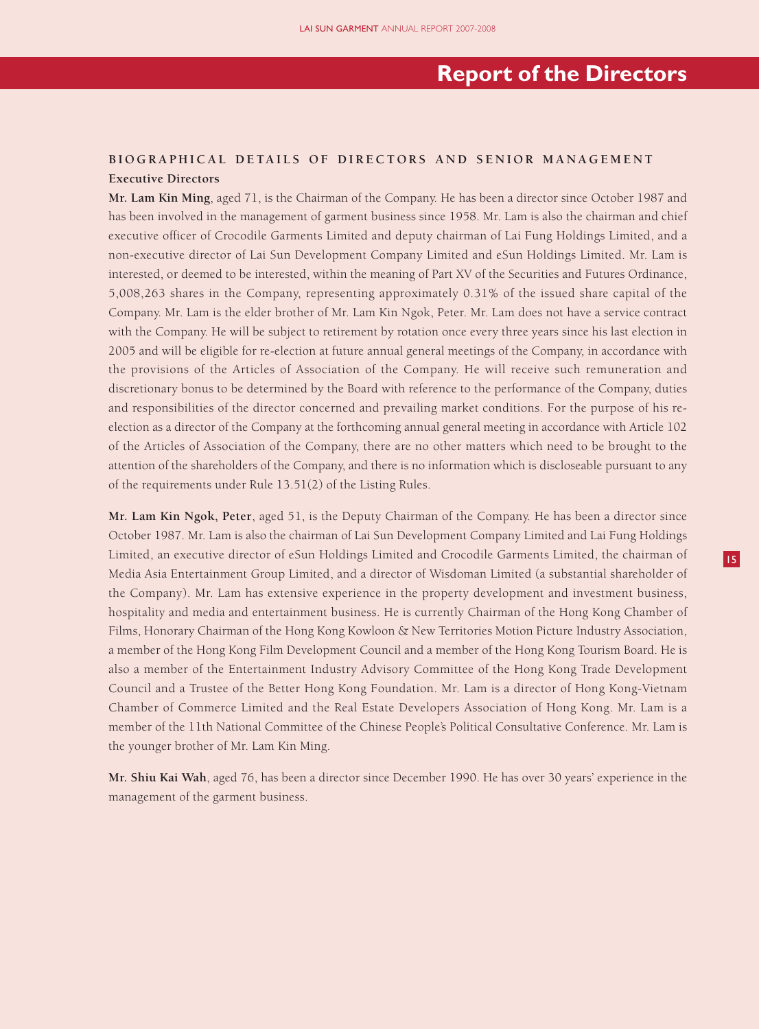## **BIOGRAPHICAL DETAILS OF DIRECTORS AND SENIOR MANAGEMENT Executive Directors**

**Mr. Lam Kin Ming**, aged 71, is the Chairman of the Company. He has been a director since October 1987 and has been involved in the management of garment business since 1958. Mr. Lam is also the chairman and chief executive officer of Crocodile Garments Limited and deputy chairman of Lai Fung Holdings Limited, and a non-executive director of Lai Sun Development Company Limited and eSun Holdings Limited. Mr. Lam is interested, or deemed to be interested, within the meaning of Part XV of the Securities and Futures Ordinance, 5,008,263 shares in the Company, representing approximately 0.31% of the issued share capital of the Company. Mr. Lam is the elder brother of Mr. Lam Kin Ngok, Peter. Mr. Lam does not have a service contract with the Company. He will be subject to retirement by rotation once every three years since his last election in 2005 and will be eligible for re-election at future annual general meetings of the Company, in accordance with the provisions of the Articles of Association of the Company. He will receive such remuneration and discretionary bonus to be determined by the Board with reference to the performance of the Company, duties and responsibilities of the director concerned and prevailing market conditions. For the purpose of his reelection as a director of the Company at the forthcoming annual general meeting in accordance with Article 102 of the Articles of Association of the Company, there are no other matters which need to be brought to the attention of the shareholders of the Company, and there is no information which is discloseable pursuant to any of the requirements under Rule 13.51(2) of the Listing Rules.

**Mr. Lam Kin Ngok, Peter**, aged 51, is the Deputy Chairman of the Company. He has been a director since October 1987. Mr. Lam is also the chairman of Lai Sun Development Company Limited and Lai Fung Holdings Limited, an executive director of eSun Holdings Limited and Crocodile Garments Limited, the chairman of Media Asia Entertainment Group Limited, and a director of Wisdoman Limited (a substantial shareholder of the Company). Mr. Lam has extensive experience in the property development and investment business, hospitality and media and entertainment business. He is currently Chairman of the Hong Kong Chamber of Films, Honorary Chairman of the Hong Kong Kowloon & New Territories Motion Picture Industry Association, a member of the Hong Kong Film Development Council and a member of the Hong Kong Tourism Board. He is also a member of the Entertainment Industry Advisory Committee of the Hong Kong Trade Development Council and a Trustee of the Better Hong Kong Foundation. Mr. Lam is a director of Hong Kong-Vietnam Chamber of Commerce Limited and the Real Estate Developers Association of Hong Kong. Mr. Lam is a member of the 11th National Committee of the Chinese People's Political Consultative Conference. Mr. Lam is the younger brother of Mr. Lam Kin Ming.

**Mr. Shiu Kai Wah**, aged 76, has been a director since December 1990. He has over 30 years' experience in the management of the garment business.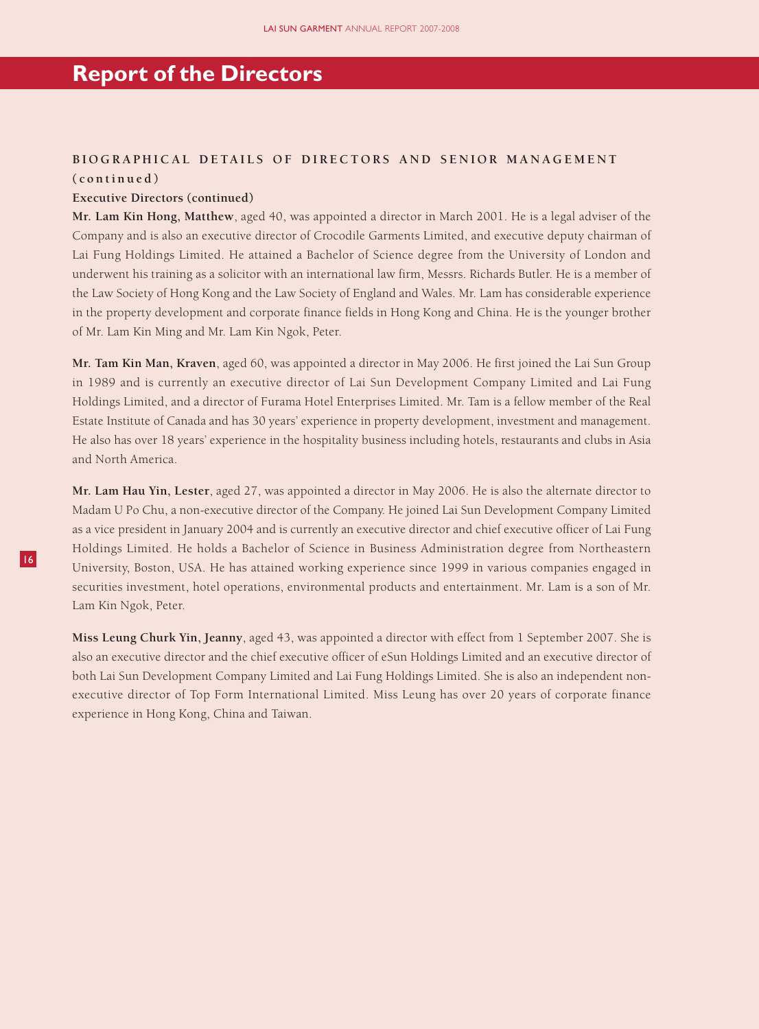## **BIOGRAPHICAL DETAILS OF DIRECTORS AND SENIOR MANAGEMENT (continued)**

#### **Executive Directors (continued)**

**Mr. Lam Kin Hong, Matthew**, aged 40, was appointed a director in March 2001. He is a legal adviser of the Company and is also an executive director of Crocodile Garments Limited, and executive deputy chairman of Lai Fung Holdings Limited. He attained a Bachelor of Science degree from the University of London and underwent his training as a solicitor with an international law firm, Messrs. Richards Butler. He is a member of the Law Society of Hong Kong and the Law Society of England and Wales. Mr. Lam has considerable experience in the property development and corporate finance fields in Hong Kong and China. He is the younger brother of Mr. Lam Kin Ming and Mr. Lam Kin Ngok, Peter.

**Mr. Tam Kin Man, Kraven**, aged 60, was appointed a director in May 2006. He first joined the Lai Sun Group in 1989 and is currently an executive director of Lai Sun Development Company Limited and Lai Fung Holdings Limited, and a director of Furama Hotel Enterprises Limited. Mr. Tam is a fellow member of the Real Estate Institute of Canada and has 30 years' experience in property development, investment and management. He also has over 18 years' experience in the hospitality business including hotels, restaurants and clubs in Asia and North America.

**Mr. Lam Hau Yin, Lester**, aged 27, was appointed a director in May 2006. He is also the alternate director to Madam U Po Chu, a non-executive director of the Company. He joined Lai Sun Development Company Limited as a vice president in January 2004 and is currently an executive director and chief executive officer of Lai Fung Holdings Limited. He holds a Bachelor of Science in Business Administration degree from Northeastern University, Boston, USA. He has attained working experience since 1999 in various companies engaged in securities investment, hotel operations, environmental products and entertainment. Mr. Lam is a son of Mr. Lam Kin Ngok, Peter.

**Miss Leung Churk Yin, Jeanny**, aged 43, was appointed a director with effect from 1 September 2007. She is also an executive director and the chief executive officer of eSun Holdings Limited and an executive director of both Lai Sun Development Company Limited and Lai Fung Holdings Limited. She is also an independent nonexecutive director of Top Form International Limited. Miss Leung has over 20 years of corporate finance experience in Hong Kong, China and Taiwan.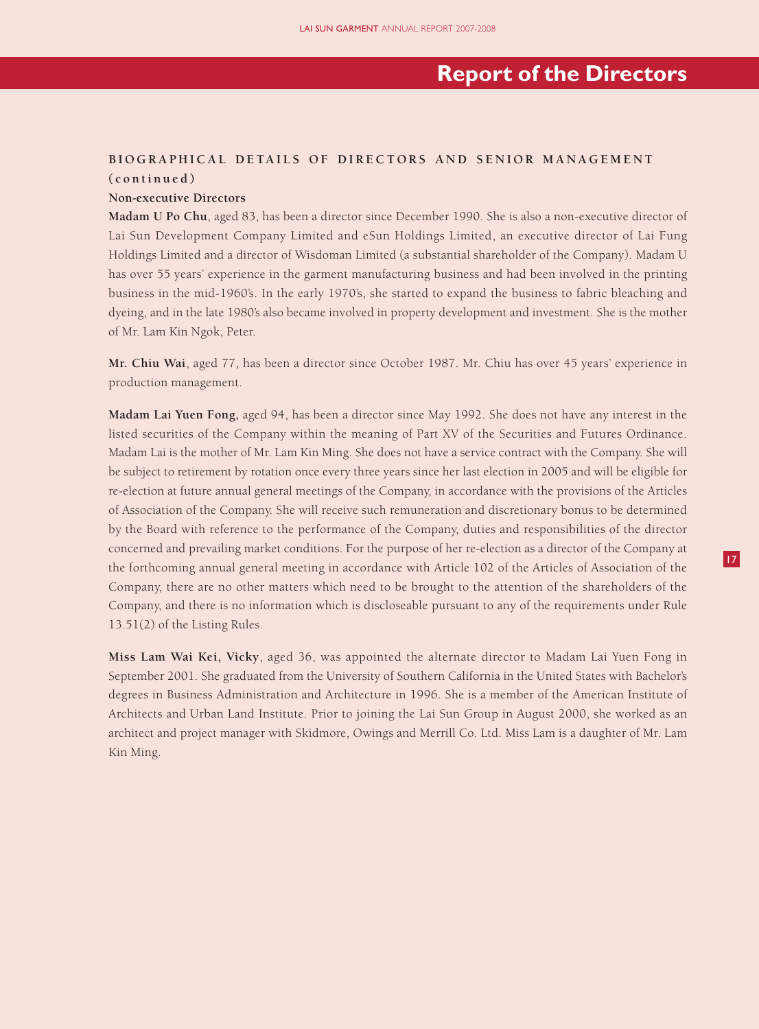## **BIOGRAPHICAL DETAILS OF DIRECTORS AND SENIOR MANAGEMENT (continued)**

### **Non-executive Directors**

**Madam U Po Chu**, aged 83, has been a director since December 1990. She is also a non-executive director of Lai Sun Development Company Limited and eSun Holdings Limited, an executive director of Lai Fung Holdings Limited and a director of Wisdoman Limited (a substantial shareholder of the Company). Madam U has over 55 years' experience in the garment manufacturing business and had been involved in the printing business in the mid-1960's. In the early 1970's, she started to expand the business to fabric bleaching and dyeing, and in the late 1980's also became involved in property development and investment. She is the mother of Mr. Lam Kin Ngok, Peter.

**Mr. Chiu Wai**, aged 77, has been a director since October 1987. Mr. Chiu has over 45 years' experience in production management.

**Madam Lai Yuen Fong,** aged 94, has been a director since May 1992. She does not have any interest in the listed securities of the Company within the meaning of Part XV of the Securities and Futures Ordinance. Madam Lai is the mother of Mr. Lam Kin Ming. She does not have a service contract with the Company. She will be subject to retirement by rotation once every three years since her last election in 2005 and will be eligible for re-election at future annual general meetings of the Company, in accordance with the provisions of the Articles of Association of the Company. She will receive such remuneration and discretionary bonus to be determined by the Board with reference to the performance of the Company, duties and responsibilities of the director concerned and prevailing market conditions. For the purpose of her re-election as a director of the Company at the forthcoming annual general meeting in accordance with Article 102 of the Articles of Association of the Company, there are no other matters which need to be brought to the attention of the shareholders of the Company, and there is no information which is discloseable pursuant to any of the requirements under Rule 13.51(2) of the Listing Rules.

**Miss Lam Wai Kei, Vicky**, aged 36, was appointed the alternate director to Madam Lai Yuen Fong in September 2001. She graduated from the University of Southern California in the United States with Bachelor's degrees in Business Administration and Architecture in 1996. She is a member of the American Institute of Architects and Urban Land Institute. Prior to joining the Lai Sun Group in August 2000, she worked as an architect and project manager with Skidmore, Owings and Merrill Co. Ltd. Miss Lam is a daughter of Mr. Lam Kin Ming.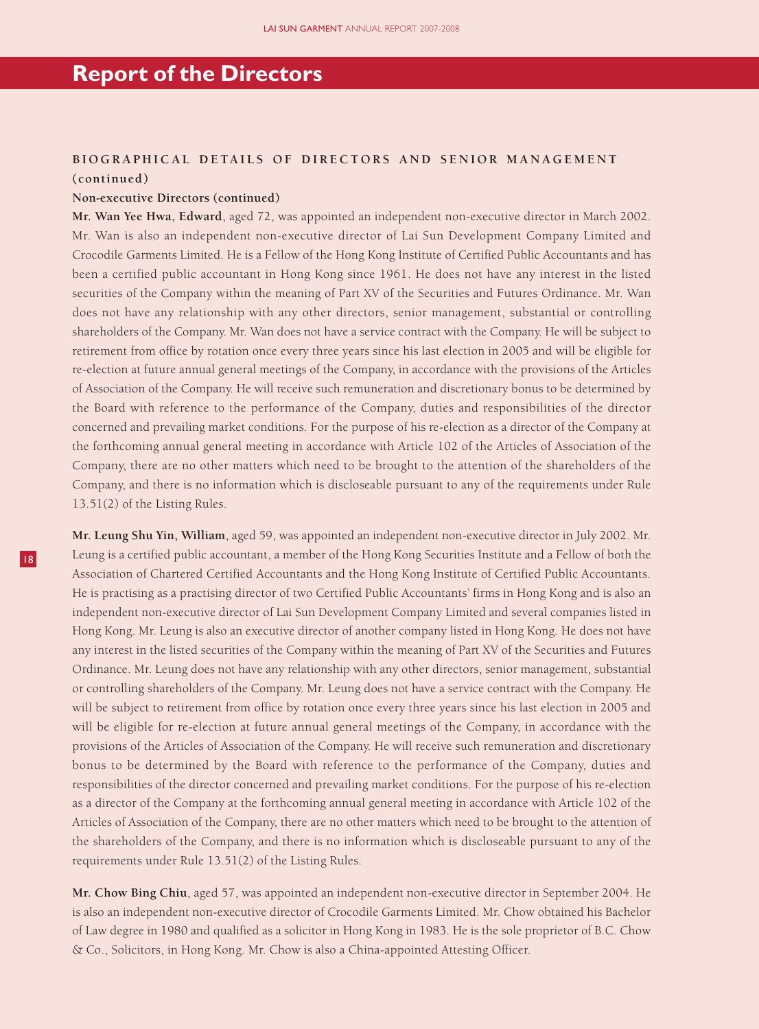## **BIOGRAPHICAL DETAILS OF DIRECTORS AND SENIOR MANAGEMENT (continued)**

### **Non-executive Directors (continued)**

**Mr. Wan Yee Hwa, Edward**, aged 72, was appointed an independent non-executive director in March 2002. Mr. Wan is also an independent non-executive director of Lai Sun Development Company Limited and Crocodile Garments Limited. He is a Fellow of the Hong Kong Institute of Certified Public Accountants and has been a certified public accountant in Hong Kong since 1961. He does not have any interest in the listed securities of the Company within the meaning of Part XV of the Securities and Futures Ordinance. Mr. Wan does not have any relationship with any other directors, senior management, substantial or controlling shareholders of the Company. Mr. Wan does not have a service contract with the Company. He will be subject to retirement from office by rotation once every three years since his last election in 2005 and will be eligible for re-election at future annual general meetings of the Company, in accordance with the provisions of the Articles of Association of the Company. He will receive such remuneration and discretionary bonus to be determined by the Board with reference to the performance of the Company, duties and responsibilities of the director concerned and prevailing market conditions. For the purpose of his re-election as a director of the Company at the forthcoming annual general meeting in accordance with Article 102 of the Articles of Association of the Company, there are no other matters which need to be brought to the attention of the shareholders of the Company, and there is no information which is discloseable pursuant to any of the requirements under Rule 13.51(2) of the Listing Rules.

**Mr. Leung Shu Yin, William**, aged 59, was appointed an independent non-executive director in July 2002. Mr. Leung is a certified public accountant, a member of the Hong Kong Securities Institute and a Fellow of both the Association of Chartered Certified Accountants and the Hong Kong Institute of Certified Public Accountants. He is practising as a practising director of two Certified Public Accountants' firms in Hong Kong and is also an independent non-executive director of Lai Sun Development Company Limited and several companies listed in Hong Kong. Mr. Leung is also an executive director of another company listed in Hong Kong. He does not have any interest in the listed securities of the Company within the meaning of Part XV of the Securities and Futures Ordinance. Mr. Leung does not have any relationship with any other directors, senior management, substantial or controlling shareholders of the Company. Mr. Leung does not have a service contract with the Company. He will be subject to retirement from office by rotation once every three years since his last election in 2005 and will be eligible for re-election at future annual general meetings of the Company, in accordance with the provisions of the Articles of Association of the Company. He will receive such remuneration and discretionary bonus to be determined by the Board with reference to the performance of the Company, duties and responsibilities of the director concerned and prevailing market conditions. For the purpose of his re-election as a director of the Company at the forthcoming annual general meeting in accordance with Article 102 of the Articles of Association of the Company, there are no other matters which need to be brought to the attention of the shareholders of the Company, and there is no information which is discloseable pursuant to any of the requirements under Rule 13.51(2) of the Listing Rules.

**Mr. Chow Bing Chiu**, aged 57, was appointed an independent non-executive director in September 2004. He is also an independent non-executive director of Crocodile Garments Limited. Mr. Chow obtained his Bachelor of Law degree in 1980 and qualified as a solicitor in Hong Kong in 1983. He is the sole proprietor of B.C. Chow & Co., Solicitors, in Hong Kong. Mr. Chow is also a China-appointed Attesting Officer.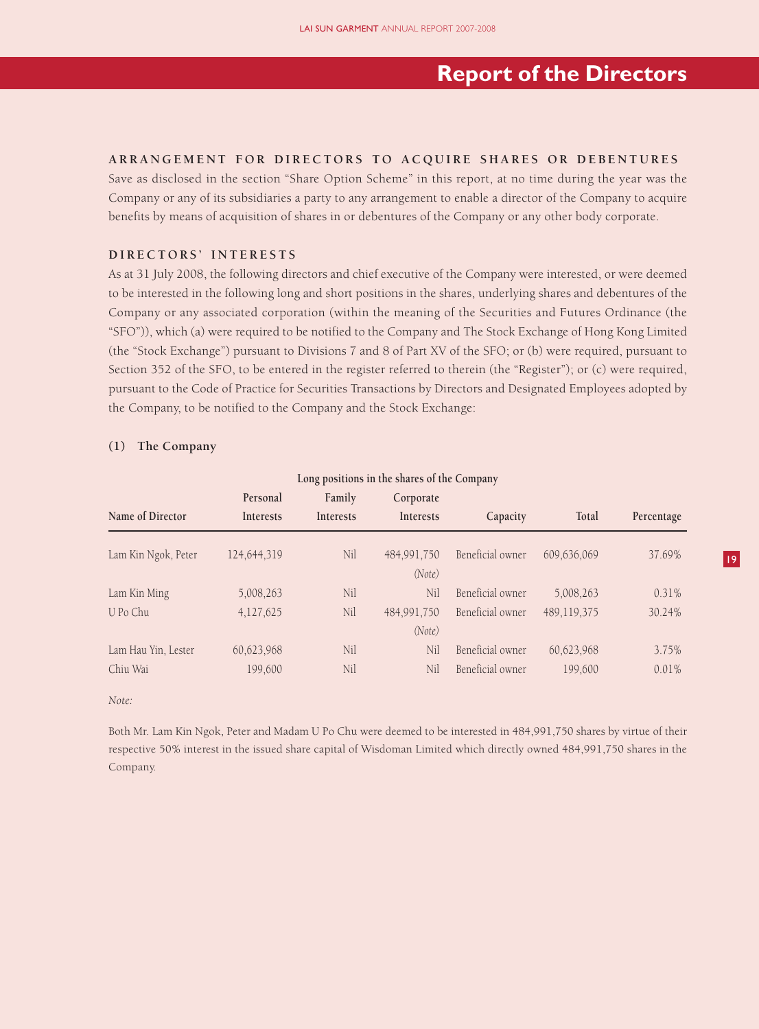### **ARRANGEMENT FOR DIRECTORS TO ACQUIRE SHARES OR DEBENTURES**

Save as disclosed in the section "Share Option Scheme" in this report, at no time during the year was the Company or any of its subsidiaries a party to any arrangement to enable a director of the Company to acquire benefits by means of acquisition of shares in or debentures of the Company or any other body corporate.

## **DIRECTORS' INTERESTS**

As at 31 July 2008, the following directors and chief executive of the Company were interested, or were deemed to be interested in the following long and short positions in the shares, underlying shares and debentures of the Company or any associated corporation (within the meaning of the Securities and Futures Ordinance (the "SFO")), which (a) were required to be notified to the Company and The Stock Exchange of Hong Kong Limited (the "Stock Exchange") pursuant to Divisions 7 and 8 of Part XV of the SFO; or (b) were required, pursuant to Section 352 of the SFO, to be entered in the register referred to therein (the "Register"); or (c) were required, pursuant to the Code of Practice for Securities Transactions by Directors and Designated Employees adopted by the Company, to be notified to the Company and the Stock Exchange:

## **(1) The Company**

|                     | Personal    | Family    | Corporate             |                  |             |            |
|---------------------|-------------|-----------|-----------------------|------------------|-------------|------------|
| Name of Director    | Interests   | Interests | Interests             | Capacity         | Total       | Percentage |
| Lam Kin Ngok, Peter | 124,644,319 | Nil       | 484.991.750<br>(Note) | Beneficial owner | 609,636,069 | 37.69%     |
| Lam Kin Ming        | 5,008,263   | Nil       | Nil                   | Beneficial owner | 5,008,263   | 0.31%      |
| U Po Chu            | 4,127,625   | Nil       | 484,991,750<br>(Note) | Beneficial owner | 489,119,375 | 30.24%     |
| Lam Hau Yin, Lester | 60,623,968  | Nil       | Nil                   | Beneficial owner | 60,623,968  | 3.75%      |
| Chiu Wai            | 199,600     | Nil       | Nil                   | Beneficial owner | 199,600     | 0.01%      |

#### *Note:*

Both Mr. Lam Kin Ngok, Peter and Madam U Po Chu were deemed to be interested in 484,991,750 shares by virtue of their respective 50% interest in the issued share capital of Wisdoman Limited which directly owned 484,991,750 shares in the Company.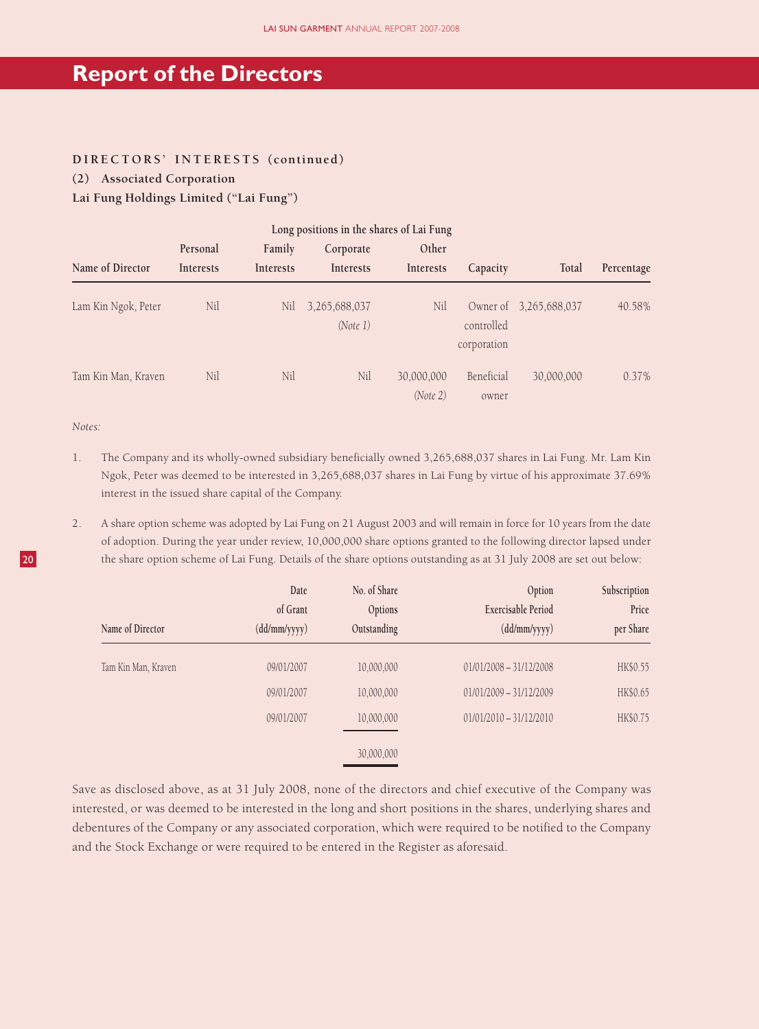### **DIRECTORS' INTERESTS (continued)**

### **(2) Associated Corporation**

## **Lai Fung Holdings Limited ("Lai Fung")**

|                     | Personal  | Family    | Corporate                 | Other                  |                           |                        |            |
|---------------------|-----------|-----------|---------------------------|------------------------|---------------------------|------------------------|------------|
| Name of Director    | Interests | Interests | Interests                 | Interests              | Capacity                  | Total                  | Percentage |
| Lam Kin Ngok, Peter | Nil       | Nil       | 3,265,688,037<br>(Note 1) | Nil                    | controlled<br>corporation | Owner of 3,265,688,037 | 40.58%     |
| Tam Kin Man, Kraven | Nil       | Nil       | Nil                       | 30,000,000<br>(Note 2) | Beneficial<br>owner       | 30,000,000             | $0.37\%$   |

*Notes:*

- 1. The Company and its wholly-owned subsidiary beneficially owned 3,265,688,037 shares in Lai Fung. Mr. Lam Kin Ngok, Peter was deemed to be interested in 3,265,688,037 shares in Lai Fung by virtue of his approximate 37.69% interest in the issued share capital of the Company.
- 2. A share option scheme was adopted by Lai Fung on 21 August 2003 and will remain in force for 10 years from the date of adoption. During the year under review, 10,000,000 share options granted to the following director lapsed under the share option scheme of Lai Fung. Details of the share options outstanding as at 31 July 2008 are set out below:

| Name of Director    | Date<br>of Grant<br>$\text{(dd/mm/yyyy)}$ | No. of Share<br>Options<br>Outstanding | Option<br>Exercisable Period<br>$(dd/\text{mm/yyy})$ | Subscription<br>Price<br>per Share |
|---------------------|-------------------------------------------|----------------------------------------|------------------------------------------------------|------------------------------------|
| Tam Kin Man, Kraven | 09/01/2007                                | 10,000,000                             | $01/01/2008 - 31/12/2008$                            | HK\$0.55                           |
|                     | 09/01/2007                                | 10,000,000                             | $01/01/2009 - 31/12/2009$                            | HK\$0.65                           |
|                     | 09/01/2007                                | 10,000,000                             | $01/01/2010 - 31/12/2010$                            | HK\$0.75                           |
|                     |                                           | 30,000,000                             |                                                      |                                    |

Save as disclosed above, as at 31 July 2008, none of the directors and chief executive of the Company was interested, or was deemed to be interested in the long and short positions in the shares, underlying shares and debentures of the Company or any associated corporation, which were required to be notified to the Company and the Stock Exchange or were required to be entered in the Register as aforesaid.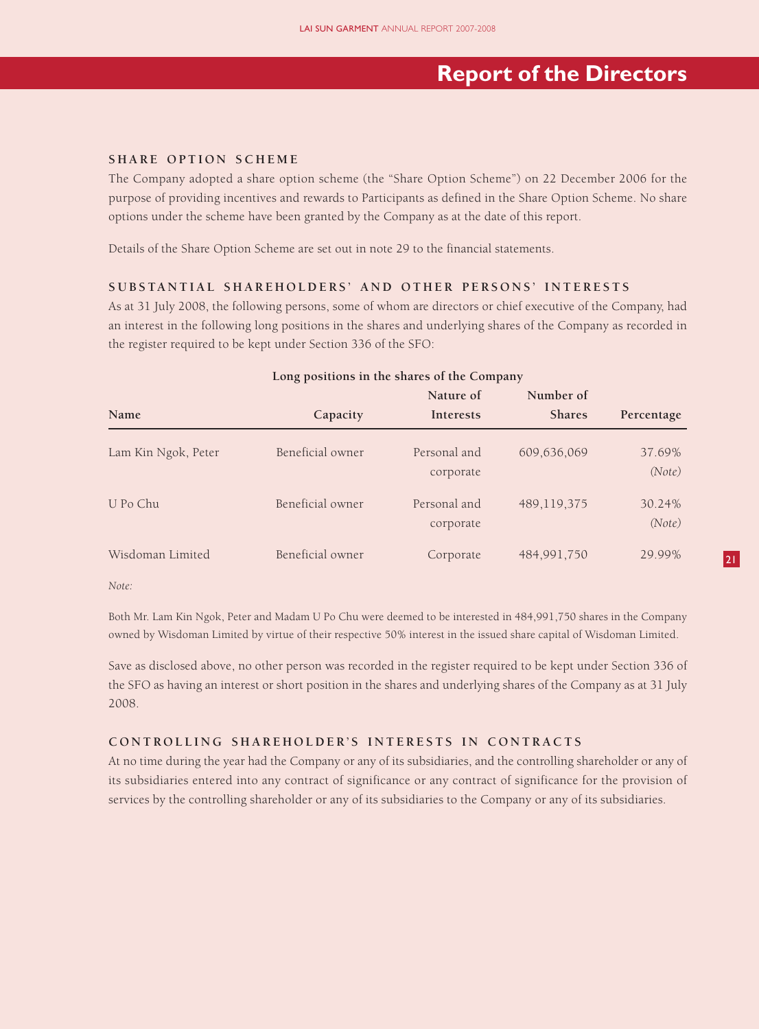#### **SHARE OPTION SCHEME**

The Company adopted a share option scheme (the "Share Option Scheme") on 22 December 2006 for the purpose of providing incentives and rewards to Participants as defined in the Share Option Scheme. No share options under the scheme have been granted by the Company as at the date of this report.

Details of the Share Option Scheme are set out in note 29 to the financial statements.

### **SUBSTANTIAL SHAREHOLDERS' AND OTHER PERSONS' INTERESTS**

As at 31 July 2008, the following persons, some of whom are directors or chief executive of the Company, had an interest in the following long positions in the shares and underlying shares of the Company as recorded in the register required to be kept under Section 336 of the SFO:

| Name                | Capacity         | Nature of<br>Interests    | Number of<br><b>Shares</b> | Percentage       |
|---------------------|------------------|---------------------------|----------------------------|------------------|
| Lam Kin Ngok, Peter | Beneficial owner | Personal and<br>corporate | 609,636,069                | 37.69%<br>(Note) |
| U Po Chu            | Beneficial owner | Personal and<br>corporate | 489,119,375                | 30.24%<br>(Note) |
| Wisdoman Limited    | Beneficial owner | Corporate                 | 484,991,750                | 29.99%           |

### **Long positions in the shares of the Company**

*Note:*

Both Mr. Lam Kin Ngok, Peter and Madam U Po Chu were deemed to be interested in 484,991,750 shares in the Company owned by Wisdoman Limited by virtue of their respective 50% interest in the issued share capital of Wisdoman Limited.

Save as disclosed above, no other person was recorded in the register required to be kept under Section 336 of the SFO as having an interest or short position in the shares and underlying shares of the Company as at 31 July 2008.

## **CONTROLLING SHAREHOLDER'S INTERESTS IN CONTRACTS**

At no time during the year had the Company or any of its subsidiaries, and the controlling shareholder or any of its subsidiaries entered into any contract of significance or any contract of significance for the provision of services by the controlling shareholder or any of its subsidiaries to the Company or any of its subsidiaries.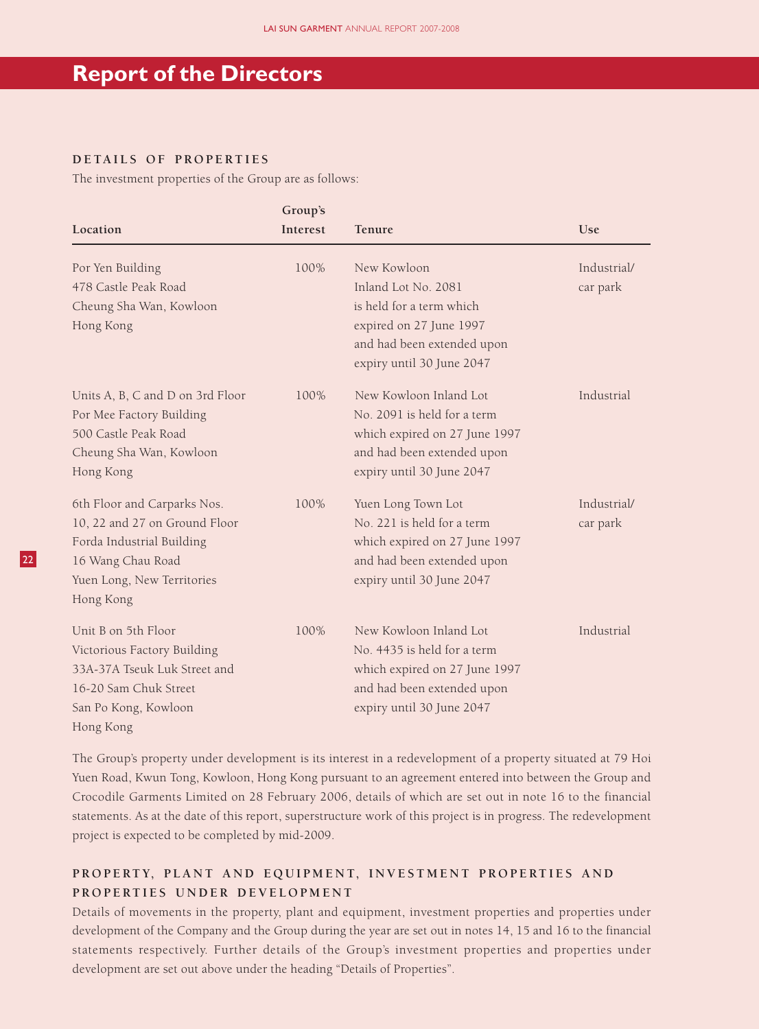## **DETAILS OF PROPERTIES**

The investment properties of the Group are as follows:

|                                  | Group's  |                               |             |
|----------------------------------|----------|-------------------------------|-------------|
| Location                         | Interest | <b>Tenure</b>                 | <b>Use</b>  |
| Por Yen Building                 | 100%     | New Kowloon                   | Industrial/ |
| 478 Castle Peak Road             |          | Inland Lot No. 2081           | car park    |
| Cheung Sha Wan, Kowloon          |          | is held for a term which      |             |
| Hong Kong                        |          | expired on 27 June 1997       |             |
|                                  |          | and had been extended upon    |             |
|                                  |          | expiry until 30 June 2047     |             |
| Units A, B, C and D on 3rd Floor | 100%     | New Kowloon Inland Lot        | Industrial  |
| Por Mee Factory Building         |          | No. 2091 is held for a term   |             |
| 500 Castle Peak Road             |          | which expired on 27 June 1997 |             |
| Cheung Sha Wan, Kowloon          |          | and had been extended upon    |             |
| Hong Kong                        |          | expiry until 30 June 2047     |             |
| 6th Floor and Carparks Nos.      | 100%     | Yuen Long Town Lot            | Industrial/ |
| 10, 22 and 27 on Ground Floor    |          | No. 221 is held for a term    | car park    |
| Forda Industrial Building        |          | which expired on 27 June 1997 |             |
| 16 Wang Chau Road                |          | and had been extended upon    |             |
| Yuen Long, New Territories       |          | expiry until 30 June 2047     |             |
| Hong Kong                        |          |                               |             |
| Unit B on 5th Floor              | 100%     | New Kowloon Inland Lot        | Industrial  |
| Victorious Factory Building      |          | No. 4435 is held for a term   |             |
| 33A-37A Tseuk Luk Street and     |          | which expired on 27 June 1997 |             |
| 16-20 Sam Chuk Street            |          | and had been extended upon    |             |
| San Po Kong, Kowloon             |          | expiry until 30 June 2047     |             |
| Hong Kong                        |          |                               |             |

The Group's property under development is its interest in a redevelopment of a property situated at 79 Hoi Yuen Road, Kwun Tong, Kowloon, Hong Kong pursuant to an agreement entered into between the Group and Crocodile Garments Limited on 28 February 2006, details of which are set out in note 16 to the financial statements. As at the date of this report, superstructure work of this project is in progress. The redevelopment project is expected to be completed by mid-2009.

## **PROPERTY, PLANT AND EQUIPMENT, INVESTMENT PROPERTIES AND PROPERTIES UNDER DEVELOPMENT**

Details of movements in the property, plant and equipment, investment properties and properties under development of the Company and the Group during the year are set out in notes 14, 15 and 16 to the financial statements respectively. Further details of the Group's investment properties and properties under development are set out above under the heading "Details of Properties".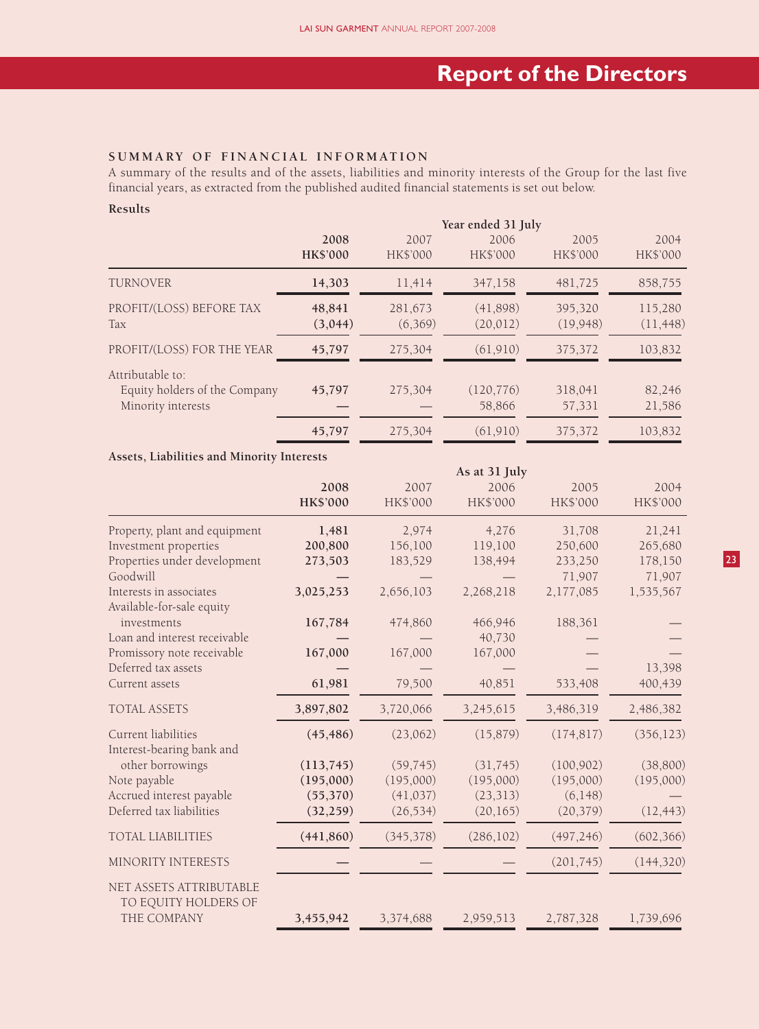### **SUMMARY OF FINANCIAL INFORMATION**

A summary of the results and of the assets, liabilities and minority interests of the Group for the last five financial years, as extracted from the published audited financial statements is set out below.

## **Results**

|                               | Year ended 31 July |          |            |           |           |  |  |
|-------------------------------|--------------------|----------|------------|-----------|-----------|--|--|
|                               | 2008               | 2007     | 2006       | 2005      | 2004      |  |  |
|                               | <b>HK\$'000</b>    | HK\$'000 | HK\$'000   | HK\$'000  | HK\$'000  |  |  |
| <b>TURNOVER</b>               | 14,303             | 11,414   | 347,158    | 481,725   | 858,755   |  |  |
| PROFIT/(LOSS) BEFORE TAX      | 48,841             | 281,673  | (41,898)   | 395,320   | 115,280   |  |  |
| Tax                           | (3,044)            | (6,369)  | (20, 012)  | (19, 948) | (11, 448) |  |  |
| PROFIT/(LOSS) FOR THE YEAR    | 45,797             | 275,304  | (61, 910)  | 375,372   | 103,832   |  |  |
| Attributable to:              |                    |          |            |           |           |  |  |
| Equity holders of the Company | 45,797             | 275,304  | (120, 776) | 318,041   | 82,246    |  |  |
| Minority interests            |                    |          | 58,866     | 57,331    | 21,586    |  |  |
|                               | 45,797             | 275,304  | (61, 910)  | 375,372   | 103,832   |  |  |

## **Assets, Liabilities and Minority Interests**

|                               | As at 31 July   |           |            |            |            |  |
|-------------------------------|-----------------|-----------|------------|------------|------------|--|
|                               | 2008            | 2007      | 2006       | 2005       | 2004       |  |
|                               | <b>HK\$'000</b> | HK\$'000  | HK\$'000   | HK\$'000   | HK\$'000   |  |
| Property, plant and equipment | 1,481           | 2,974     | 4,276      | 31,708     | 21,241     |  |
| Investment properties         | 200,800         | 156,100   | 119,100    | 250,600    | 265,680    |  |
| Properties under development  | 273,503         | 183,529   | 138,494    | 233,250    | 178,150    |  |
| Goodwill                      |                 |           |            | 71,907     | 71,907     |  |
| Interests in associates       | 3,025,253       | 2,656,103 | 2,268,218  | 2,177,085  | 1,535,567  |  |
| Available-for-sale equity     |                 |           |            |            |            |  |
| investments                   | 167,784         | 474,860   | 466,946    | 188,361    |            |  |
| Loan and interest receivable  |                 |           | 40,730     |            |            |  |
| Promissory note receivable    | 167,000         | 167,000   | 167,000    |            |            |  |
| Deferred tax assets           |                 |           |            |            | 13,398     |  |
| Current assets                | 61,981          | 79,500    | 40,851     | 533,408    | 400,439    |  |
| <b>TOTAL ASSETS</b>           | 3,897,802       | 3,720,066 | 3,245,615  | 3,486,319  | 2,486,382  |  |
| Current liabilities           | (45, 486)       | (23,062)  | (15, 879)  | (174, 817) | (356, 123) |  |
| Interest-bearing bank and     |                 |           |            |            |            |  |
| other borrowings              | (113, 745)      | (59, 745) | (31, 745)  | (100, 902) | (38, 800)  |  |
| Note payable                  | (195,000)       | (195,000) | (195,000)  | (195,000)  | (195,000)  |  |
| Accrued interest payable      | (55,370)        | (41, 037) | (23, 313)  | (6,148)    |            |  |
| Deferred tax liabilities      | (32, 259)       | (26, 534) | (20, 165)  | (20, 379)  | (12, 443)  |  |
| <b>TOTAL LIABILITIES</b>      | (441, 860)      | (345,378) | (286, 102) | (497, 246) | (602, 366) |  |
| MINORITY INTERESTS            |                 |           |            | (201, 745) | (144, 320) |  |
| NET ASSETS ATTRIBUTABLE       |                 |           |            |            |            |  |
| TO EQUITY HOLDERS OF          |                 |           |            |            |            |  |
| THE COMPANY                   | 3,455,942       | 3,374,688 | 2,959,513  | 2,787,328  | 1,739,696  |  |
|                               |                 |           |            |            |            |  |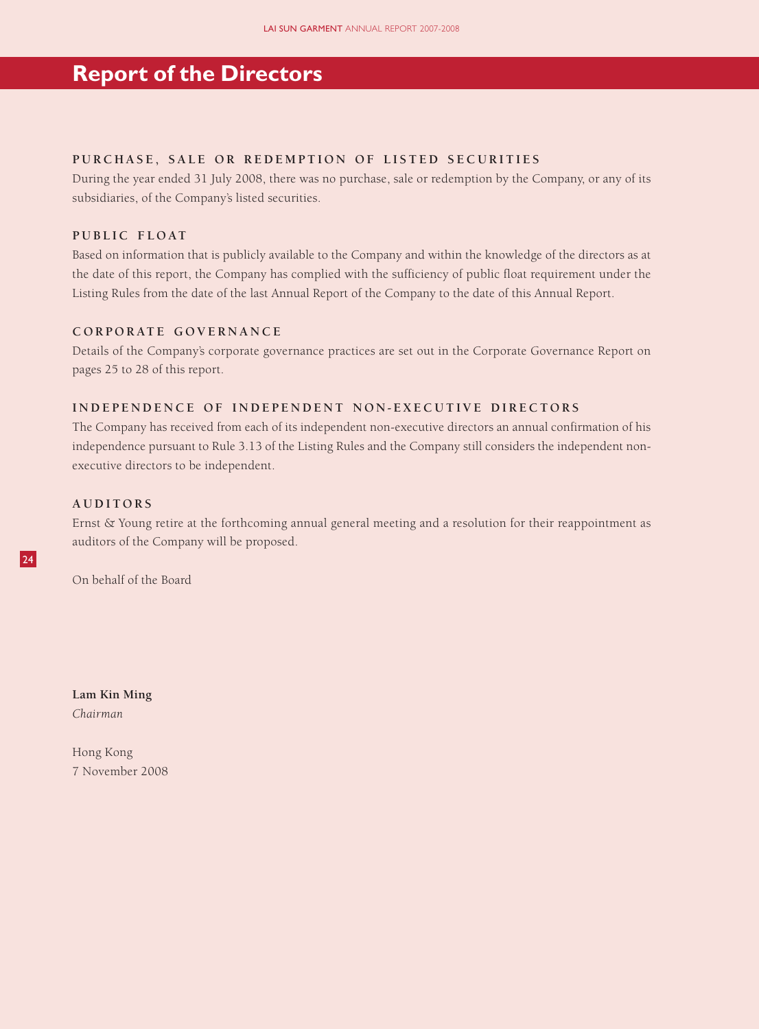### **PURCHASE, SALE OR REDEMPTION OF LISTED SECURITIES**

During the year ended 31 July 2008, there was no purchase, sale or redemption by the Company, or any of its subsidiaries, of the Company's listed securities.

### **PUBLIC FLOAT**

Based on information that is publicly available to the Company and within the knowledge of the directors as at the date of this report, the Company has complied with the sufficiency of public float requirement under the Listing Rules from the date of the last Annual Report of the Company to the date of this Annual Report.

### **CORPORATE GOVERNANCE**

Details of the Company's corporate governance practices are set out in the Corporate Governance Report on pages 25 to 28 of this report.

### **INDEPENDENCE OF INDEPENDENT NON-EXECUTIVE DIRECTORS**

The Company has received from each of its independent non-executive directors an annual confirmation of his independence pursuant to Rule 3.13 of the Listing Rules and the Company still considers the independent nonexecutive directors to be independent.

## **AUDITORS**

Ernst & Young retire at the forthcoming annual general meeting and a resolution for their reappointment as auditors of the Company will be proposed.

On behalf of the Board

**Lam Kin Ming** *Chairman*

Hong Kong 7 November 2008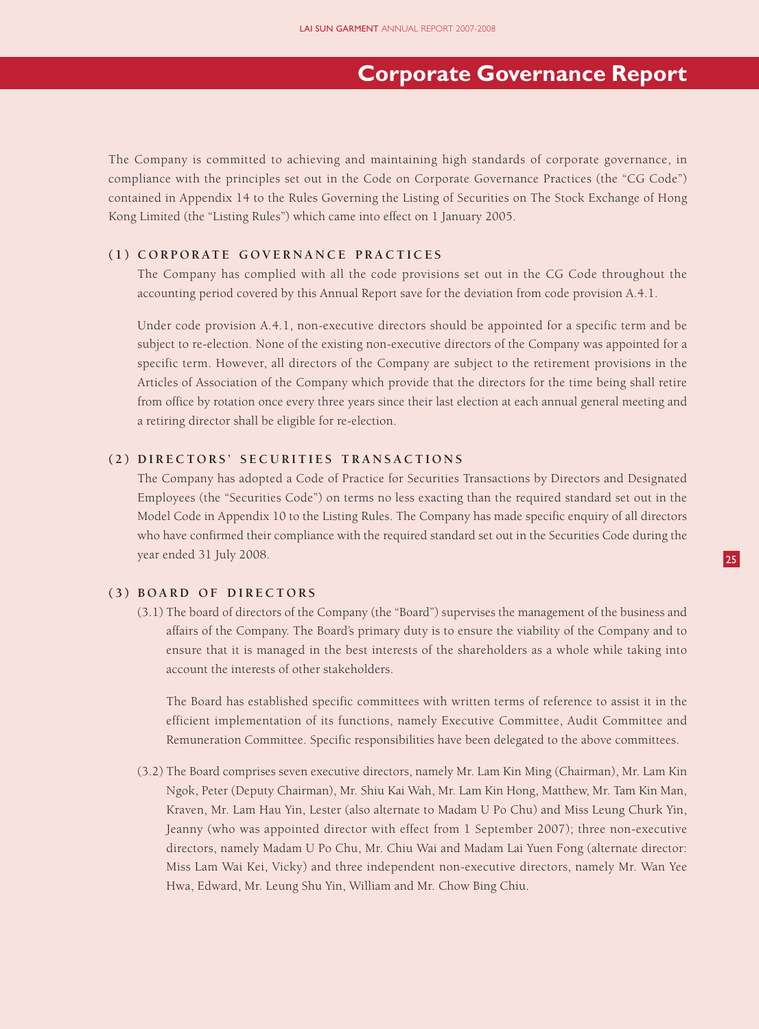The Company is committed to achieving and maintaining high standards of corporate governance, in compliance with the principles set out in the Code on Corporate Governance Practices (the "CG Code") contained in Appendix 14 to the Rules Governing the Listing of Securities on The Stock Exchange of Hong Kong Limited (the "Listing Rules") which came into effect on 1 January 2005.

### **(1) CORPORATE GOVERNANCE PRACTICES**

The Company has complied with all the code provisions set out in the CG Code throughout the accounting period covered by this Annual Report save for the deviation from code provision A.4.1.

Under code provision A.4.1, non-executive directors should be appointed for a specific term and be subject to re-election. None of the existing non-executive directors of the Company was appointed for a specific term. However, all directors of the Company are subject to the retirement provisions in the Articles of Association of the Company which provide that the directors for the time being shall retire from office by rotation once every three years since their last election at each annual general meeting and a retiring director shall be eligible for re-election.

### **(2) DIRECTORS ' SECURITIES TRANSACTIONS**

The Company has adopted a Code of Practice for Securities Transactions by Directors and Designated Employees (the "Securities Code") on terms no less exacting than the required standard set out in the Model Code in Appendix 10 to the Listing Rules. The Company has made specific enquiry of all directors who have confirmed their compliance with the required standard set out in the Securities Code during the year ended 31 July 2008.

## **(3) BOARD OF DIRECTORS**

(3.1) The board of directors of the Company (the "Board") supervises the management of the business and affairs of the Company. The Board's primary duty is to ensure the viability of the Company and to ensure that it is managed in the best interests of the shareholders as a whole while taking into account the interests of other stakeholders.

The Board has established specific committees with written terms of reference to assist it in the efficient implementation of its functions, namely Executive Committee, Audit Committee and Remuneration Committee. Specific responsibilities have been delegated to the above committees.

(3.2) The Board comprises seven executive directors, namely Mr. Lam Kin Ming (Chairman), Mr. Lam Kin Ngok, Peter (Deputy Chairman), Mr. Shiu Kai Wah, Mr. Lam Kin Hong, Matthew, Mr. Tam Kin Man, Kraven, Mr. Lam Hau Yin, Lester (also alternate to Madam U Po Chu) and Miss Leung Churk Yin, Jeanny (who was appointed director with effect from 1 September 2007); three non-executive directors, namely Madam U Po Chu, Mr. Chiu Wai and Madam Lai Yuen Fong (alternate director: Miss Lam Wai Kei, Vicky) and three independent non-executive directors, namely Mr. Wan Yee Hwa, Edward, Mr. Leung Shu Yin, William and Mr. Chow Bing Chiu.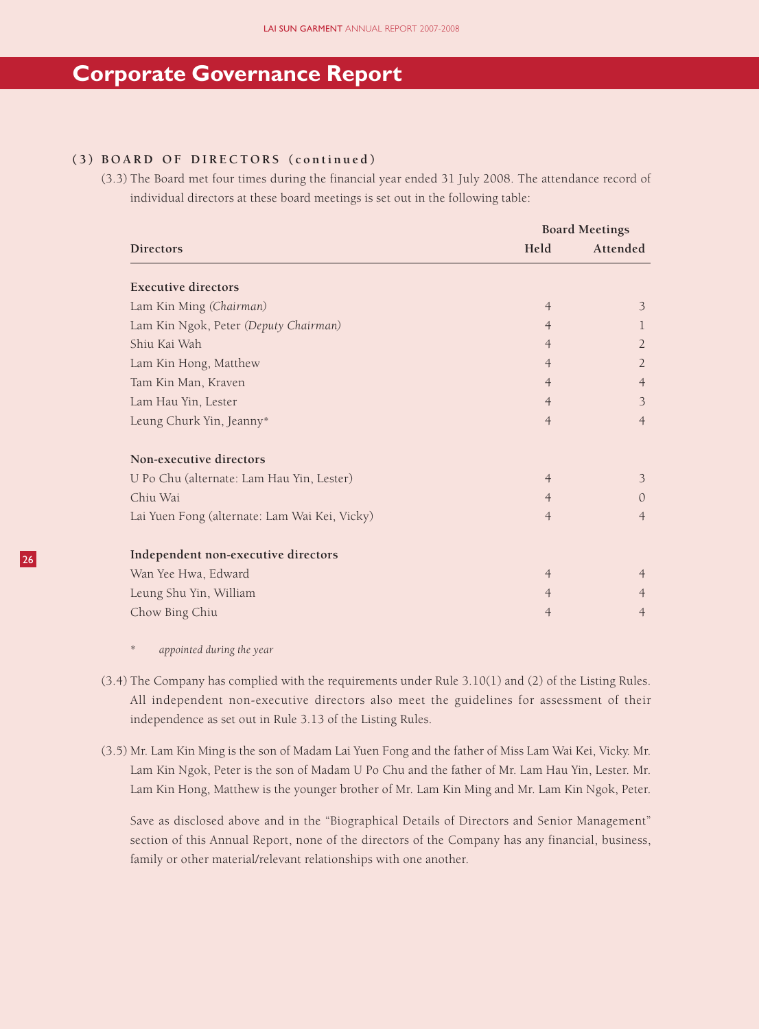### **(3) BOARD OF DIRECTORS (continued)**

(3.3) The Board met four times during the financial year ended 31 July 2008. The attendance record of individual directors at these board meetings is set out in the following table:

|                                               | <b>Board Meetings</b> |                |  |  |
|-----------------------------------------------|-----------------------|----------------|--|--|
| <b>Directors</b>                              | Held                  | Attended       |  |  |
| <b>Executive directors</b>                    |                       |                |  |  |
| Lam Kin Ming (Chairman)                       | $\overline{4}$        | 3              |  |  |
| Lam Kin Ngok, Peter (Deputy Chairman)         | $\overline{4}$        | $\mathbf{I}$   |  |  |
| Shiu Kai Wah                                  | $\overline{4}$        | $\overline{2}$ |  |  |
| Lam Kin Hong, Matthew                         | $\overline{4}$        | $\overline{2}$ |  |  |
| Tam Kin Man, Kraven                           | $\overline{4}$        | $\overline{4}$ |  |  |
| Lam Hau Yin, Lester                           | $\overline{4}$        | 3              |  |  |
| Leung Churk Yin, Jeanny*                      | $\overline{4}$        | $\overline{4}$ |  |  |
| Non-executive directors                       |                       |                |  |  |
| U Po Chu (alternate: Lam Hau Yin, Lester)     | $\overline{4}$        | 3              |  |  |
| Chiu Wai                                      | $\overline{4}$        | $\Omega$       |  |  |
| Lai Yuen Fong (alternate: Lam Wai Kei, Vicky) | $\overline{4}$        | $\overline{4}$ |  |  |
| Independent non-executive directors           |                       |                |  |  |
| Wan Yee Hwa, Edward                           | $\overline{4}$        | $\overline{4}$ |  |  |
| Leung Shu Yin, William                        | $\overline{4}$        | $\overline{4}$ |  |  |
| Chow Bing Chiu                                | 4                     | 4              |  |  |

\* *appointed during the year*

- (3.4) The Company has complied with the requirements under Rule 3.10(1) and (2) of the Listing Rules. All independent non-executive directors also meet the guidelines for assessment of their independence as set out in Rule 3.13 of the Listing Rules.
- (3.5) Mr. Lam Kin Ming is the son of Madam Lai Yuen Fong and the father of Miss Lam Wai Kei, Vicky. Mr. Lam Kin Ngok, Peter is the son of Madam U Po Chu and the father of Mr. Lam Hau Yin, Lester. Mr. Lam Kin Hong, Matthew is the younger brother of Mr. Lam Kin Ming and Mr. Lam Kin Ngok, Peter.

Save as disclosed above and in the "Biographical Details of Directors and Senior Management" section of this Annual Report, none of the directors of the Company has any financial, business, family or other material/relevant relationships with one another.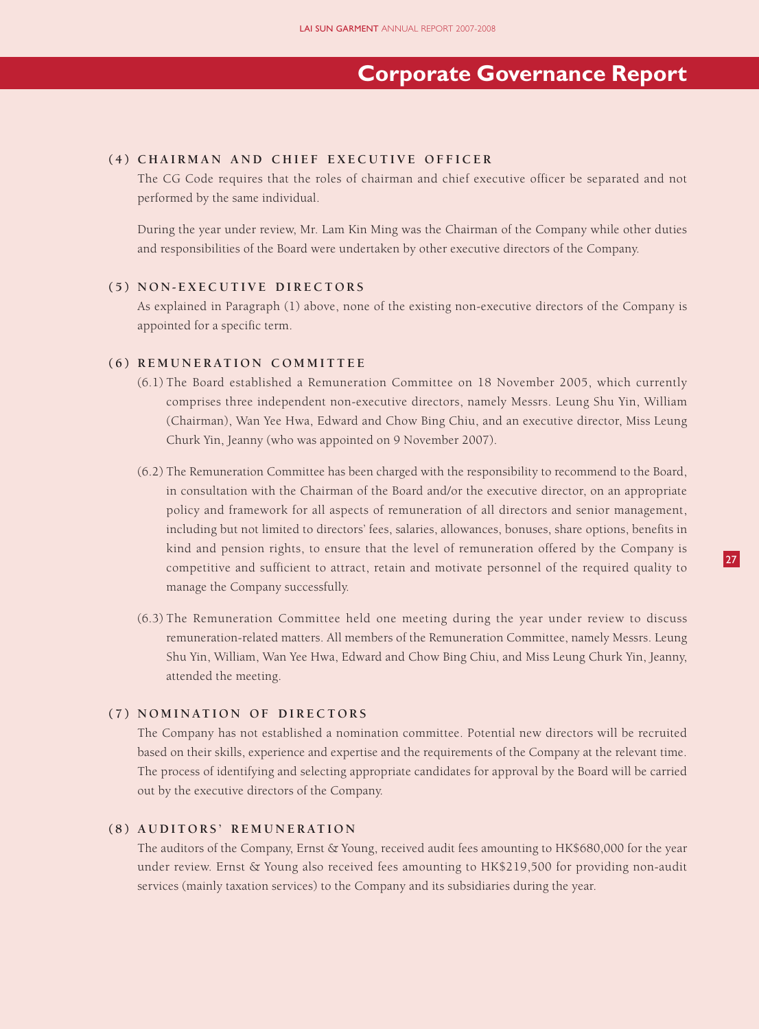### **(4) CHAIRMAN AND CHIEF EXECUTIVE OFFICER**

The CG Code requires that the roles of chairman and chief executive officer be separated and not performed by the same individual.

During the year under review, Mr. Lam Kin Ming was the Chairman of the Company while other duties and responsibilities of the Board were undertaken by other executive directors of the Company.

#### **(5) NON-EXECUTIVE DIRECTORS**

As explained in Paragraph (1) above, none of the existing non-executive directors of the Company is appointed for a specific term.

#### **(6) REMUNERATION COMMITTEE**

- (6.1) The Board established a Remuneration Committee on 18 November 2005, which currently comprises three independent non-executive directors, namely Messrs. Leung Shu Yin, William (Chairman), Wan Yee Hwa, Edward and Chow Bing Chiu, and an executive director, Miss Leung Churk Yin, Jeanny (who was appointed on 9 November 2007).
- (6.2) The Remuneration Committee has been charged with the responsibility to recommend to the Board, in consultation with the Chairman of the Board and/or the executive director, on an appropriate policy and framework for all aspects of remuneration of all directors and senior management, including but not limited to directors' fees, salaries, allowances, bonuses, share options, benefits in kind and pension rights, to ensure that the level of remuneration offered by the Company is competitive and sufficient to attract, retain and motivate personnel of the required quality to manage the Company successfully.
- (6.3) The Remuneration Committee held one meeting during the year under review to discuss remuneration-related matters. All members of the Remuneration Committee, namely Messrs. Leung Shu Yin, William, Wan Yee Hwa, Edward and Chow Bing Chiu, and Miss Leung Churk Yin, Jeanny, attended the meeting.

#### **(7) NOMINATION OF DIRECTORS**

The Company has not established a nomination committee. Potential new directors will be recruited based on their skills, experience and expertise and the requirements of the Company at the relevant time. The process of identifying and selecting appropriate candidates for approval by the Board will be carried out by the executive directors of the Company.

## **(8) AUDITORS ' REMUNERATION**

The auditors of the Company, Ernst & Young, received audit fees amounting to HK\$680,000 for the year under review. Ernst & Young also received fees amounting to HK\$219,500 for providing non-audit services (mainly taxation services) to the Company and its subsidiaries during the year.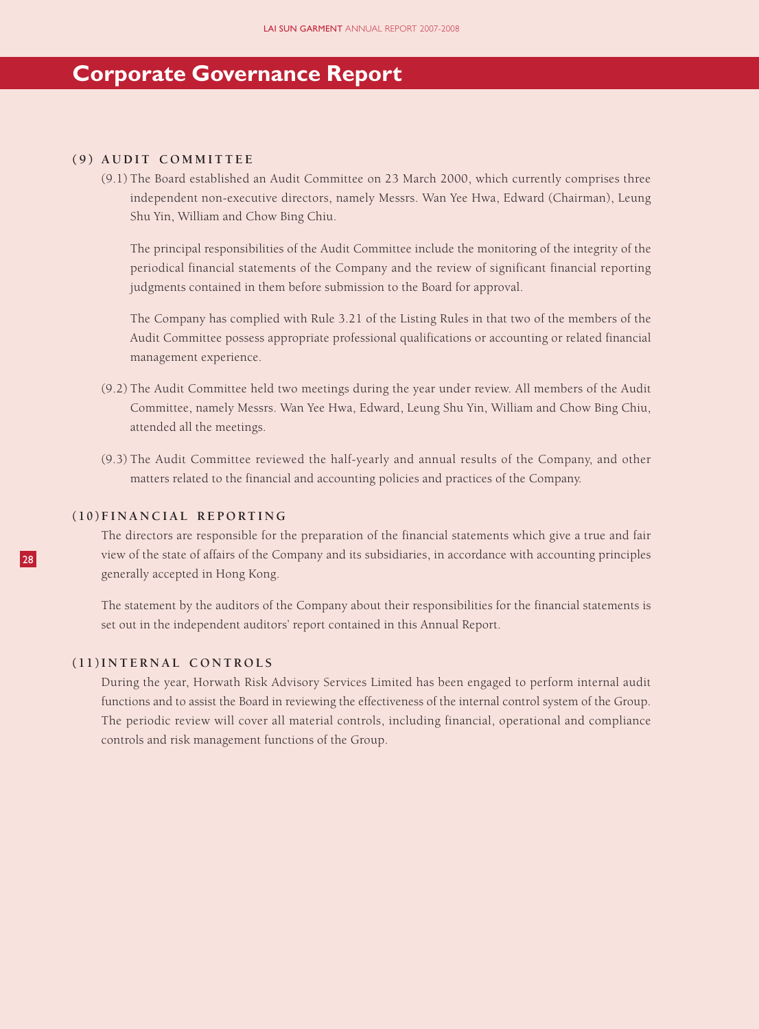### **(9) AUDIT COMMITTEE**

(9.1) The Board established an Audit Committee on 23 March 2000, which currently comprises three independent non-executive directors, namely Messrs. Wan Yee Hwa, Edward (Chairman), Leung Shu Yin, William and Chow Bing Chiu.

The principal responsibilities of the Audit Committee include the monitoring of the integrity of the periodical financial statements of the Company and the review of significant financial reporting judgments contained in them before submission to the Board for approval.

The Company has complied with Rule 3.21 of the Listing Rules in that two of the members of the Audit Committee possess appropriate professional qualifications or accounting or related financial management experience.

- (9.2) The Audit Committee held two meetings during the year under review. All members of the Audit Committee, namely Messrs. Wan Yee Hwa, Edward, Leung Shu Yin, William and Chow Bing Chiu, attended all the meetings.
- (9.3) The Audit Committee reviewed the half-yearly and annual results of the Company, and other matters related to the financial and accounting policies and practices of the Company.

### **(10) FINANCIAL REPORTING**

The directors are responsible for the preparation of the financial statements which give a true and fair view of the state of affairs of the Company and its subsidiaries, in accordance with accounting principles generally accepted in Hong Kong.

The statement by the auditors of the Company about their responsibilities for the financial statements is set out in the independent auditors' report contained in this Annual Report.

### **(11)INTERNAL CONTROLS**

During the year, Horwath Risk Advisory Services Limited has been engaged to perform internal audit functions and to assist the Board in reviewing the effectiveness of the internal control system of the Group. The periodic review will cover all material controls, including financial, operational and compliance controls and risk management functions of the Group.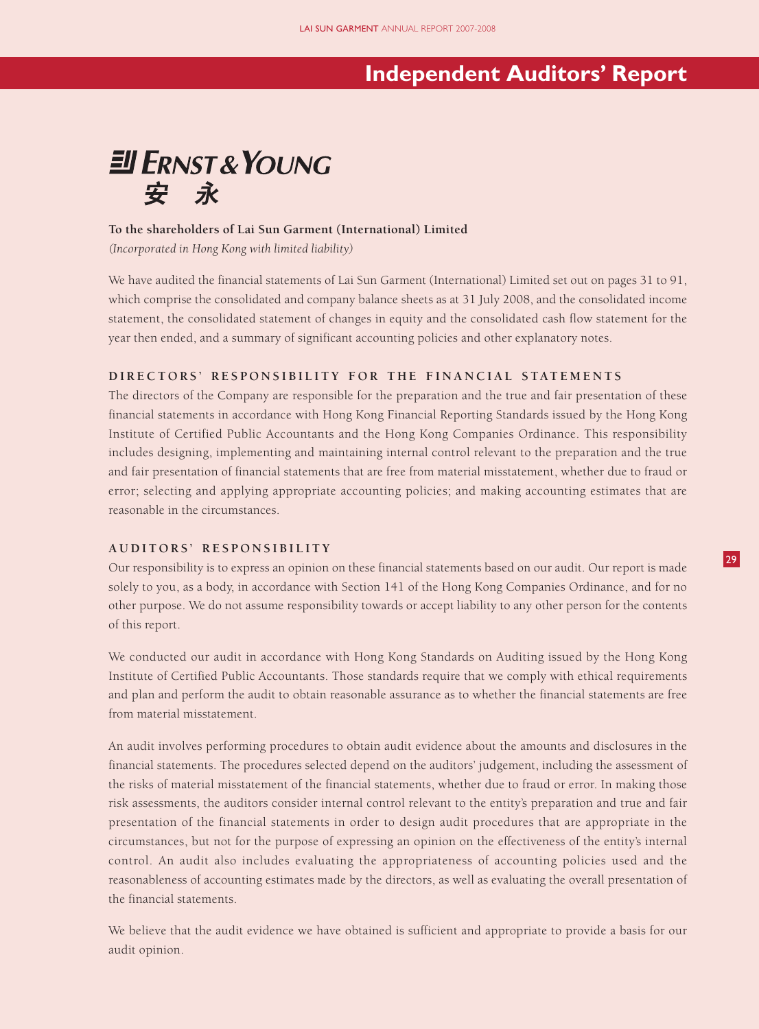## **Independent Auditors' Report**



#### **To the shareholders of Lai Sun Garment (International) Limited**

*(Incorporated in Hong Kong with limited liability)*

We have audited the financial statements of Lai Sun Garment (International) Limited set out on pages 31 to 91, which comprise the consolidated and company balance sheets as at 31 July 2008, and the consolidated income statement, the consolidated statement of changes in equity and the consolidated cash flow statement for the year then ended, and a summary of significant accounting policies and other explanatory notes.

#### **DIRECTORS ' RESPONSIBILITY FOR THE FINANCIAL STATEMENTS**

The directors of the Company are responsible for the preparation and the true and fair presentation of these financial statements in accordance with Hong Kong Financial Reporting Standards issued by the Hong Kong Institute of Certified Public Accountants and the Hong Kong Companies Ordinance. This responsibility includes designing, implementing and maintaining internal control relevant to the preparation and the true and fair presentation of financial statements that are free from material misstatement, whether due to fraud or error; selecting and applying appropriate accounting policies; and making accounting estimates that are reasonable in the circumstances.

## **AUDITORS ' RESPONSIBILITY**

Our responsibility is to express an opinion on these financial statements based on our audit. Our report is made solely to you, as a body, in accordance with Section 141 of the Hong Kong Companies Ordinance, and for no other purpose. We do not assume responsibility towards or accept liability to any other person for the contents of this report.

We conducted our audit in accordance with Hong Kong Standards on Auditing issued by the Hong Kong Institute of Certified Public Accountants. Those standards require that we comply with ethical requirements and plan and perform the audit to obtain reasonable assurance as to whether the financial statements are free from material misstatement.

An audit involves performing procedures to obtain audit evidence about the amounts and disclosures in the financial statements. The procedures selected depend on the auditors' judgement, including the assessment of the risks of material misstatement of the financial statements, whether due to fraud or error. In making those risk assessments, the auditors consider internal control relevant to the entity's preparation and true and fair presentation of the financial statements in order to design audit procedures that are appropriate in the circumstances, but not for the purpose of expressing an opinion on the effectiveness of the entity's internal control. An audit also includes evaluating the appropriateness of accounting policies used and the reasonableness of accounting estimates made by the directors, as well as evaluating the overall presentation of the financial statements.

We believe that the audit evidence we have obtained is sufficient and appropriate to provide a basis for our audit opinion.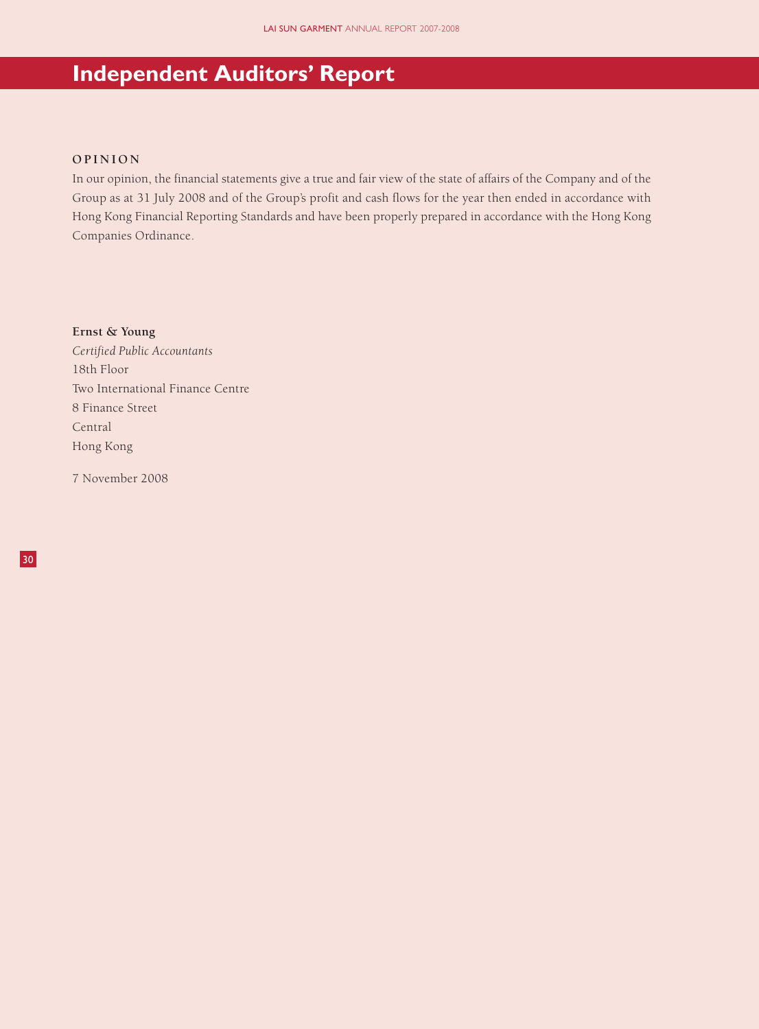## **Independent Auditors' Report**

## **OPINION**

In our opinion, the financial statements give a true and fair view of the state of affairs of the Company and of the Group as at 31 July 2008 and of the Group's profit and cash flows for the year then ended in accordance with Hong Kong Financial Reporting Standards and have been properly prepared in accordance with the Hong Kong Companies Ordinance.

**Ernst & Young** *Certified Public Accountants* 18th Floor Two International Finance Centre 8 Finance Street Central Hong Kong

7 November 2008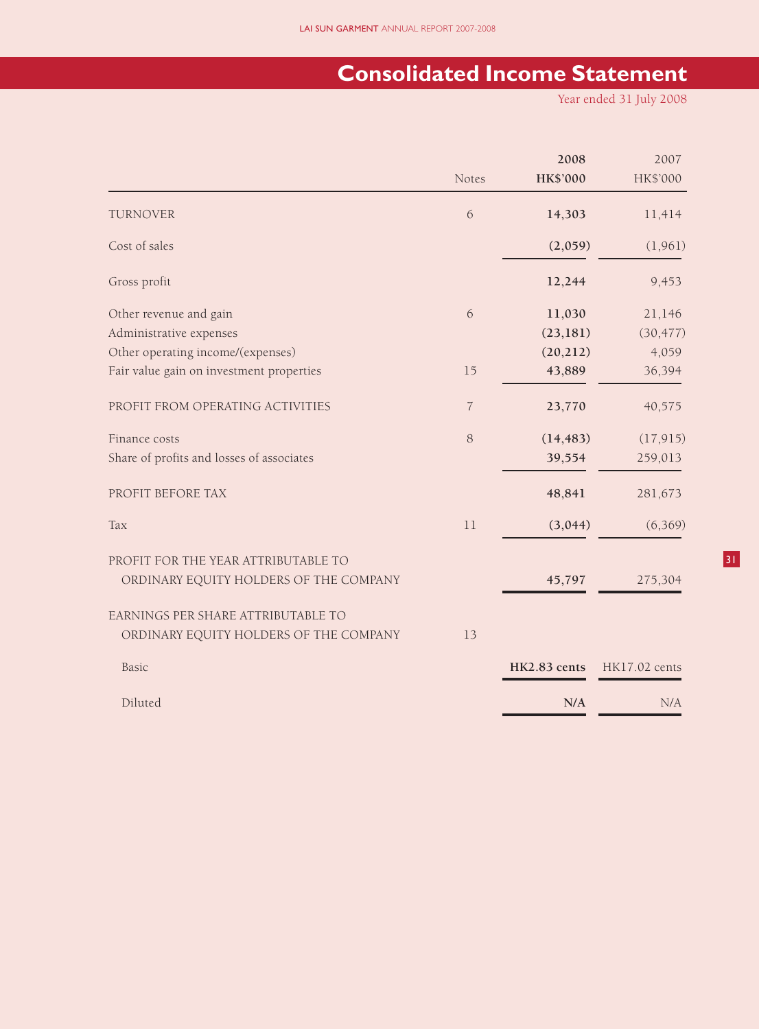# **Consolidated Income Statement**

Year ended 31 July 2008

|                                           |                | 2008            | 2007          |
|-------------------------------------------|----------------|-----------------|---------------|
|                                           | Notes          | <b>HK\$'000</b> | HK\$'000      |
| TURNOVER                                  | 6              | 14,303          | 11,414        |
| Cost of sales                             |                | (2,059)         | (1,961)       |
| Gross profit                              |                | 12,244          | 9,453         |
| Other revenue and gain                    | 6              | 11,030          | 21,146        |
| Administrative expenses                   |                | (23, 181)       | (30, 477)     |
| Other operating income/(expenses)         |                | (20,212)        | 4,059         |
| Fair value gain on investment properties  | 15             | 43,889          | 36,394        |
| PROFIT FROM OPERATING ACTIVITIES          | $\overline{7}$ | 23,770          | 40,575        |
| Finance costs                             | $8\,$          | (14, 483)       | (17, 915)     |
| Share of profits and losses of associates |                | 39,554          | 259,013       |
| PROFIT BEFORE TAX                         |                | 48,841          | 281,673       |
| Tax                                       | 11             | (3,044)         | (6,369)       |
| PROFIT FOR THE YEAR ATTRIBUTABLE TO       |                |                 |               |
| ORDINARY EQUITY HOLDERS OF THE COMPANY    |                | 45,797          | 275,304       |
| EARNINGS PER SHARE ATTRIBUTABLE TO        |                |                 |               |
| ORDINARY EQUITY HOLDERS OF THE COMPANY    | 13             |                 |               |
| Basic                                     |                | HK2.83 cents    | HK17.02 cents |
| Diluted                                   |                | N/A             | $\rm N/A$     |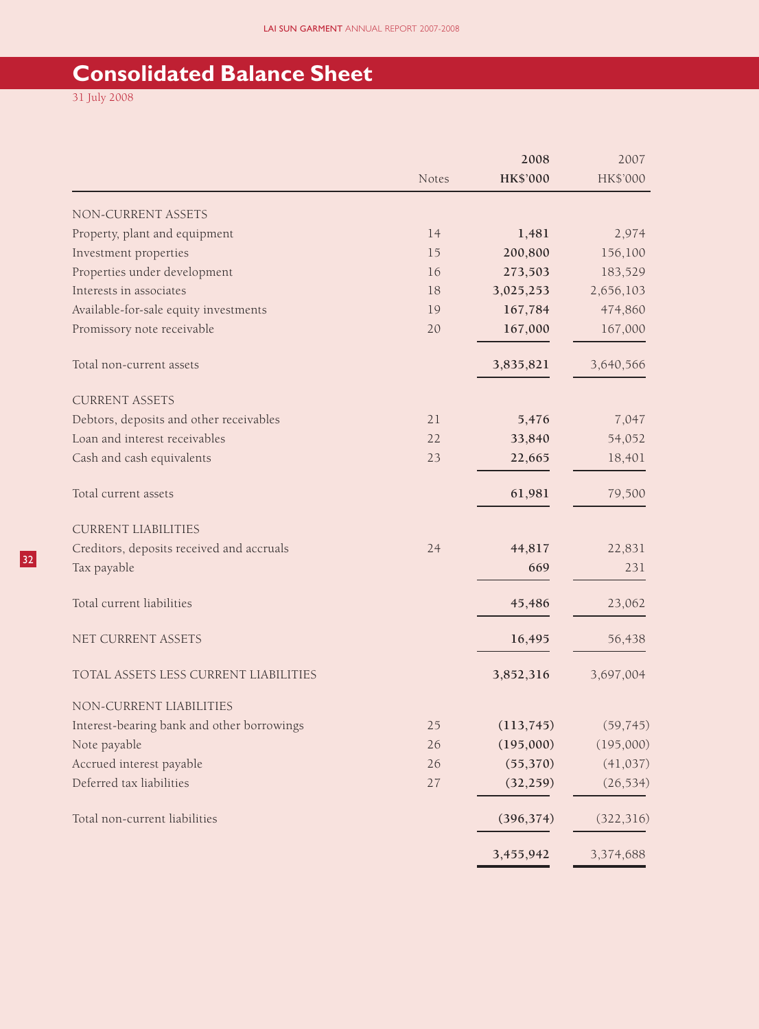# **Consolidated Balance Sheet**

31 July 2008

|                                            |       | 2008            | 2007       |
|--------------------------------------------|-------|-----------------|------------|
|                                            | Notes | <b>HK\$'000</b> | HK\$'000   |
| NON-CURRENT ASSETS                         |       |                 |            |
| Property, plant and equipment              | 14    | 1,481           | 2,974      |
| Investment properties                      | 15    | 200,800         | 156,100    |
| Properties under development               | 16    | 273,503         | 183,529    |
| Interests in associates                    | 18    | 3,025,253       | 2,656,103  |
| Available-for-sale equity investments      | 19    | 167,784         | 474,860    |
| Promissory note receivable                 | 20    | 167,000         | 167,000    |
| Total non-current assets                   |       | 3,835,821       | 3,640,566  |
| <b>CURRENT ASSETS</b>                      |       |                 |            |
| Debtors, deposits and other receivables    | 21    | 5,476           | 7,047      |
| Loan and interest receivables              | 22    | 33,840          | 54,052     |
| Cash and cash equivalents                  | 23    | 22,665          | 18,401     |
| Total current assets                       |       | 61,981          | 79,500     |
| <b>CURRENT LIABILITIES</b>                 |       |                 |            |
| Creditors, deposits received and accruals  | 24    | 44,817          | 22,831     |
| Tax payable                                |       | 669             | 231        |
| Total current liabilities                  |       | 45,486          | 23,062     |
| NET CURRENT ASSETS                         |       | 16,495          | 56,438     |
| TOTAL ASSETS LESS CURRENT LIABILITIES      |       | 3,852,316       | 3,697,004  |
| NON-CURRENT LIABILITIES                    |       |                 |            |
| Interest-bearing bank and other borrowings | 25    | (113, 745)      | (59, 745)  |
| Note payable                               | 26    | (195,000)       | (195,000)  |
| Accrued interest payable                   | 26    | (55,370)        | (41, 037)  |
| Deferred tax liabilities                   | 27    | (32, 259)       | (26, 534)  |
| Total non-current liabilities              |       | (396, 374)      | (322, 316) |
|                                            |       | 3,455,942       | 3,374,688  |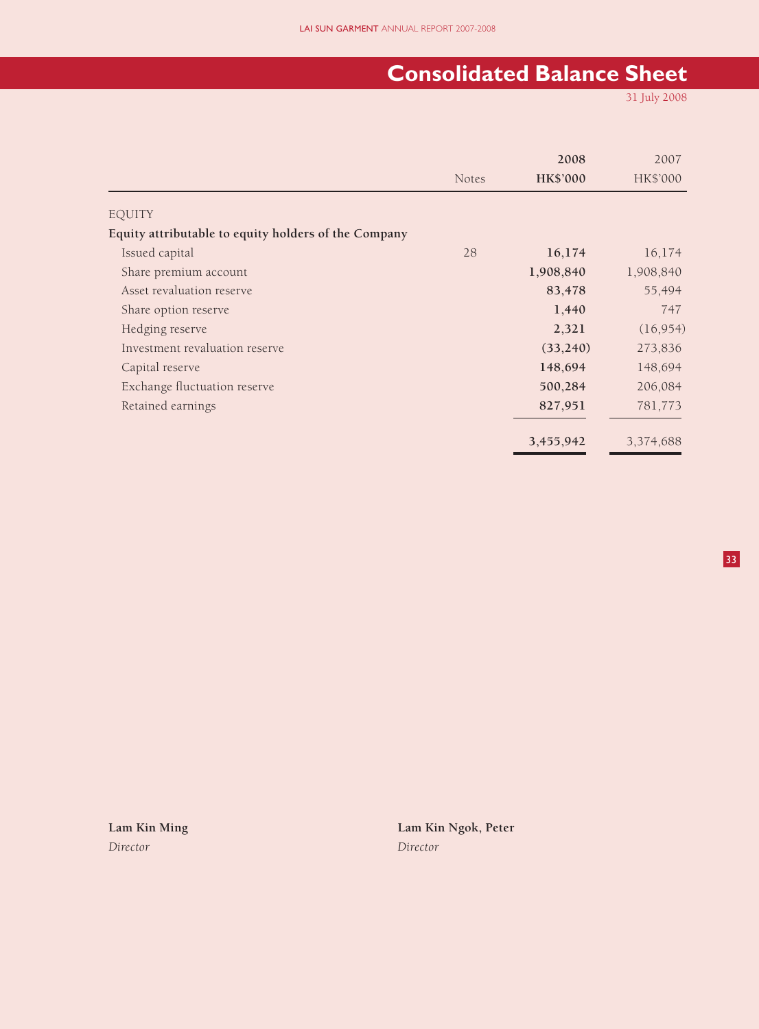# **Consolidated Balance Sheet**

31 July 2008

|                                                      |       | 2008            | 2007      |
|------------------------------------------------------|-------|-----------------|-----------|
|                                                      | Notes | <b>HK\$'000</b> | HK\$'000  |
| <b>EQUITY</b>                                        |       |                 |           |
| Equity attributable to equity holders of the Company |       |                 |           |
| Issued capital                                       | 28    | 16,174          | 16,174    |
| Share premium account                                |       | 1,908,840       | 1,908,840 |
| Asset revaluation reserve                            |       | 83,478          | 55,494    |
| Share option reserve                                 |       | 1,440           | 747       |
| Hedging reserve                                      |       | 2,321           | (16, 954) |
| Investment revaluation reserve                       |       | (33,240)        | 273,836   |
| Capital reserve                                      |       | 148,694         | 148,694   |
| Exchange fluctuation reserve                         |       | 500,284         | 206,084   |
| Retained earnings                                    |       | 827,951         | 781,773   |
|                                                      |       | 3,455,942       | 3,374,688 |

*Director Director*

**Lam Kin Ming Lam Kin Ngok, Peter**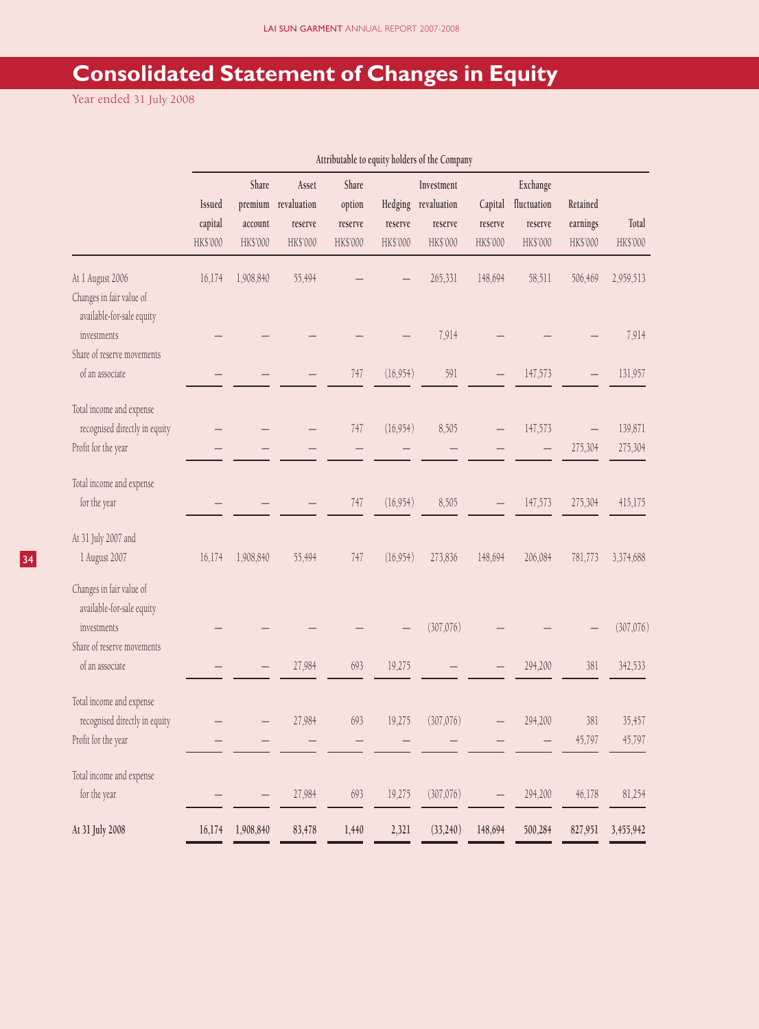# **Consolidated Statement of Changes in Equity**

Year ended 31 July 2008

|                                                                                  |                               |                                         |                                             |                                        |                                | Attributable to equity holders of the Company    |                                |                                                |                                  |                     |
|----------------------------------------------------------------------------------|-------------------------------|-----------------------------------------|---------------------------------------------|----------------------------------------|--------------------------------|--------------------------------------------------|--------------------------------|------------------------------------------------|----------------------------------|---------------------|
|                                                                                  | Issued<br>capital<br>HK\$'000 | Share<br>premium<br>account<br>HK\$'000 | Asset<br>revaluation<br>reserve<br>HK\$'000 | Share<br>option<br>reserve<br>HK\$'000 | Hedging<br>reserve<br>HK\$'000 | Investment<br>revaluation<br>reserve<br>HK\$'000 | Capital<br>reserve<br>HK\$'000 | Exchange<br>fluctuation<br>reserve<br>HK\$'000 | Retained<br>earnings<br>HK\$'000 | Total<br>HK\$'000   |
| At 1 August 2006<br>Changes in fair value of                                     | 16,174                        | 1,908,840                               | 55,494                                      |                                        |                                | 265,331                                          | 148,694                        | 58,511                                         | 506,469                          | 2,959,513           |
| available-for-sale equity<br>investments                                         |                               |                                         |                                             |                                        |                                | 7,914                                            |                                |                                                |                                  | 7,914               |
| Share of reserve movements<br>of an associate                                    |                               |                                         |                                             | 747                                    | (16,954)                       | 591                                              |                                | 147,573                                        |                                  | 131,957             |
| Total income and expense<br>recognised directly in equity<br>Profit for the year |                               |                                         |                                             | 747                                    | (16,954)                       | 8,505                                            |                                | 147,573                                        | —<br>275,304                     | 139,871<br>275,304  |
| Total income and expense<br>for the year                                         |                               |                                         |                                             | 747                                    | (16,954)                       | 8,505                                            |                                | 147,573                                        | 275,304                          | 415,175             |
| At 31 July 2007 and<br>1 August 2007                                             | 16,174                        | 1,908,840                               | 55,494                                      | 747                                    | (16,954)                       | 273,836                                          | 148,694                        | 206,084                                        | 781,773                          | 3,374,688           |
| Changes in fair value of<br>available-for-sale equity                            |                               |                                         |                                             |                                        |                                |                                                  |                                |                                                |                                  |                     |
| investments<br>Share of reserve movements                                        |                               |                                         |                                             |                                        |                                | (307,076)                                        |                                |                                                |                                  | (307,076)           |
| of an associate                                                                  |                               |                                         | 27,984                                      | 693                                    | 19,275                         |                                                  |                                | 294,200                                        | 381                              | 342,533             |
| Total income and expense<br>recognised directly in equity<br>Profit for the year |                               |                                         | 27,984                                      | 693                                    | 19,275                         | (307,076)                                        |                                | 294,200                                        | 381<br>45,797                    | 35,457<br>45,797    |
| Total income and expense                                                         |                               |                                         |                                             |                                        |                                |                                                  |                                |                                                |                                  |                     |
| for the year<br>At 31 July 2008                                                  | 16,174                        | 1,908,840                               | 27,984<br>83,478                            | 693<br>1,440                           | 19,275<br>2,321                | (307,076)<br>(33,240)                            | 148,694                        | 294,200<br>500,284                             | 46,178<br>827,951                | 81,254<br>3,455,942 |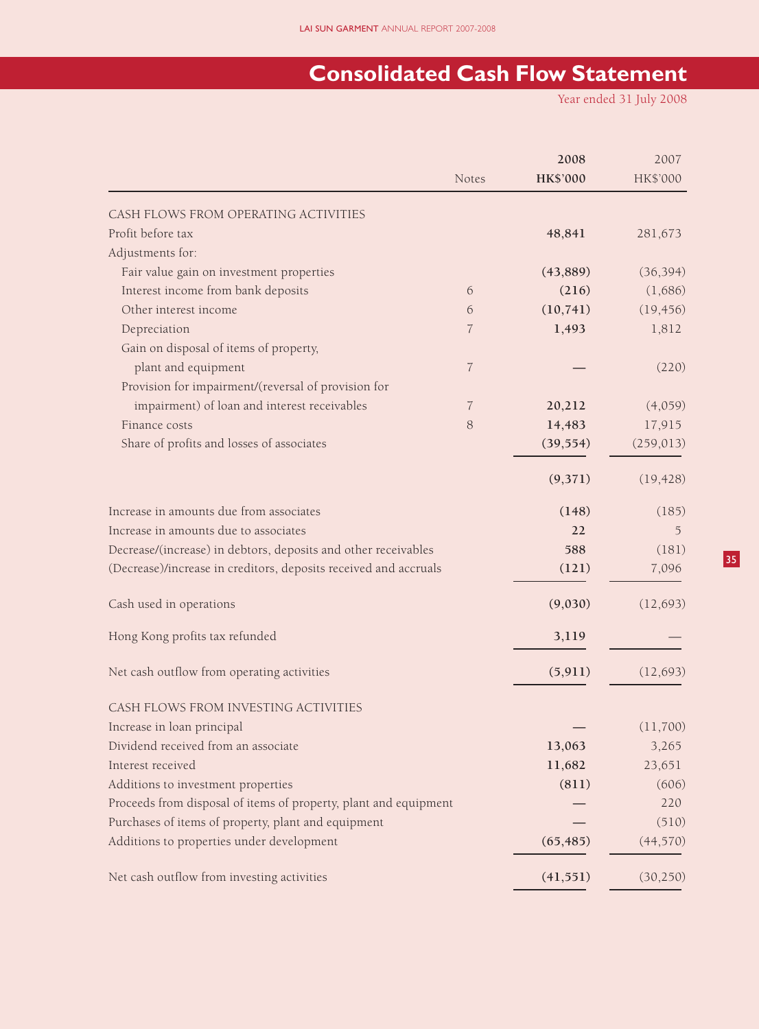# **Consolidated Cash Flow Statement**

Year ended 31 July 2008

|                                                                  | Notes | 2008<br><b>HK\$'000</b> | 2007<br>HK\$'000 |
|------------------------------------------------------------------|-------|-------------------------|------------------|
| CASH FLOWS FROM OPERATING ACTIVITIES                             |       |                         |                  |
| Profit before tax                                                |       | 48,841                  | 281,673          |
| Adjustments for:                                                 |       |                         |                  |
| Fair value gain on investment properties                         |       | (43, 889)               | (36, 394)        |
| Interest income from bank deposits                               | 6     | (216)                   | (1,686)          |
| Other interest income                                            | 6     | (10,741)                | (19, 456)        |
| Depreciation                                                     | 7     | 1,493                   | 1,812            |
| Gain on disposal of items of property,                           |       |                         |                  |
| plant and equipment                                              | 7     |                         | (220)            |
| Provision for impairment/(reversal of provision for              |       |                         |                  |
| impairment) of loan and interest receivables                     | 7     | 20,212                  | (4,059)          |
| Finance costs                                                    | $8\,$ | 14,483                  | 17,915           |
| Share of profits and losses of associates                        |       | (39, 554)               | (259, 013)       |
|                                                                  |       | (9,371)                 | (19, 428)        |
| Increase in amounts due from associates                          |       | (148)                   | (185)            |
| Increase in amounts due to associates                            |       | 22                      | 5                |
| Decrease/(increase) in debtors, deposits and other receivables   |       | 588                     | (181)            |
| (Decrease)/increase in creditors, deposits received and accruals |       | (121)                   | 7,096            |
| Cash used in operations                                          |       | (9,030)                 | (12, 693)        |
| Hong Kong profits tax refunded                                   |       | 3,119                   |                  |
| Net cash outflow from operating activities                       |       | (5, 911)                | (12, 693)        |
| CASH FLOWS FROM INVESTING ACTIVITIES                             |       |                         |                  |
| Increase in loan principal                                       |       |                         | (11,700)         |
| Dividend received from an associate                              |       | 13,063                  | 3,265            |
| Interest received                                                |       | 11,682                  | 23,651           |
| Additions to investment properties                               |       | (811)                   | (606)            |
| Proceeds from disposal of items of property, plant and equipment |       |                         | 220              |
| Purchases of items of property, plant and equipment              |       |                         | (510)            |
| Additions to properties under development                        |       | (65, 485)               | (44,570)         |
| Net cash outflow from investing activities                       |       | (41,551)                | (30, 250)        |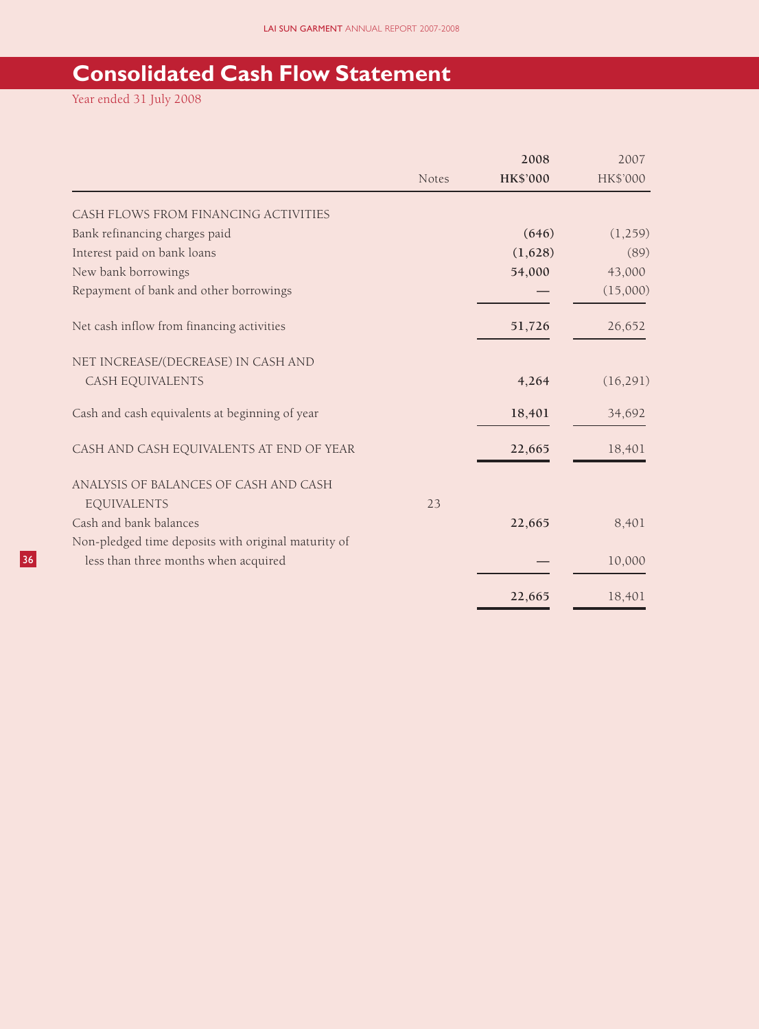# **Consolidated Cash Flow Statement**

Year ended 31 July 2008

|                                                     |              | 2008            | 2007     |
|-----------------------------------------------------|--------------|-----------------|----------|
|                                                     | <b>Notes</b> | <b>HK\$'000</b> | HK\$'000 |
| CASH FLOWS FROM FINANCING ACTIVITIES                |              |                 |          |
| Bank refinancing charges paid                       |              | (646)           | (1,259)  |
| Interest paid on bank loans                         |              | (1,628)         | (89)     |
| New bank borrowings                                 |              | 54,000          | 43,000   |
| Repayment of bank and other borrowings              |              |                 | (15,000) |
| Net cash inflow from financing activities           |              | 51,726          | 26,652   |
| NET INCREASE/(DECREASE) IN CASH AND                 |              |                 |          |
| <b>CASH EQUIVALENTS</b>                             |              | 4,264           | (16,291) |
| Cash and cash equivalents at beginning of year      |              | 18,401          | 34,692   |
| CASH AND CASH EQUIVALENTS AT END OF YEAR            |              | 22,665          | 18,401   |
| ANALYSIS OF BALANCES OF CASH AND CASH               |              |                 |          |
| <b>EQUIVALENTS</b>                                  | 23           |                 |          |
| Cash and bank balances                              |              | 22,665          | 8,401    |
| Non-pledged time deposits with original maturity of |              |                 |          |
| less than three months when acquired                |              |                 | 10,000   |
|                                                     |              | 22,665          | 18,401   |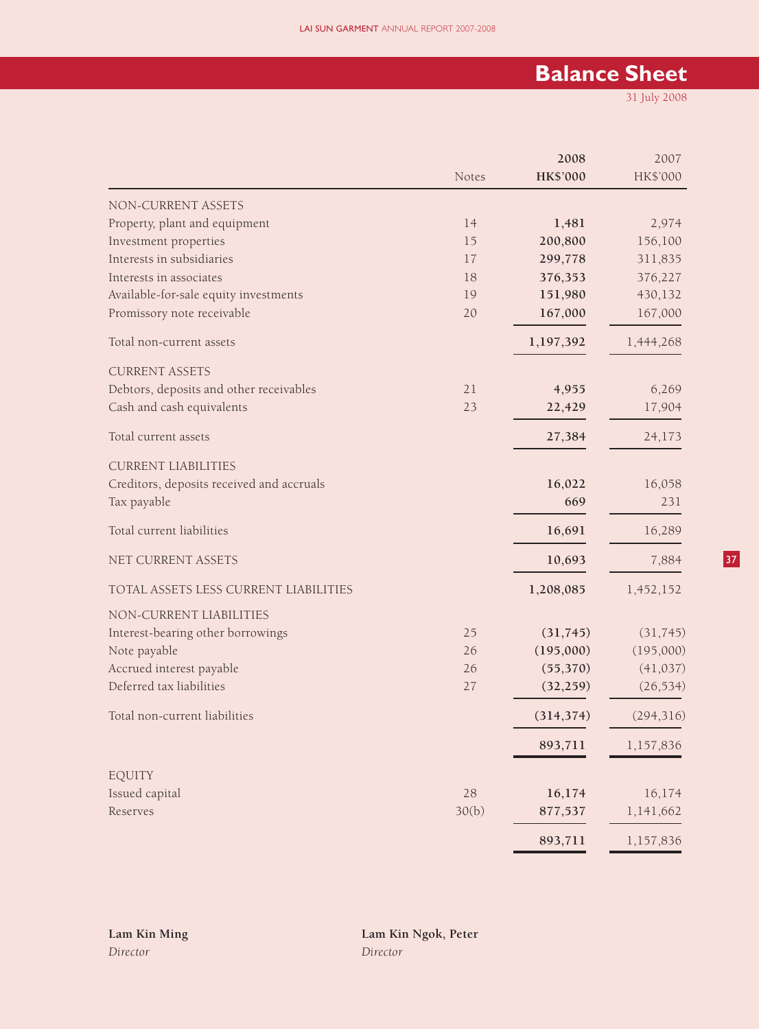# **Balance Sheet**

31 July 2008

|                                           |       | 2008            | 2007       |
|-------------------------------------------|-------|-----------------|------------|
|                                           | Notes | <b>HK\$'000</b> | HK\$'000   |
| NON-CURRENT ASSETS                        |       |                 |            |
| Property, plant and equipment             | 14    | 1,481           | 2,974      |
| Investment properties                     | 15    | 200,800         | 156,100    |
| Interests in subsidiaries                 | 17    | 299,778         | 311,835    |
| Interests in associates                   | 18    | 376,353         | 376,227    |
| Available-for-sale equity investments     | 19    | 151,980         | 430,132    |
| Promissory note receivable                | 20    | 167,000         | 167,000    |
| Total non-current assets                  |       | 1,197,392       | 1,444,268  |
| <b>CURRENT ASSETS</b>                     |       |                 |            |
| Debtors, deposits and other receivables   | 21    | 4,955           | 6,269      |
| Cash and cash equivalents                 | 23    | 22,429          | 17,904     |
| Total current assets                      |       | 27,384          | 24,173     |
| <b>CURRENT LIABILITIES</b>                |       |                 |            |
| Creditors, deposits received and accruals |       | 16,022          | 16,058     |
| Tax payable                               |       | 669             | 231        |
| Total current liabilities                 |       | 16,691          | 16,289     |
| NET CURRENT ASSETS                        |       | 10,693          | 7,884      |
| TOTAL ASSETS LESS CURRENT LIABILITIES     |       | 1,208,085       | 1,452,152  |
| NON-CURRENT LIABILITIES                   |       |                 |            |
| Interest-bearing other borrowings         | 25    | (31, 745)       | (31, 745)  |
| Note payable                              | 26    | (195,000)       | (195,000)  |
| Accrued interest payable                  | 26    | (55,370)        | (41, 037)  |
| Deferred tax liabilities                  | 27    | (32, 259)       | (26, 534)  |
| Total non-current liabilities             |       | (314, 374)      | (294, 316) |
|                                           |       | 893,711         | 1,157,836  |
| <b>EQUITY</b>                             |       |                 |            |
| Issued capital                            | 28    | 16,174          | 16,174     |
| Reserves                                  | 30(b) | 877,537         | 1,141,662  |
|                                           |       | 893,711         | 1,157,836  |

**Lam Kin Ming Lam Kin Ngok, Peter**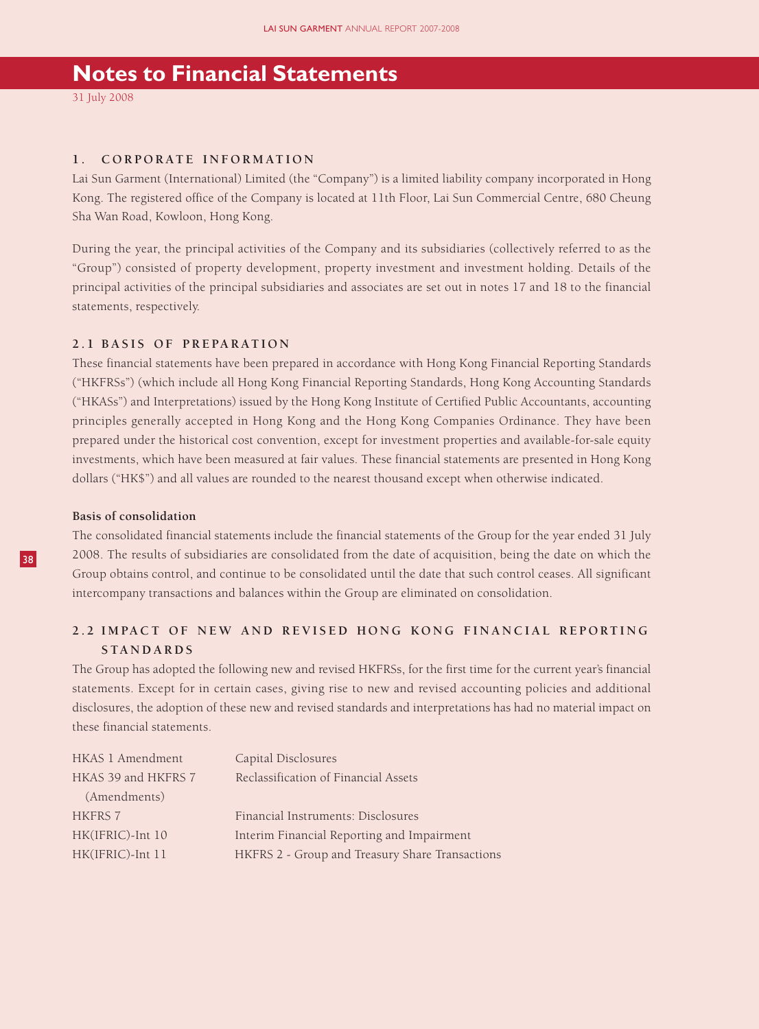31 July 2008

#### **1. CORPORATE INFORMATION**

Lai Sun Garment (International) Limited (the "Company") is a limited liability company incorporated in Hong Kong. The registered office of the Company is located at 11th Floor, Lai Sun Commercial Centre, 680 Cheung Sha Wan Road, Kowloon, Hong Kong.

During the year, the principal activities of the Company and its subsidiaries (collectively referred to as the "Group") consisted of property development, property investment and investment holding. Details of the principal activities of the principal subsidiaries and associates are set out in notes 17 and 18 to the financial statements, respectively.

#### **2.1 BASIS OF PREPARATION**

These financial statements have been prepared in accordance with Hong Kong Financial Reporting Standards ("HKFRSs") (which include all Hong Kong Financial Reporting Standards, Hong Kong Accounting Standards ("HKASs") and Interpretations) issued by the Hong Kong Institute of Certified Public Accountants, accounting principles generally accepted in Hong Kong and the Hong Kong Companies Ordinance. They have been prepared under the historical cost convention, except for investment properties and available-for-sale equity investments, which have been measured at fair values. These financial statements are presented in Hong Kong dollars ("HK\$") and all values are rounded to the nearest thousand except when otherwise indicated.

#### **Basis of consolidation**

The consolidated financial statements include the financial statements of the Group for the year ended 31 July 2008. The results of subsidiaries are consolidated from the date of acquisition, being the date on which the Group obtains control, and continue to be consolidated until the date that such control ceases. All significant intercompany transactions and balances within the Group are eliminated on consolidation.

## **2.2 IMPACT OF NEW AND REVISED HONG KONG FINANCIAL REPORTING STANDARDS**

The Group has adopted the following new and revised HKFRSs, for the first time for the current year's financial statements. Except for in certain cases, giving rise to new and revised accounting policies and additional disclosures, the adoption of these new and revised standards and interpretations has had no material impact on these financial statements.

| HKAS 1 Amendment    | Capital Disclosures                             |
|---------------------|-------------------------------------------------|
| HKAS 39 and HKFRS 7 | Reclassification of Financial Assets            |
| (Amendments)        |                                                 |
| <b>HKFRS 7</b>      | Financial Instruments: Disclosures              |
| HK(IFRIC)-Int 10    | Interim Financial Reporting and Impairment      |
| HK(IFRIC)-Int 11    | HKFRS 2 - Group and Treasury Share Transactions |
|                     |                                                 |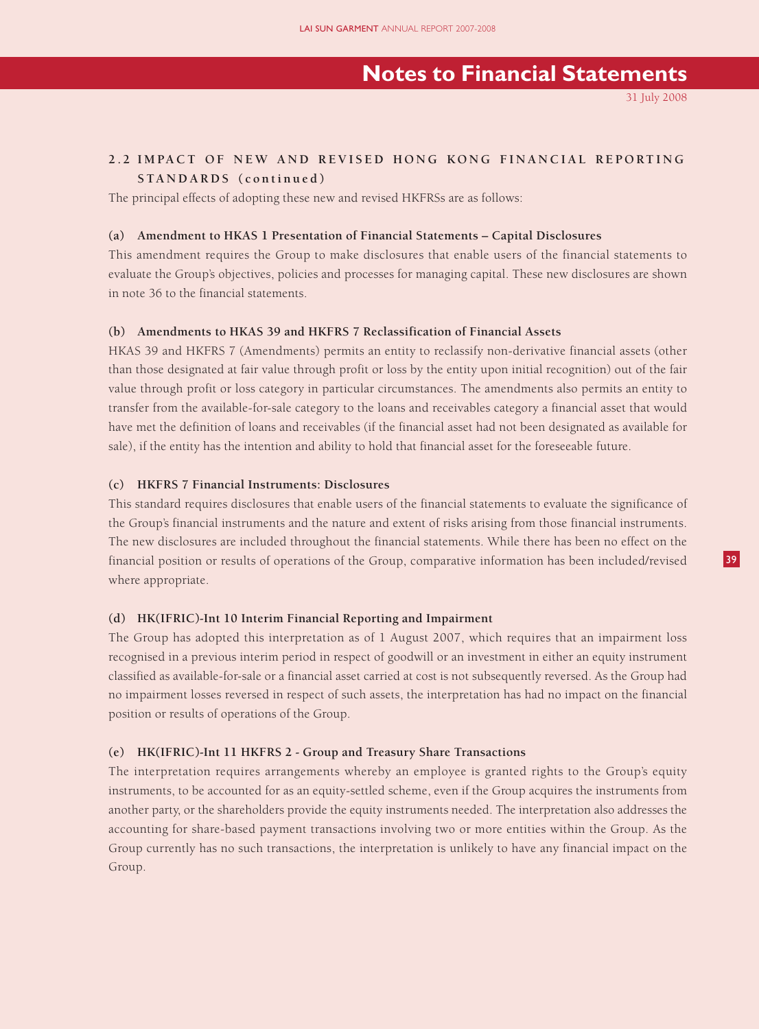31 July 2008

## **2.2 IMPACT OF NEW AND REVISED HONG KONG FINANCIAL REPORTING STANDARDS (continued)**

The principal effects of adopting these new and revised HKFRSs are as follows:

#### **(a) Amendment to HKAS 1 Presentation of Financial Statements – Capital Disclosures**

This amendment requires the Group to make disclosures that enable users of the financial statements to evaluate the Group's objectives, policies and processes for managing capital. These new disclosures are shown in note 36 to the financial statements.

#### **(b) Amendments to HKAS 39 and HKFRS 7 Reclassification of Financial Assets**

HKAS 39 and HKFRS 7 (Amendments) permits an entity to reclassify non-derivative financial assets (other than those designated at fair value through profit or loss by the entity upon initial recognition) out of the fair value through profit or loss category in particular circumstances. The amendments also permits an entity to transfer from the available-for-sale category to the loans and receivables category a financial asset that would have met the definition of loans and receivables (if the financial asset had not been designated as available for sale), if the entity has the intention and ability to hold that financial asset for the foreseeable future.

#### **(c) HKFRS 7 Financial Instruments: Disclosures**

This standard requires disclosures that enable users of the financial statements to evaluate the significance of the Group's financial instruments and the nature and extent of risks arising from those financial instruments. The new disclosures are included throughout the financial statements. While there has been no effect on the financial position or results of operations of the Group, comparative information has been included/revised where appropriate.

#### **(d) HK(IFRIC)-Int 10 Interim Financial Reporting and Impairment**

The Group has adopted this interpretation as of 1 August 2007, which requires that an impairment loss recognised in a previous interim period in respect of goodwill or an investment in either an equity instrument classified as available-for-sale or a financial asset carried at cost is not subsequently reversed. As the Group had no impairment losses reversed in respect of such assets, the interpretation has had no impact on the financial position or results of operations of the Group.

#### **(e) HK(IFRIC)-Int 11 HKFRS 2 - Group and Treasury Share Transactions**

The interpretation requires arrangements whereby an employee is granted rights to the Group's equity instruments, to be accounted for as an equity-settled scheme, even if the Group acquires the instruments from another party, or the shareholders provide the equity instruments needed. The interpretation also addresses the accounting for share-based payment transactions involving two or more entities within the Group. As the Group currently has no such transactions, the interpretation is unlikely to have any financial impact on the Group.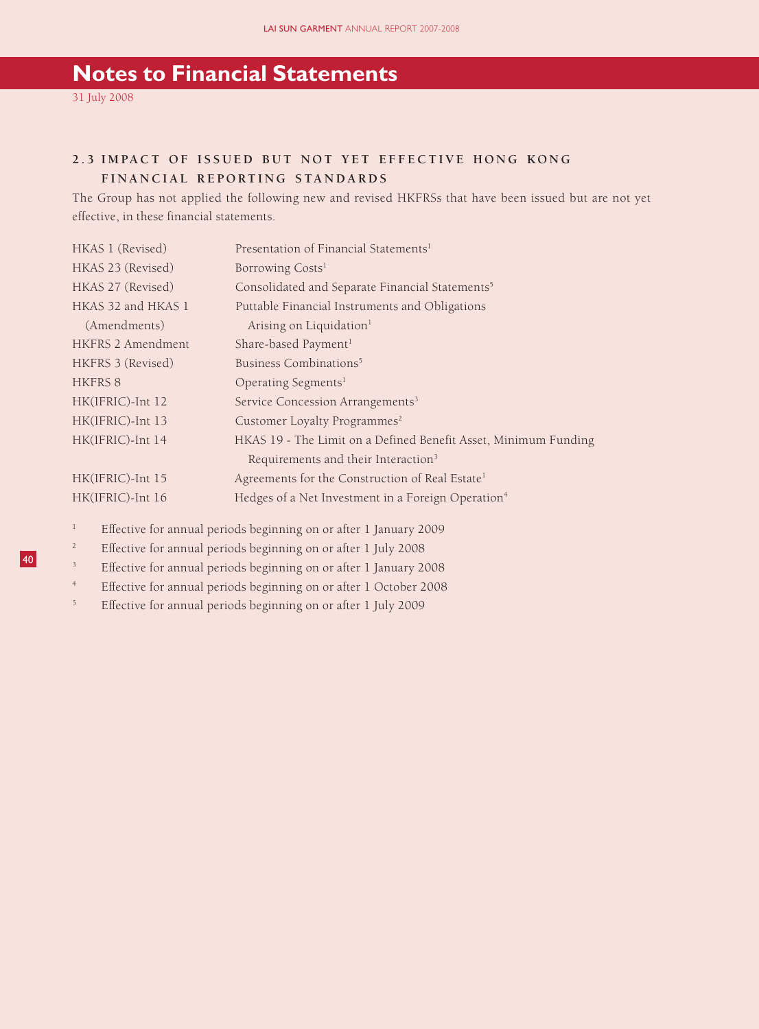31 July 2008

## **2.3 IMPACT OF ISSUED BUT NOT YET EFFECTIVE HONG KONG FINANCIAL REPORTING STANDARDS**

The Group has not applied the following new and revised HKFRSs that have been issued but are not yet effective, in these financial statements.

| HKAS 1 (Revised)   | Presentation of Financial Statements <sup>1</sup>               |
|--------------------|-----------------------------------------------------------------|
| HKAS 23 (Revised)  | Borrowing Costs <sup>1</sup>                                    |
| HKAS 27 (Revised)  | Consolidated and Separate Financial Statements <sup>5</sup>     |
| HKAS 32 and HKAS 1 | Puttable Financial Instruments and Obligations                  |
| (Amendments)       | Arising on Liquidation <sup>1</sup>                             |
| HKFRS 2 Amendment  | Share-based Payment <sup>1</sup>                                |
| HKFRS 3 (Revised)  | Business Combinations <sup>5</sup>                              |
| HKFRS 8            | Operating Segments <sup>1</sup>                                 |
| HK(IFRIC)-Int 12   | Service Concession Arrangements <sup>3</sup>                    |
| HK(IFRIC)-Int 13   | Customer Loyalty Programmes <sup>2</sup>                        |
| HK(IFRIC)-Int 14   | HKAS 19 - The Limit on a Defined Benefit Asset, Minimum Funding |
|                    | Requirements and their Interaction <sup>3</sup>                 |
| HK(IFRIC)-Int 15   | Agreements for the Construction of Real Estate <sup>1</sup>     |
| HK(IFRIC)-Int 16   | Hedges of a Net Investment in a Foreign Operation <sup>4</sup>  |

<sup>1</sup> Effective for annual periods beginning on or after 1 January 2009

<sup>2</sup> Effective for annual periods beginning on or after 1 July 2008

<sup>3</sup> Effective for annual periods beginning on or after 1 January 2008

<sup>4</sup> Effective for annual periods beginning on or after 1 October 2008

<sup>5</sup> Effective for annual periods beginning on or after 1 July 2009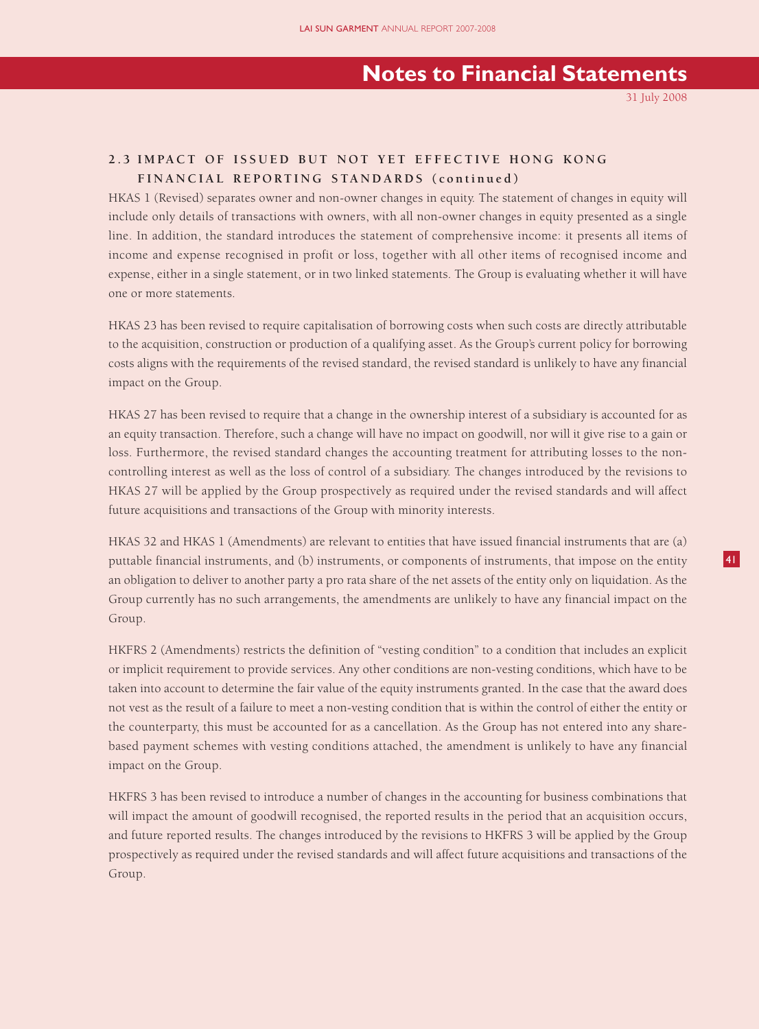31 July 2008

## **2.3 IMPACT OF ISSUED BUT NOT YET EFFECTIVE HONG KONG FINANCIAL REPORTING STANDARDS (continued)**

HKAS 1 (Revised) separates owner and non-owner changes in equity. The statement of changes in equity will include only details of transactions with owners, with all non-owner changes in equity presented as a single line. In addition, the standard introduces the statement of comprehensive income: it presents all items of income and expense recognised in profit or loss, together with all other items of recognised income and expense, either in a single statement, or in two linked statements. The Group is evaluating whether it will have one or more statements.

HKAS 23 has been revised to require capitalisation of borrowing costs when such costs are directly attributable to the acquisition, construction or production of a qualifying asset. As the Group's current policy for borrowing costs aligns with the requirements of the revised standard, the revised standard is unlikely to have any financial impact on the Group.

HKAS 27 has been revised to require that a change in the ownership interest of a subsidiary is accounted for as an equity transaction. Therefore, such a change will have no impact on goodwill, nor will it give rise to a gain or loss. Furthermore, the revised standard changes the accounting treatment for attributing losses to the noncontrolling interest as well as the loss of control of a subsidiary. The changes introduced by the revisions to HKAS 27 will be applied by the Group prospectively as required under the revised standards and will affect future acquisitions and transactions of the Group with minority interests.

HKAS 32 and HKAS 1 (Amendments) are relevant to entities that have issued financial instruments that are (a) puttable financial instruments, and (b) instruments, or components of instruments, that impose on the entity an obligation to deliver to another party a pro rata share of the net assets of the entity only on liquidation. As the Group currently has no such arrangements, the amendments are unlikely to have any financial impact on the Group.

HKFRS 2 (Amendments) restricts the definition of "vesting condition" to a condition that includes an explicit or implicit requirement to provide services. Any other conditions are non-vesting conditions, which have to be taken into account to determine the fair value of the equity instruments granted. In the case that the award does not vest as the result of a failure to meet a non-vesting condition that is within the control of either the entity or the counterparty, this must be accounted for as a cancellation. As the Group has not entered into any sharebased payment schemes with vesting conditions attached, the amendment is unlikely to have any financial impact on the Group.

HKFRS 3 has been revised to introduce a number of changes in the accounting for business combinations that will impact the amount of goodwill recognised, the reported results in the period that an acquisition occurs, and future reported results. The changes introduced by the revisions to HKFRS 3 will be applied by the Group prospectively as required under the revised standards and will affect future acquisitions and transactions of the Group.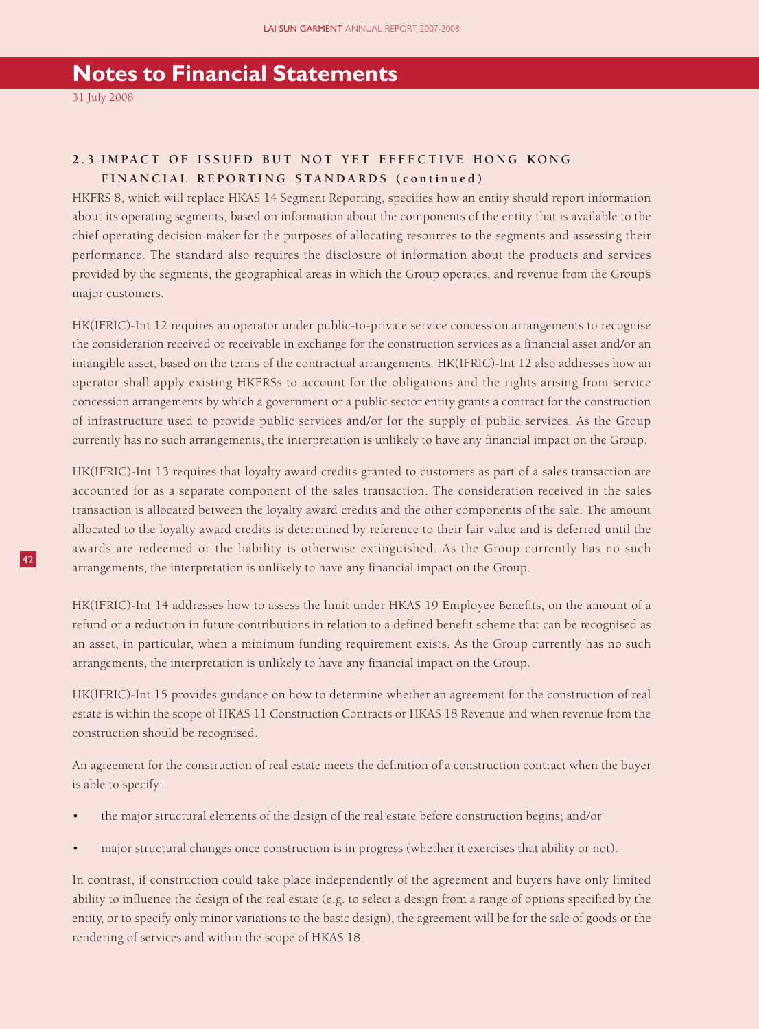31 July 2008

## **2.3 IMPACT OF ISSUED BUT NOT YET EFFECTIVE HONG KONG FINANCIAL REPORTING STANDARDS (continued)**

HKFRS 8, which will replace HKAS 14 Segment Reporting, specifies how an entity should report information about its operating segments, based on information about the components of the entity that is available to the chief operating decision maker for the purposes of allocating resources to the segments and assessing their performance. The standard also requires the disclosure of information about the products and services provided by the segments, the geographical areas in which the Group operates, and revenue from the Group's major customers.

HK(IFRIC)-Int 12 requires an operator under public-to-private service concession arrangements to recognise the consideration received or receivable in exchange for the construction services as a financial asset and/or an intangible asset, based on the terms of the contractual arrangements. HK(IFRIC)-Int 12 also addresses how an operator shall apply existing HKFRSs to account for the obligations and the rights arising from service concession arrangements by which a government or a public sector entity grants a contract for the construction of infrastructure used to provide public services and/or for the supply of public services. As the Group currently has no such arrangements, the interpretation is unlikely to have any financial impact on the Group.

HK(IFRIC)-Int 13 requires that loyalty award credits granted to customers as part of a sales transaction are accounted for as a separate component of the sales transaction. The consideration received in the sales transaction is allocated between the loyalty award credits and the other components of the sale. The amount allocated to the loyalty award credits is determined by reference to their fair value and is deferred until the awards are redeemed or the liability is otherwise extinguished. As the Group currently has no such arrangements, the interpretation is unlikely to have any financial impact on the Group.

HK(IFRIC)-Int 14 addresses how to assess the limit under HKAS 19 Employee Benefits, on the amount of a refund or a reduction in future contributions in relation to a defined benefit scheme that can be recognised as an asset, in particular, when a minimum funding requirement exists. As the Group currently has no such arrangements, the interpretation is unlikely to have any financial impact on the Group.

HK(IFRIC)-Int 15 provides guidance on how to determine whether an agreement for the construction of real estate is within the scope of HKAS 11 Construction Contracts or HKAS 18 Revenue and when revenue from the construction should be recognised.

An agreement for the construction of real estate meets the definition of a construction contract when the buyer is able to specify:

- the major structural elements of the design of the real estate before construction begins; and/or
- major structural changes once construction is in progress (whether it exercises that ability or not).

In contrast, if construction could take place independently of the agreement and buyers have only limited ability to influence the design of the real estate (e.g. to select a design from a range of options specified by the entity, or to specify only minor variations to the basic design), the agreement will be for the sale of goods or the rendering of services and within the scope of HKAS 18.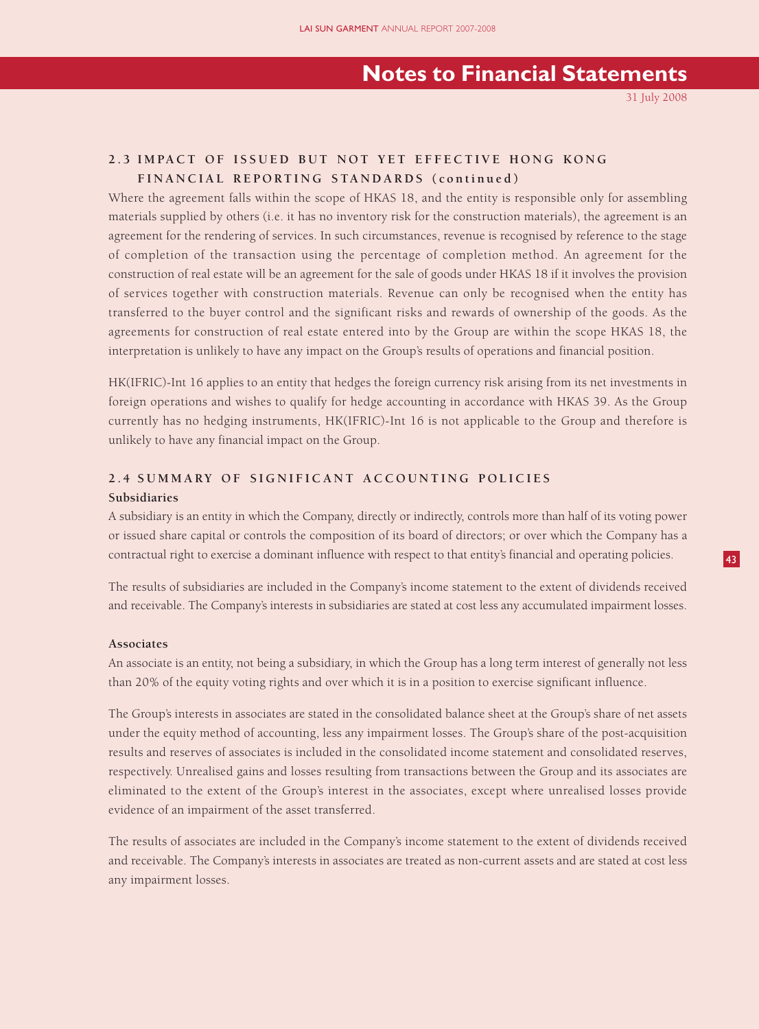31 July 2008

## **2.3 IMPACT OF ISSUED BUT NOT YET EFFECTIVE HONG KONG FINANCIAL REPORTING STANDARDS (continued)**

Where the agreement falls within the scope of HKAS 18, and the entity is responsible only for assembling materials supplied by others (i.e. it has no inventory risk for the construction materials), the agreement is an agreement for the rendering of services. In such circumstances, revenue is recognised by reference to the stage of completion of the transaction using the percentage of completion method. An agreement for the construction of real estate will be an agreement for the sale of goods under HKAS 18 if it involves the provision of services together with construction materials. Revenue can only be recognised when the entity has transferred to the buyer control and the significant risks and rewards of ownership of the goods. As the agreements for construction of real estate entered into by the Group are within the scope HKAS 18, the interpretation is unlikely to have any impact on the Group's results of operations and financial position.

HK(IFRIC)-Int 16 applies to an entity that hedges the foreign currency risk arising from its net investments in foreign operations and wishes to qualify for hedge accounting in accordance with HKAS 39. As the Group currently has no hedging instruments, HK(IFRIC)-Int 16 is not applicable to the Group and therefore is unlikely to have any financial impact on the Group.

#### **2.4 SUMMARY OF SIGNIFICANT ACCOUNTING POLICIES Subsidiaries**

A subsidiary is an entity in which the Company, directly or indirectly, controls more than half of its voting power or issued share capital or controls the composition of its board of directors; or over which the Company has a contractual right to exercise a dominant influence with respect to that entity's financial and operating policies.

The results of subsidiaries are included in the Company's income statement to the extent of dividends received and receivable. The Company's interests in subsidiaries are stated at cost less any accumulated impairment losses.

#### **Associates**

An associate is an entity, not being a subsidiary, in which the Group has a long term interest of generally not less than 20% of the equity voting rights and over which it is in a position to exercise significant influence.

The Group's interests in associates are stated in the consolidated balance sheet at the Group's share of net assets under the equity method of accounting, less any impairment losses. The Group's share of the post-acquisition results and reserves of associates is included in the consolidated income statement and consolidated reserves, respectively. Unrealised gains and losses resulting from transactions between the Group and its associates are eliminated to the extent of the Group's interest in the associates, except where unrealised losses provide evidence of an impairment of the asset transferred.

The results of associates are included in the Company's income statement to the extent of dividends received and receivable. The Company's interests in associates are treated as non-current assets and are stated at cost less any impairment losses.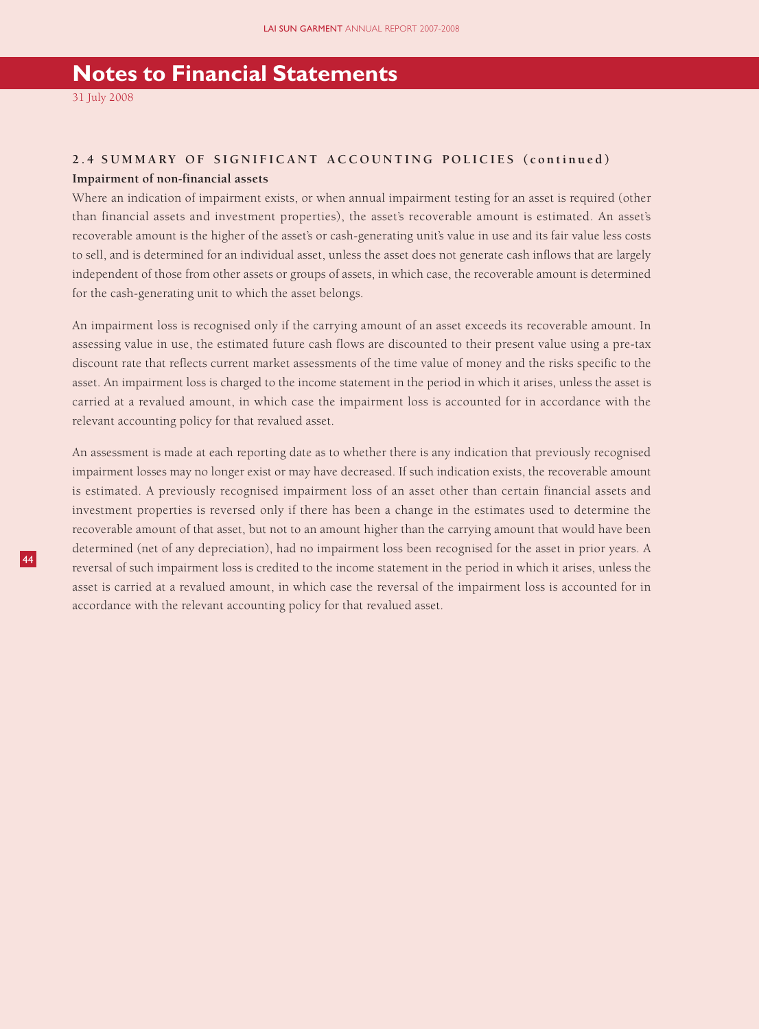31 July 2008

## **2.4 SUMMARY OF SIGNIFICANT ACCOUNTING POLICIES (continued) Impairment of non-financial assets**

Where an indication of impairment exists, or when annual impairment testing for an asset is required (other than financial assets and investment properties), the asset's recoverable amount is estimated. An asset's recoverable amount is the higher of the asset's or cash-generating unit's value in use and its fair value less costs to sell, and is determined for an individual asset, unless the asset does not generate cash inflows that are largely independent of those from other assets or groups of assets, in which case, the recoverable amount is determined for the cash-generating unit to which the asset belongs.

An impairment loss is recognised only if the carrying amount of an asset exceeds its recoverable amount. In assessing value in use, the estimated future cash flows are discounted to their present value using a pre-tax discount rate that reflects current market assessments of the time value of money and the risks specific to the asset. An impairment loss is charged to the income statement in the period in which it arises, unless the asset is carried at a revalued amount, in which case the impairment loss is accounted for in accordance with the relevant accounting policy for that revalued asset.

An assessment is made at each reporting date as to whether there is any indication that previously recognised impairment losses may no longer exist or may have decreased. If such indication exists, the recoverable amount is estimated. A previously recognised impairment loss of an asset other than certain financial assets and investment properties is reversed only if there has been a change in the estimates used to determine the recoverable amount of that asset, but not to an amount higher than the carrying amount that would have been determined (net of any depreciation), had no impairment loss been recognised for the asset in prior years. A reversal of such impairment loss is credited to the income statement in the period in which it arises, unless the asset is carried at a revalued amount, in which case the reversal of the impairment loss is accounted for in accordance with the relevant accounting policy for that revalued asset.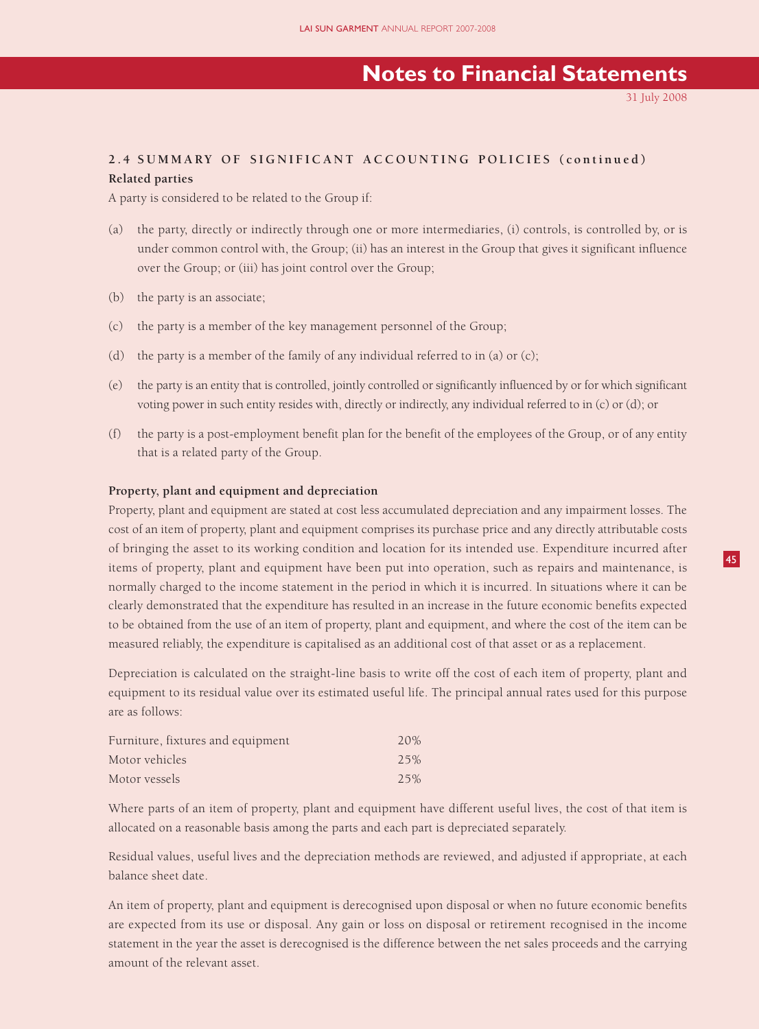31 July 2008

## **2.4 SUMMARY OF SIGNIFICANT ACCOUNTING POLICIES (continued) Related parties**

A party is considered to be related to the Group if:

- (a) the party, directly or indirectly through one or more intermediaries, (i) controls, is controlled by, or is under common control with, the Group; (ii) has an interest in the Group that gives it significant influence over the Group; or (iii) has joint control over the Group;
- (b) the party is an associate;
- (c) the party is a member of the key management personnel of the Group;
- (d) the party is a member of the family of any individual referred to in (a) or (c);
- (e) the party is an entity that is controlled, jointly controlled or significantly influenced by or for which significant voting power in such entity resides with, directly or indirectly, any individual referred to in (c) or (d); or
- (f) the party is a post-employment benefit plan for the benefit of the employees of the Group, or of any entity that is a related party of the Group.

#### **Property, plant and equipment and depreciation**

Property, plant and equipment are stated at cost less accumulated depreciation and any impairment losses. The cost of an item of property, plant and equipment comprises its purchase price and any directly attributable costs of bringing the asset to its working condition and location for its intended use. Expenditure incurred after items of property, plant and equipment have been put into operation, such as repairs and maintenance, is normally charged to the income statement in the period in which it is incurred. In situations where it can be clearly demonstrated that the expenditure has resulted in an increase in the future economic benefits expected to be obtained from the use of an item of property, plant and equipment, and where the cost of the item can be measured reliably, the expenditure is capitalised as an additional cost of that asset or as a replacement.

Depreciation is calculated on the straight-line basis to write off the cost of each item of property, plant and equipment to its residual value over its estimated useful life. The principal annual rates used for this purpose are as follows:

| Furniture, fixtures and equipment | 20% |
|-----------------------------------|-----|
| Motor vehicles                    | 25% |
| Motor vessels                     | 25% |

Where parts of an item of property, plant and equipment have different useful lives, the cost of that item is allocated on a reasonable basis among the parts and each part is depreciated separately.

Residual values, useful lives and the depreciation methods are reviewed, and adjusted if appropriate, at each balance sheet date.

An item of property, plant and equipment is derecognised upon disposal or when no future economic benefits are expected from its use or disposal. Any gain or loss on disposal or retirement recognised in the income statement in the year the asset is derecognised is the difference between the net sales proceeds and the carrying amount of the relevant asset.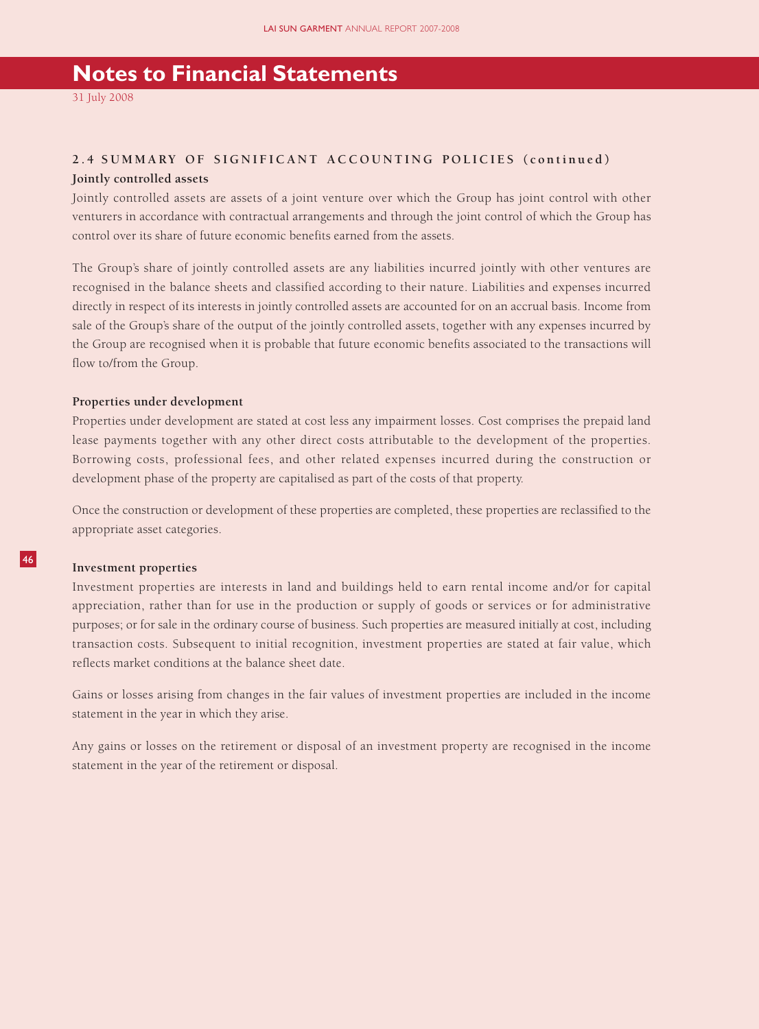31 July 2008

### **2.4 SUMMARY OF SIGNIFICANT ACCOUNTING POLICIES (continued) Jointly controlled assets**

Jointly controlled assets are assets of a joint venture over which the Group has joint control with other venturers in accordance with contractual arrangements and through the joint control of which the Group has control over its share of future economic benefits earned from the assets.

The Group's share of jointly controlled assets are any liabilities incurred jointly with other ventures are recognised in the balance sheets and classified according to their nature. Liabilities and expenses incurred directly in respect of its interests in jointly controlled assets are accounted for on an accrual basis. Income from sale of the Group's share of the output of the jointly controlled assets, together with any expenses incurred by the Group are recognised when it is probable that future economic benefits associated to the transactions will flow to/from the Group.

#### **Properties under development**

Properties under development are stated at cost less any impairment losses. Cost comprises the prepaid land lease payments together with any other direct costs attributable to the development of the properties. Borrowing costs, professional fees, and other related expenses incurred during the construction or development phase of the property are capitalised as part of the costs of that property.

Once the construction or development of these properties are completed, these properties are reclassified to the appropriate asset categories.

#### **Investment properties**

Investment properties are interests in land and buildings held to earn rental income and/or for capital appreciation, rather than for use in the production or supply of goods or services or for administrative purposes; or for sale in the ordinary course of business. Such properties are measured initially at cost, including transaction costs. Subsequent to initial recognition, investment properties are stated at fair value, which reflects market conditions at the balance sheet date.

Gains or losses arising from changes in the fair values of investment properties are included in the income statement in the year in which they arise.

Any gains or losses on the retirement or disposal of an investment property are recognised in the income statement in the year of the retirement or disposal.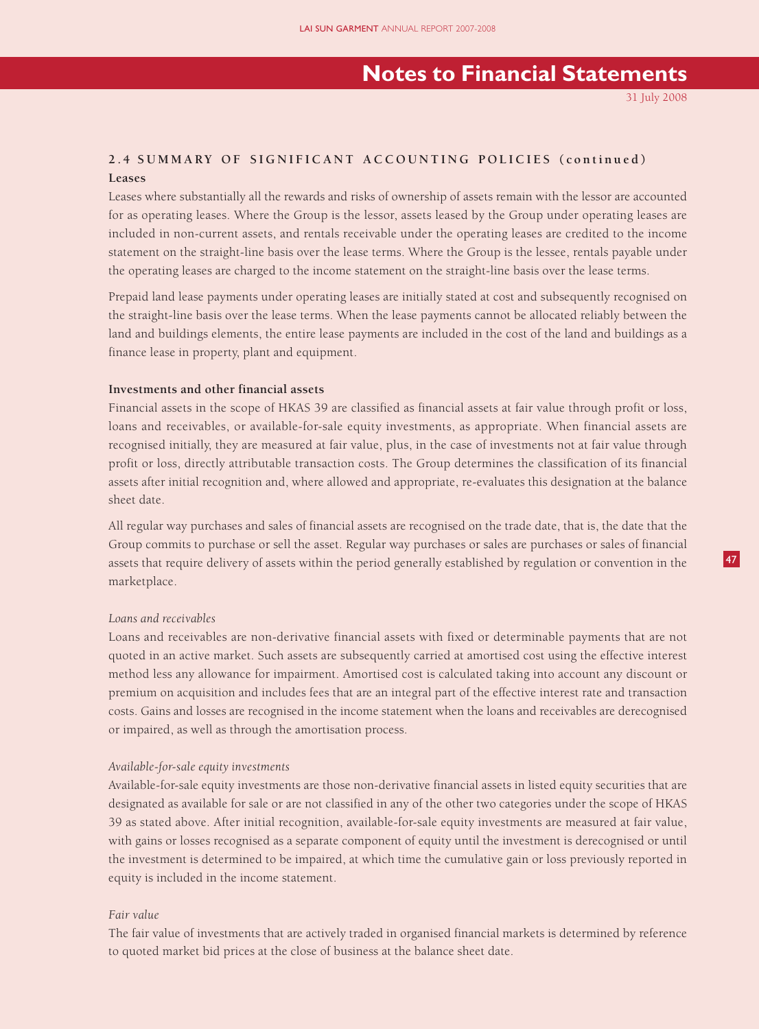31 July 2008

## **2.4 SUMMARY OF SIGNIFICANT ACCOUNTING POLICIES (continued) Leases**

Leases where substantially all the rewards and risks of ownership of assets remain with the lessor are accounted for as operating leases. Where the Group is the lessor, assets leased by the Group under operating leases are included in non-current assets, and rentals receivable under the operating leases are credited to the income statement on the straight-line basis over the lease terms. Where the Group is the lessee, rentals payable under the operating leases are charged to the income statement on the straight-line basis over the lease terms.

Prepaid land lease payments under operating leases are initially stated at cost and subsequently recognised on the straight-line basis over the lease terms. When the lease payments cannot be allocated reliably between the land and buildings elements, the entire lease payments are included in the cost of the land and buildings as a finance lease in property, plant and equipment.

#### **Investments and other financial assets**

Financial assets in the scope of HKAS 39 are classified as financial assets at fair value through profit or loss, loans and receivables, or available-for-sale equity investments, as appropriate. When financial assets are recognised initially, they are measured at fair value, plus, in the case of investments not at fair value through profit or loss, directly attributable transaction costs. The Group determines the classification of its financial assets after initial recognition and, where allowed and appropriate, re-evaluates this designation at the balance sheet date.

All regular way purchases and sales of financial assets are recognised on the trade date, that is, the date that the Group commits to purchase or sell the asset. Regular way purchases or sales are purchases or sales of financial assets that require delivery of assets within the period generally established by regulation or convention in the marketplace.

#### *Loans and receivables*

Loans and receivables are non-derivative financial assets with fixed or determinable payments that are not quoted in an active market. Such assets are subsequently carried at amortised cost using the effective interest method less any allowance for impairment. Amortised cost is calculated taking into account any discount or premium on acquisition and includes fees that are an integral part of the effective interest rate and transaction costs. Gains and losses are recognised in the income statement when the loans and receivables are derecognised or impaired, as well as through the amortisation process.

#### *Available-for-sale equity investments*

Available-for-sale equity investments are those non-derivative financial assets in listed equity securities that are designated as available for sale or are not classified in any of the other two categories under the scope of HKAS 39 as stated above. After initial recognition, available-for-sale equity investments are measured at fair value, with gains or losses recognised as a separate component of equity until the investment is derecognised or until the investment is determined to be impaired, at which time the cumulative gain or loss previously reported in equity is included in the income statement.

#### *Fair value*

The fair value of investments that are actively traded in organised financial markets is determined by reference to quoted market bid prices at the close of business at the balance sheet date.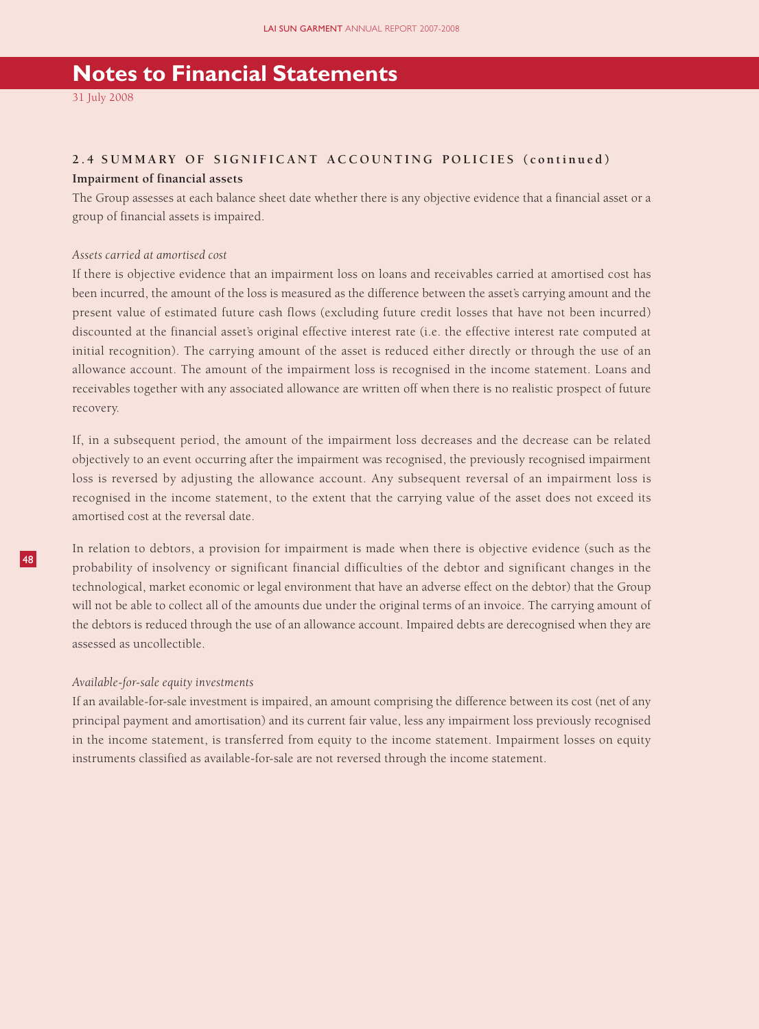31 July 2008

## **2.4 SUMMARY OF SIGNIFICANT ACCOUNTING POLICIES (continued) Impairment of financial assets**

The Group assesses at each balance sheet date whether there is any objective evidence that a financial asset or a group of financial assets is impaired.

#### *Assets carried at amortised cost*

If there is objective evidence that an impairment loss on loans and receivables carried at amortised cost has been incurred, the amount of the loss is measured as the difference between the asset's carrying amount and the present value of estimated future cash flows (excluding future credit losses that have not been incurred) discounted at the financial asset's original effective interest rate (i.e. the effective interest rate computed at initial recognition). The carrying amount of the asset is reduced either directly or through the use of an allowance account. The amount of the impairment loss is recognised in the income statement. Loans and receivables together with any associated allowance are written off when there is no realistic prospect of future recovery.

If, in a subsequent period, the amount of the impairment loss decreases and the decrease can be related objectively to an event occurring after the impairment was recognised, the previously recognised impairment loss is reversed by adjusting the allowance account. Any subsequent reversal of an impairment loss is recognised in the income statement, to the extent that the carrying value of the asset does not exceed its amortised cost at the reversal date.

In relation to debtors, a provision for impairment is made when there is objective evidence (such as the probability of insolvency or significant financial difficulties of the debtor and significant changes in the technological, market economic or legal environment that have an adverse effect on the debtor) that the Group will not be able to collect all of the amounts due under the original terms of an invoice. The carrying amount of the debtors is reduced through the use of an allowance account. Impaired debts are derecognised when they are assessed as uncollectible.

#### *Available-for-sale equity investments*

If an available-for-sale investment is impaired, an amount comprising the difference between its cost (net of any principal payment and amortisation) and its current fair value, less any impairment loss previously recognised in the income statement, is transferred from equity to the income statement. Impairment losses on equity instruments classified as available-for-sale are not reversed through the income statement.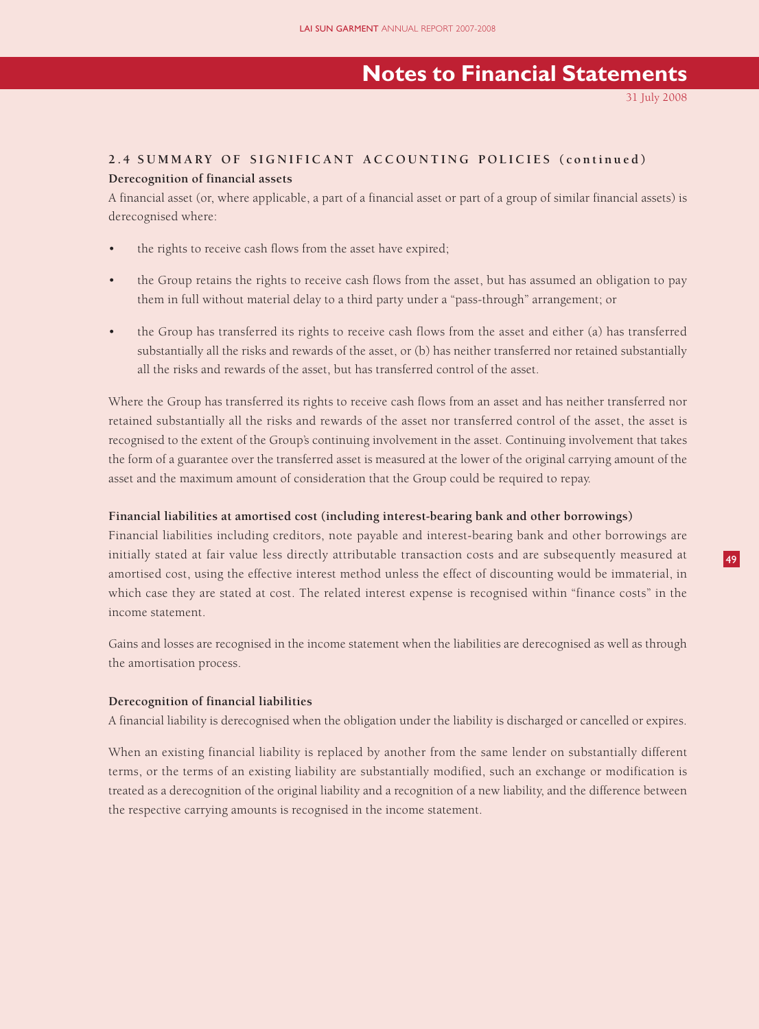31 July 2008

## **2.4 SUMMARY OF SIGNIFICANT ACCOUNTING POLICIES (continued) Derecognition of financial assets**

A financial asset (or, where applicable, a part of a financial asset or part of a group of similar financial assets) is derecognised where:

- the rights to receive cash flows from the asset have expired;
- the Group retains the rights to receive cash flows from the asset, but has assumed an obligation to pay them in full without material delay to a third party under a "pass-through" arrangement; or
- the Group has transferred its rights to receive cash flows from the asset and either (a) has transferred substantially all the risks and rewards of the asset, or (b) has neither transferred nor retained substantially all the risks and rewards of the asset, but has transferred control of the asset.

Where the Group has transferred its rights to receive cash flows from an asset and has neither transferred nor retained substantially all the risks and rewards of the asset nor transferred control of the asset, the asset is recognised to the extent of the Group's continuing involvement in the asset. Continuing involvement that takes the form of a guarantee over the transferred asset is measured at the lower of the original carrying amount of the asset and the maximum amount of consideration that the Group could be required to repay.

#### **Financial liabilities at amortised cost (including interest-bearing bank and other borrowings)**

Financial liabilities including creditors, note payable and interest-bearing bank and other borrowings are initially stated at fair value less directly attributable transaction costs and are subsequently measured at amortised cost, using the effective interest method unless the effect of discounting would be immaterial, in which case they are stated at cost. The related interest expense is recognised within "finance costs" in the income statement.

Gains and losses are recognised in the income statement when the liabilities are derecognised as well as through the amortisation process.

#### **Derecognition of financial liabilities**

A financial liability is derecognised when the obligation under the liability is discharged or cancelled or expires.

When an existing financial liability is replaced by another from the same lender on substantially different terms, or the terms of an existing liability are substantially modified, such an exchange or modification is treated as a derecognition of the original liability and a recognition of a new liability, and the difference between the respective carrying amounts is recognised in the income statement.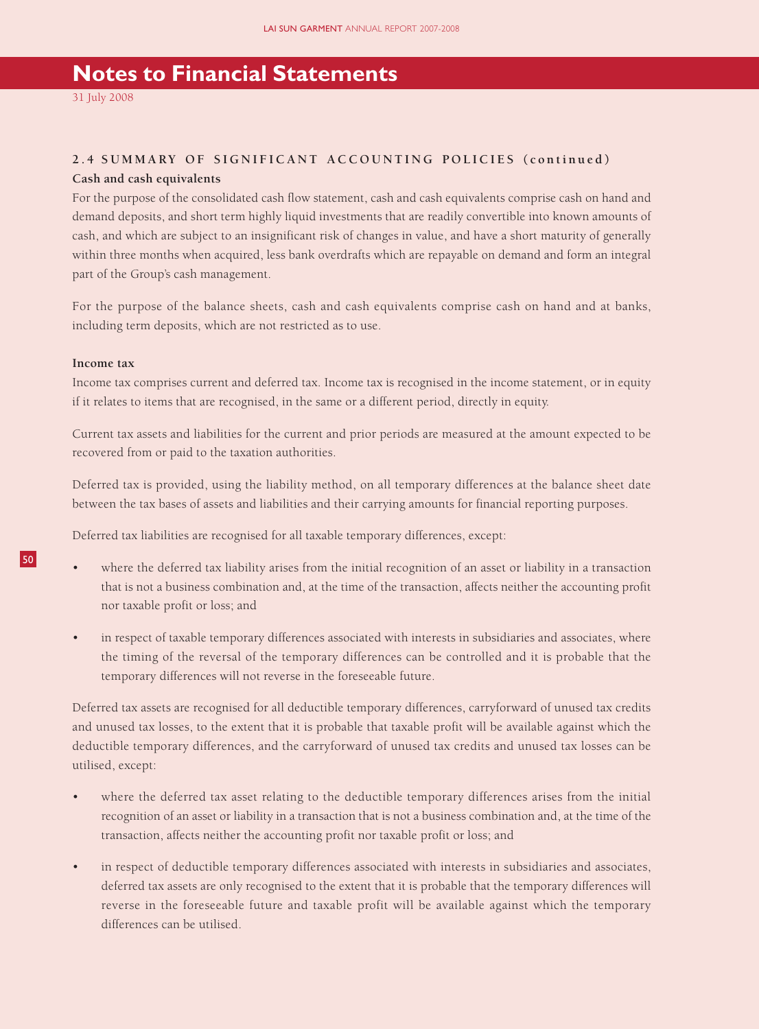31 July 2008

## **2.4 SUMMARY OF SIGNIFICANT ACCOUNTING POLICIES (continued) Cash and cash equivalents**

For the purpose of the consolidated cash flow statement, cash and cash equivalents comprise cash on hand and demand deposits, and short term highly liquid investments that are readily convertible into known amounts of cash, and which are subject to an insignificant risk of changes in value, and have a short maturity of generally within three months when acquired, less bank overdrafts which are repayable on demand and form an integral part of the Group's cash management.

For the purpose of the balance sheets, cash and cash equivalents comprise cash on hand and at banks, including term deposits, which are not restricted as to use.

#### **Income tax**

Income tax comprises current and deferred tax. Income tax is recognised in the income statement, or in equity if it relates to items that are recognised, in the same or a different period, directly in equity.

Current tax assets and liabilities for the current and prior periods are measured at the amount expected to be recovered from or paid to the taxation authorities.

Deferred tax is provided, using the liability method, on all temporary differences at the balance sheet date between the tax bases of assets and liabilities and their carrying amounts for financial reporting purposes.

Deferred tax liabilities are recognised for all taxable temporary differences, except:

- where the deferred tax liability arises from the initial recognition of an asset or liability in a transaction that is not a business combination and, at the time of the transaction, affects neither the accounting profit nor taxable profit or loss; and
- in respect of taxable temporary differences associated with interests in subsidiaries and associates, where the timing of the reversal of the temporary differences can be controlled and it is probable that the temporary differences will not reverse in the foreseeable future.

Deferred tax assets are recognised for all deductible temporary differences, carryforward of unused tax credits and unused tax losses, to the extent that it is probable that taxable profit will be available against which the deductible temporary differences, and the carryforward of unused tax credits and unused tax losses can be utilised, except:

- where the deferred tax asset relating to the deductible temporary differences arises from the initial recognition of an asset or liability in a transaction that is not a business combination and, at the time of the transaction, affects neither the accounting profit nor taxable profit or loss; and
- in respect of deductible temporary differences associated with interests in subsidiaries and associates, deferred tax assets are only recognised to the extent that it is probable that the temporary differences will reverse in the foreseeable future and taxable profit will be available against which the temporary differences can be utilised.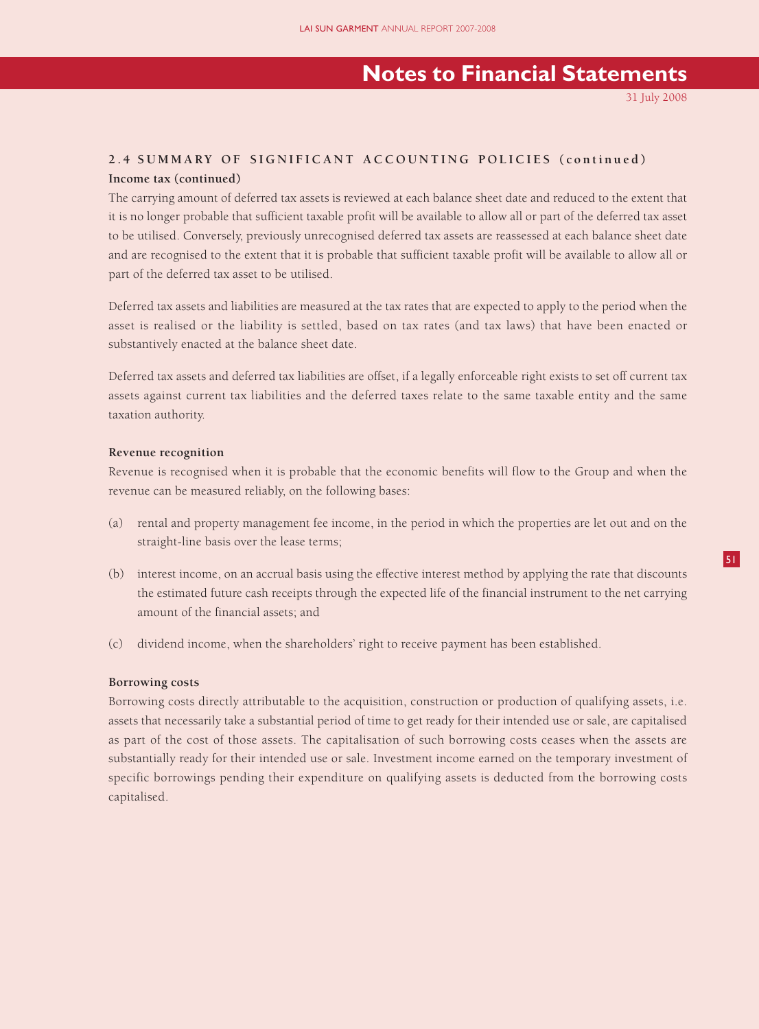31 July 2008

## **2.4 SUMMARY OF SIGNIFICANT ACCOUNTING POLICIES (continued) Income tax (continued)**

The carrying amount of deferred tax assets is reviewed at each balance sheet date and reduced to the extent that it is no longer probable that sufficient taxable profit will be available to allow all or part of the deferred tax asset to be utilised. Conversely, previously unrecognised deferred tax assets are reassessed at each balance sheet date and are recognised to the extent that it is probable that sufficient taxable profit will be available to allow all or part of the deferred tax asset to be utilised.

Deferred tax assets and liabilities are measured at the tax rates that are expected to apply to the period when the asset is realised or the liability is settled, based on tax rates (and tax laws) that have been enacted or substantively enacted at the balance sheet date.

Deferred tax assets and deferred tax liabilities are offset, if a legally enforceable right exists to set off current tax assets against current tax liabilities and the deferred taxes relate to the same taxable entity and the same taxation authority.

#### **Revenue recognition**

Revenue is recognised when it is probable that the economic benefits will flow to the Group and when the revenue can be measured reliably, on the following bases:

- (a) rental and property management fee income, in the period in which the properties are let out and on the straight-line basis over the lease terms;
- (b) interest income, on an accrual basis using the effective interest method by applying the rate that discounts the estimated future cash receipts through the expected life of the financial instrument to the net carrying amount of the financial assets; and
- (c) dividend income, when the shareholders' right to receive payment has been established.

#### **Borrowing costs**

Borrowing costs directly attributable to the acquisition, construction or production of qualifying assets, i.e. assets that necessarily take a substantial period of time to get ready for their intended use or sale, are capitalised as part of the cost of those assets. The capitalisation of such borrowing costs ceases when the assets are substantially ready for their intended use or sale. Investment income earned on the temporary investment of specific borrowings pending their expenditure on qualifying assets is deducted from the borrowing costs capitalised.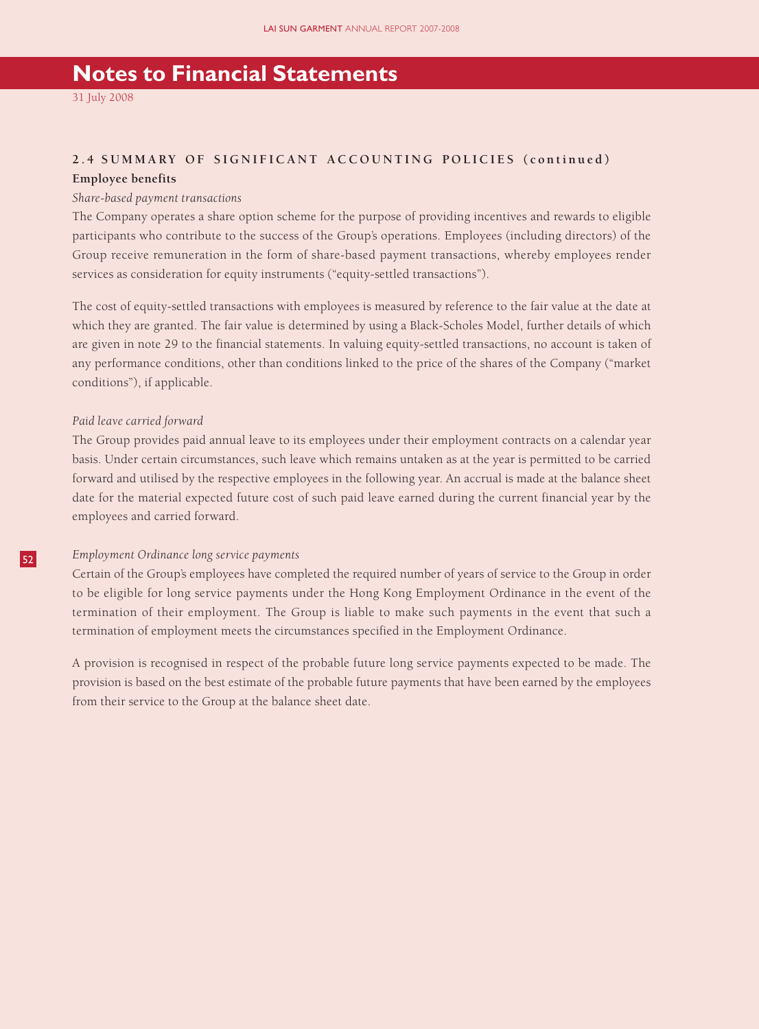31 July 2008

# **2.4 SUMMARY OF SIGNIFICANT ACCOUNTING POLICIES (continued)**

#### **Employee benefits**

#### *Share-based payment transactions*

The Company operates a share option scheme for the purpose of providing incentives and rewards to eligible participants who contribute to the success of the Group's operations. Employees (including directors) of the Group receive remuneration in the form of share-based payment transactions, whereby employees render services as consideration for equity instruments ("equity-settled transactions").

The cost of equity-settled transactions with employees is measured by reference to the fair value at the date at which they are granted. The fair value is determined by using a Black-Scholes Model, further details of which are given in note 29 to the financial statements. In valuing equity-settled transactions, no account is taken of any performance conditions, other than conditions linked to the price of the shares of the Company ("market conditions"), if applicable.

#### *Paid leave carried forward*

The Group provides paid annual leave to its employees under their employment contracts on a calendar year basis. Under certain circumstances, such leave which remains untaken as at the year is permitted to be carried forward and utilised by the respective employees in the following year. An accrual is made at the balance sheet date for the material expected future cost of such paid leave earned during the current financial year by the employees and carried forward.

#### *Employment Ordinance long service payments*

Certain of the Group's employees have completed the required number of years of service to the Group in order to be eligible for long service payments under the Hong Kong Employment Ordinance in the event of the termination of their employment. The Group is liable to make such payments in the event that such a termination of employment meets the circumstances specified in the Employment Ordinance.

A provision is recognised in respect of the probable future long service payments expected to be made. The provision is based on the best estimate of the probable future payments that have been earned by the employees from their service to the Group at the balance sheet date.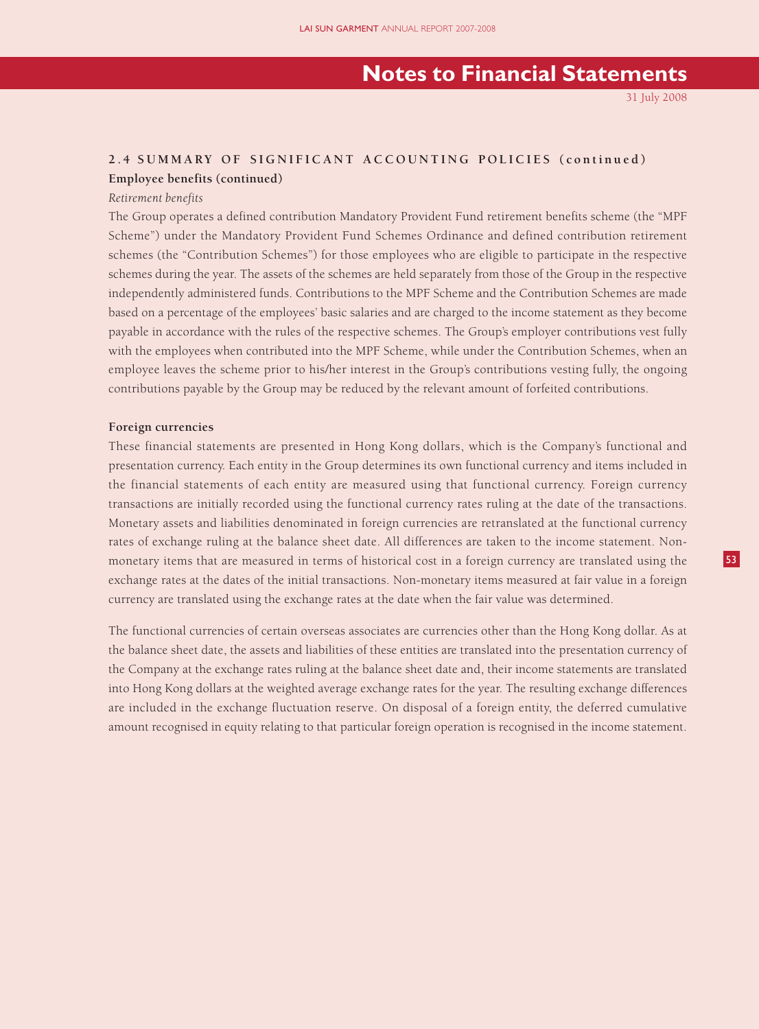31 July 2008

## **2.4 SUMMARY OF SIGNIFICANT ACCOUNTING POLICIES (continued) Employee benefits (continued)**

#### *Retirement benefits*

The Group operates a defined contribution Mandatory Provident Fund retirement benefits scheme (the "MPF Scheme") under the Mandatory Provident Fund Schemes Ordinance and defined contribution retirement schemes (the "Contribution Schemes") for those employees who are eligible to participate in the respective schemes during the year. The assets of the schemes are held separately from those of the Group in the respective independently administered funds. Contributions to the MPF Scheme and the Contribution Schemes are made based on a percentage of the employees' basic salaries and are charged to the income statement as they become payable in accordance with the rules of the respective schemes. The Group's employer contributions vest fully with the employees when contributed into the MPF Scheme, while under the Contribution Schemes, when an employee leaves the scheme prior to his/her interest in the Group's contributions vesting fully, the ongoing contributions payable by the Group may be reduced by the relevant amount of forfeited contributions.

#### **Foreign currencies**

These financial statements are presented in Hong Kong dollars, which is the Company's functional and presentation currency. Each entity in the Group determines its own functional currency and items included in the financial statements of each entity are measured using that functional currency. Foreign currency transactions are initially recorded using the functional currency rates ruling at the date of the transactions. Monetary assets and liabilities denominated in foreign currencies are retranslated at the functional currency rates of exchange ruling at the balance sheet date. All differences are taken to the income statement. Nonmonetary items that are measured in terms of historical cost in a foreign currency are translated using the exchange rates at the dates of the initial transactions. Non-monetary items measured at fair value in a foreign currency are translated using the exchange rates at the date when the fair value was determined.

The functional currencies of certain overseas associates are currencies other than the Hong Kong dollar. As at the balance sheet date, the assets and liabilities of these entities are translated into the presentation currency of the Company at the exchange rates ruling at the balance sheet date and, their income statements are translated into Hong Kong dollars at the weighted average exchange rates for the year. The resulting exchange differences are included in the exchange fluctuation reserve. On disposal of a foreign entity, the deferred cumulative amount recognised in equity relating to that particular foreign operation is recognised in the income statement.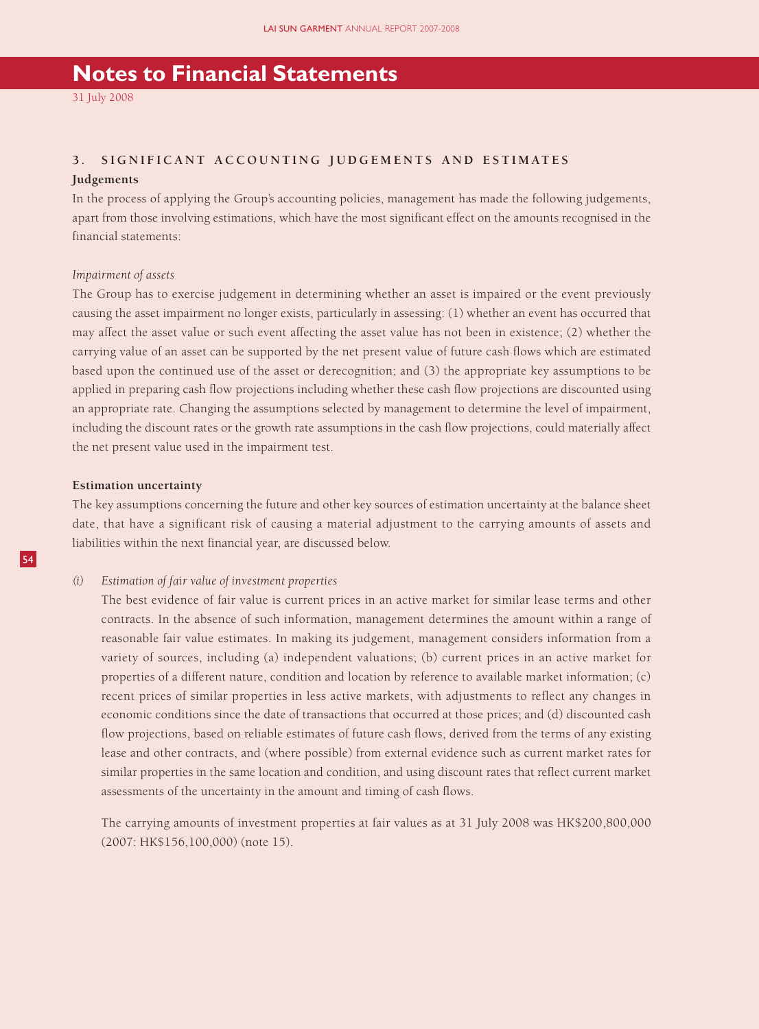31 July 2008

#### **3. SIGNIFICANT ACCOUNTING JUDGEMENTS AND ESTIMATES**

#### **Judgements**

In the process of applying the Group's accounting policies, management has made the following judgements, apart from those involving estimations, which have the most significant effect on the amounts recognised in the financial statements:

#### *Impairment of assets*

The Group has to exercise judgement in determining whether an asset is impaired or the event previously causing the asset impairment no longer exists, particularly in assessing: (1) whether an event has occurred that may affect the asset value or such event affecting the asset value has not been in existence; (2) whether the carrying value of an asset can be supported by the net present value of future cash flows which are estimated based upon the continued use of the asset or derecognition; and (3) the appropriate key assumptions to be applied in preparing cash flow projections including whether these cash flow projections are discounted using an appropriate rate. Changing the assumptions selected by management to determine the level of impairment, including the discount rates or the growth rate assumptions in the cash flow projections, could materially affect the net present value used in the impairment test.

#### **Estimation uncertainty**

The key assumptions concerning the future and other key sources of estimation uncertainty at the balance sheet date, that have a significant risk of causing a material adjustment to the carrying amounts of assets and liabilities within the next financial year, are discussed below.

#### *(i) Estimation of fair value of investment properties*

The best evidence of fair value is current prices in an active market for similar lease terms and other contracts. In the absence of such information, management determines the amount within a range of reasonable fair value estimates. In making its judgement, management considers information from a variety of sources, including (a) independent valuations; (b) current prices in an active market for properties of a different nature, condition and location by reference to available market information; (c) recent prices of similar properties in less active markets, with adjustments to reflect any changes in economic conditions since the date of transactions that occurred at those prices; and (d) discounted cash flow projections, based on reliable estimates of future cash flows, derived from the terms of any existing lease and other contracts, and (where possible) from external evidence such as current market rates for similar properties in the same location and condition, and using discount rates that reflect current market assessments of the uncertainty in the amount and timing of cash flows.

The carrying amounts of investment properties at fair values as at 31 July 2008 was HK\$200,800,000 (2007: HK\$156,100,000) (note 15).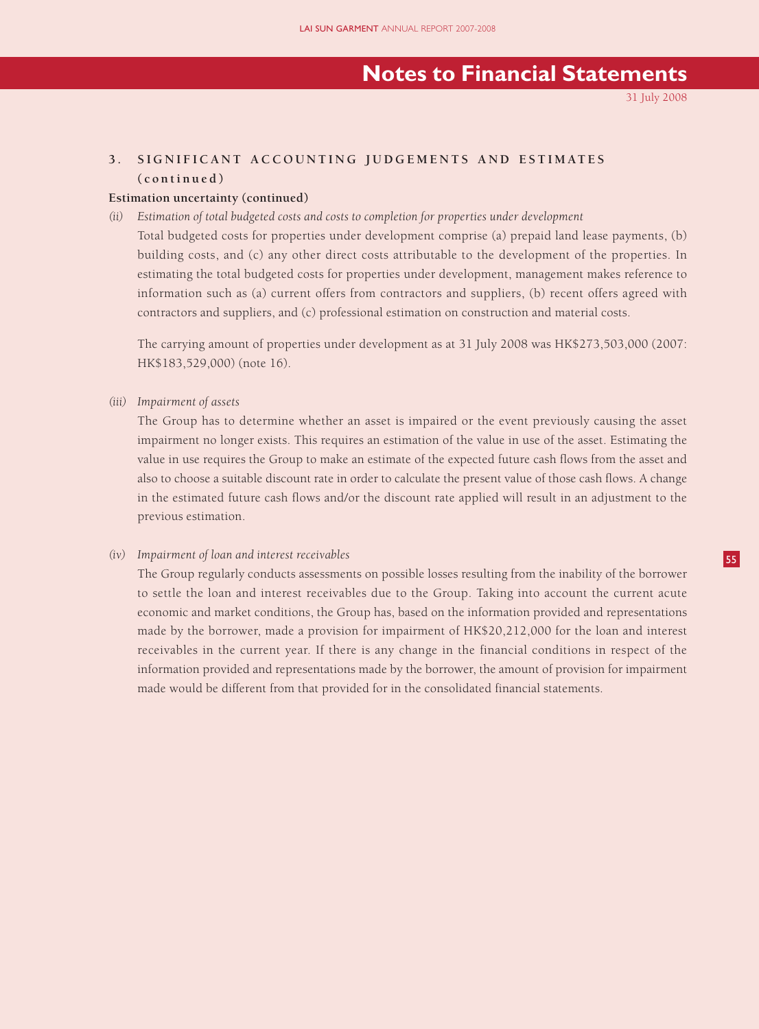31 July 2008

## **3. SIGNIFICANT ACCOUNTING JUDGEMENTS AND ESTIMATES (continued)**

#### **Estimation uncertainty (continued)**

*(ii) Estimation of total budgeted costs and costs to completion for properties under development*

Total budgeted costs for properties under development comprise (a) prepaid land lease payments, (b) building costs, and (c) any other direct costs attributable to the development of the properties. In estimating the total budgeted costs for properties under development, management makes reference to information such as (a) current offers from contractors and suppliers, (b) recent offers agreed with contractors and suppliers, and (c) professional estimation on construction and material costs.

The carrying amount of properties under development as at 31 July 2008 was HK\$273,503,000 (2007: HK\$183,529,000) (note 16).

*(iii) Impairment of assets*

The Group has to determine whether an asset is impaired or the event previously causing the asset impairment no longer exists. This requires an estimation of the value in use of the asset. Estimating the value in use requires the Group to make an estimate of the expected future cash flows from the asset and also to choose a suitable discount rate in order to calculate the present value of those cash flows. A change in the estimated future cash flows and/or the discount rate applied will result in an adjustment to the previous estimation.

#### *(iv) Impairment of loan and interest receivables*

The Group regularly conducts assessments on possible losses resulting from the inability of the borrower to settle the loan and interest receivables due to the Group. Taking into account the current acute economic and market conditions, the Group has, based on the information provided and representations made by the borrower, made a provision for impairment of HK\$20,212,000 for the loan and interest receivables in the current year. If there is any change in the financial conditions in respect of the information provided and representations made by the borrower, the amount of provision for impairment made would be different from that provided for in the consolidated financial statements.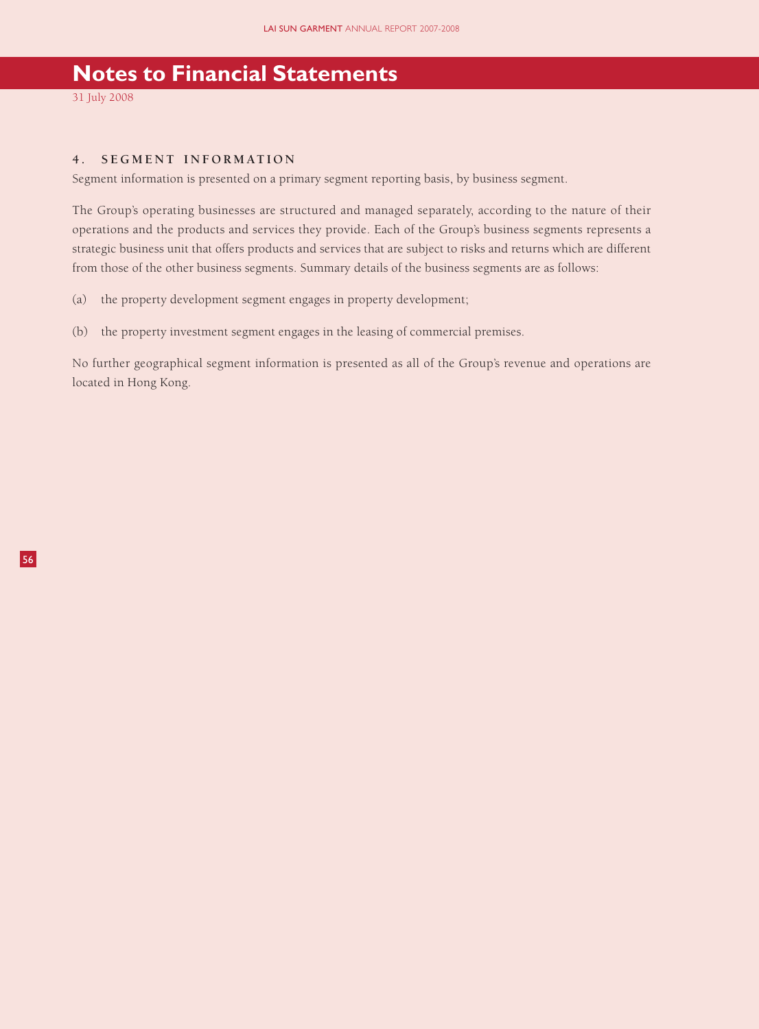31 July 2008

#### **4. SEGMENT INFORMATION**

Segment information is presented on a primary segment reporting basis, by business segment.

The Group's operating businesses are structured and managed separately, according to the nature of their operations and the products and services they provide. Each of the Group's business segments represents a strategic business unit that offers products and services that are subject to risks and returns which are different from those of the other business segments. Summary details of the business segments are as follows:

- (a) the property development segment engages in property development;
- (b) the property investment segment engages in the leasing of commercial premises.

No further geographical segment information is presented as all of the Group's revenue and operations are located in Hong Kong.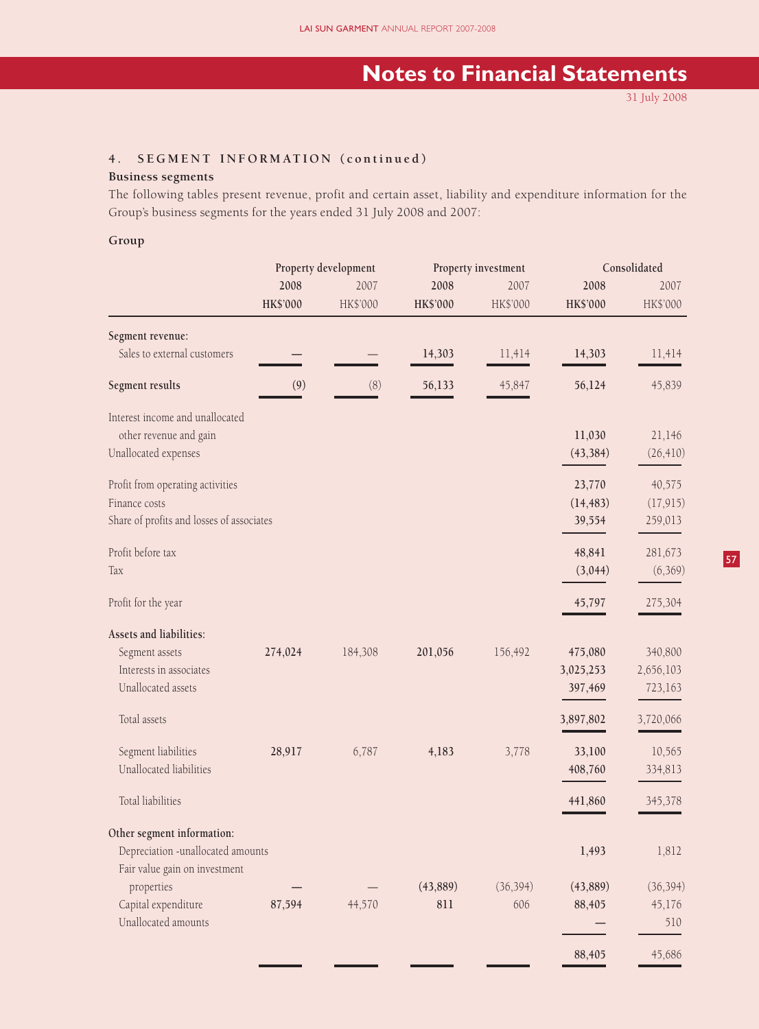31 July 2008

## **4. SEGMENT INFORMATION (continued)**

#### **Business segments**

The following tables present revenue, profit and certain asset, liability and expenditure information for the Group's business segments for the years ended 31 July 2008 and 2007:

#### **Group**

|                                           |                      | Property development | Property investment |           | Consolidated    |           |
|-------------------------------------------|----------------------|----------------------|---------------------|-----------|-----------------|-----------|
|                                           | 2008<br>2007<br>2008 |                      | 2007                | 2008      | 2007            |           |
|                                           | <b>HK\$'000</b>      | HK\$'000             | HK\$'000            | HK\$'000  | <b>HK\$'000</b> | HK\$'000  |
| Segment revenue:                          |                      |                      |                     |           |                 |           |
| Sales to external customers               |                      |                      | 14,303              | 11,414    | 14,303          | 11,414    |
| Segment results                           | (9)                  | (8)                  | 56,133              | 45,847    | 56,124          | 45,839    |
| Interest income and unallocated           |                      |                      |                     |           |                 |           |
| other revenue and gain                    |                      |                      |                     |           | 11,030          | 21,146    |
| Unallocated expenses                      |                      |                      |                     |           | (43, 384)       | (26, 410) |
| Profit from operating activities          |                      |                      |                     |           | 23,770          | 40,575    |
| Finance costs                             |                      |                      |                     |           | (14, 483)       | (17, 915) |
| Share of profits and losses of associates |                      |                      |                     |           | 39,554          | 259,013   |
| Profit before tax                         |                      |                      |                     |           | 48,841          | 281,673   |
| Tax                                       |                      |                      |                     |           | (3,044)         | (6,369)   |
| Profit for the year                       |                      |                      |                     |           | 45,797          | 275,304   |
| Assets and liabilities:                   |                      |                      |                     |           |                 |           |
| Segment assets                            | 274,024              | 184,308              | 201,056             | 156,492   | 475,080         | 340,800   |
| Interests in associates                   |                      |                      |                     |           | 3,025,253       | 2,656,103 |
| Unallocated assets                        |                      |                      |                     |           | 397,469         | 723,163   |
| Total assets                              |                      |                      |                     |           | 3,897,802       | 3,720,066 |
| Segment liabilities                       | 28,917               | 6,787                | 4,183               | 3,778     | 33,100          | 10,565    |
| Unallocated liabilities                   |                      |                      |                     |           | 408,760         | 334,813   |
| Total liabilities                         |                      |                      |                     |           | 441,860         | 345,378   |
| Other segment information:                |                      |                      |                     |           |                 |           |
| Depreciation -unallocated amounts         |                      |                      |                     |           | 1,493           | 1,812     |
| Fair value gain on investment             |                      |                      |                     |           |                 |           |
| properties                                |                      |                      | (43, 889)           | (36, 394) | (43, 889)       | (36, 394) |
| Capital expenditure                       | 87,594               | 44,570               | 811                 | 606       | 88,405          | 45,176    |
| Unallocated amounts                       |                      |                      |                     |           |                 | 510       |
|                                           |                      |                      |                     |           | 88,405          | 45,686    |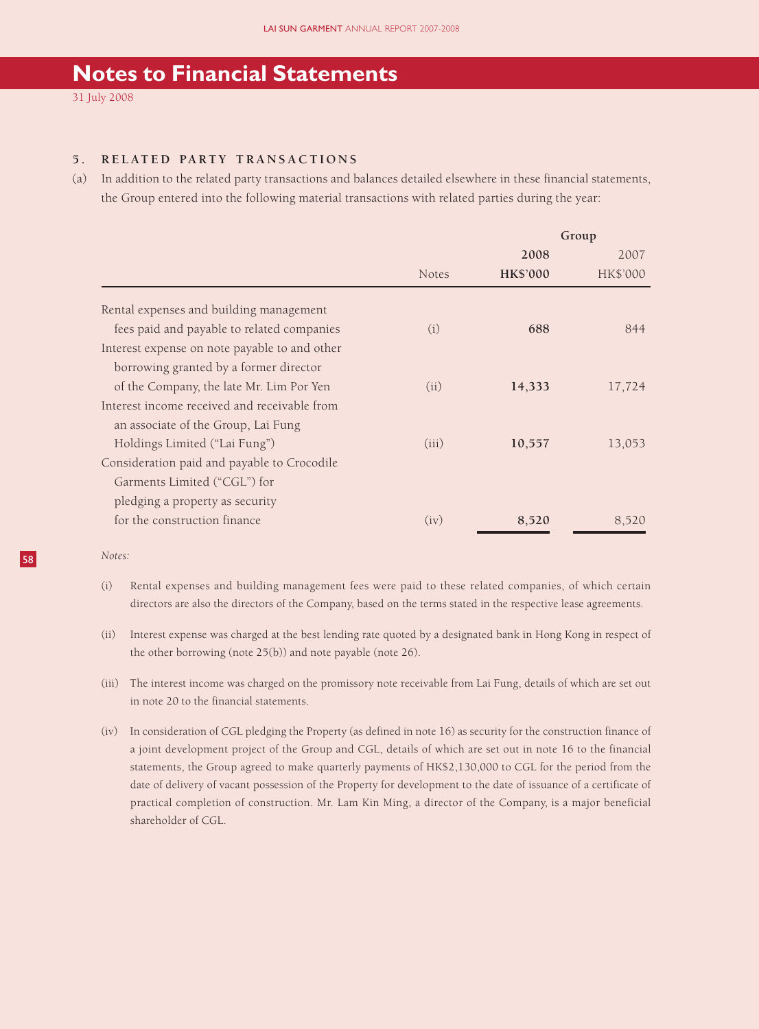31 July 2008

### **5. RELATED PARTY TRANSACTIONS**

(a) In addition to the related party transactions and balances detailed elsewhere in these financial statements, the Group entered into the following material transactions with related parties during the year:

|                                               | Group        |                 |          |
|-----------------------------------------------|--------------|-----------------|----------|
|                                               |              | 2008            | 2007     |
|                                               | <b>Notes</b> | <b>HK\$'000</b> | HK\$'000 |
| Rental expenses and building management       |              |                 |          |
| fees paid and payable to related companies    | (i)          | 688             | 844      |
| Interest expense on note payable to and other |              |                 |          |
| borrowing granted by a former director        |              |                 |          |
| of the Company, the late Mr. Lim Por Yen      | (ii)         | 14,333          | 17,724   |
| Interest income received and receivable from  |              |                 |          |
| an associate of the Group, Lai Fung           |              |                 |          |
| Holdings Limited ("Lai Fung")                 | (iii)        | 10,557          | 13,053   |
| Consideration paid and payable to Crocodile   |              |                 |          |
| Garments Limited ("CGL") for                  |              |                 |          |
| pledging a property as security               |              |                 |          |
| for the construction finance                  | (iv)         | 8,520           | 8,520    |

#### *Notes:*

- (i) Rental expenses and building management fees were paid to these related companies, of which certain directors are also the directors of the Company, based on the terms stated in the respective lease agreements.
- (ii) Interest expense was charged at the best lending rate quoted by a designated bank in Hong Kong in respect of the other borrowing (note 25(b)) and note payable (note 26).
- (iii) The interest income was charged on the promissory note receivable from Lai Fung, details of which are set out in note 20 to the financial statements.
- (iv) In consideration of CGL pledging the Property (as defined in note 16) as security for the construction finance of a joint development project of the Group and CGL, details of which are set out in note 16 to the financial statements, the Group agreed to make quarterly payments of HK\$2,130,000 to CGL for the period from the date of delivery of vacant possession of the Property for development to the date of issuance of a certificate of practical completion of construction. Mr. Lam Kin Ming, a director of the Company, is a major beneficial shareholder of CGL.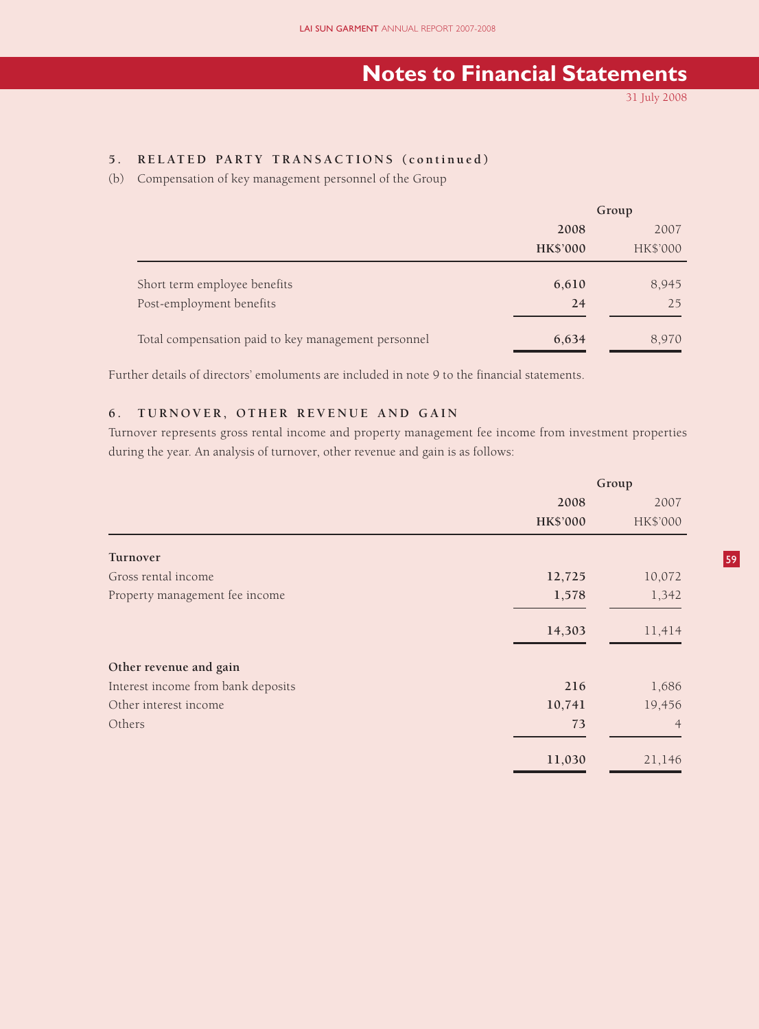31 July 2008

## **5. RELATED PARTY TRANSACTIONS (continued)**

(b) Compensation of key management personnel of the Group

|                                                     |                 | Group    |  |
|-----------------------------------------------------|-----------------|----------|--|
|                                                     | 2008            | 2007     |  |
|                                                     | <b>HK\$'000</b> | HK\$'000 |  |
|                                                     |                 |          |  |
| Short term employee benefits                        | 6,610           | 8,945    |  |
| Post-employment benefits                            | 24              | 25       |  |
|                                                     |                 |          |  |
| Total compensation paid to key management personnel | 6,634           | 8,970    |  |

Further details of directors' emoluments are included in note 9 to the financial statements.

### **6. TURNOVER, OTHER REVENUE AND GAIN**

Turnover represents gross rental income and property management fee income from investment properties during the year. An analysis of turnover, other revenue and gain is as follows:

|                                    | Group           |                |  |
|------------------------------------|-----------------|----------------|--|
|                                    | 2008            | 2007           |  |
|                                    | <b>HK\$'000</b> | HK\$'000       |  |
| Turnover                           |                 |                |  |
| Gross rental income                | 12,725          | 10,072         |  |
| Property management fee income     | 1,578           | 1,342          |  |
|                                    | 14,303          | 11,414         |  |
| Other revenue and gain             |                 |                |  |
| Interest income from bank deposits | 216             | 1,686          |  |
| Other interest income              | 10,741          | 19,456         |  |
| Others                             | 73              | $\overline{4}$ |  |
|                                    | 11,030          | 21,146         |  |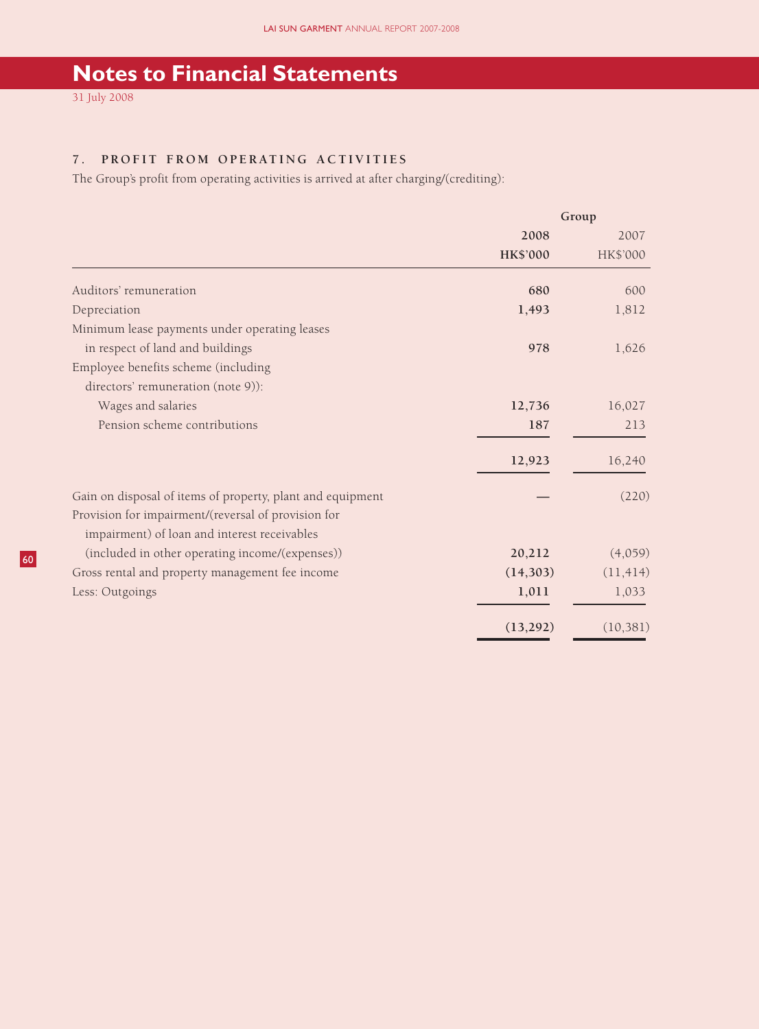31 July 2008

## **7. PROFIT FROM OPERATING ACTIVITIES**

The Group's profit from operating activities is arrived at after charging/(crediting):

|                                                            | Group           |           |
|------------------------------------------------------------|-----------------|-----------|
|                                                            | 2008            | 2007      |
|                                                            | <b>HK\$'000</b> | HK\$'000  |
| Auditors' remuneration                                     | 680             | 600       |
| Depreciation                                               | 1,493           | 1,812     |
| Minimum lease payments under operating leases              |                 |           |
| in respect of land and buildings                           | 978             | 1,626     |
| Employee benefits scheme (including                        |                 |           |
| directors' remuneration (note 9)):                         |                 |           |
| Wages and salaries                                         | 12,736          | 16,027    |
| Pension scheme contributions                               | 187             | 213       |
|                                                            | 12,923          | 16,240    |
| Gain on disposal of items of property, plant and equipment |                 | (220)     |
| Provision for impairment/(reversal of provision for        |                 |           |
| impairment) of loan and interest receivables               |                 |           |
| (included in other operating income/(expenses))            | 20,212          | (4,059)   |
| Gross rental and property management fee income            | (14, 303)       | (11, 414) |
| Less: Outgoings                                            | 1,011           | 1,033     |
|                                                            | (13,292)        | (10, 381) |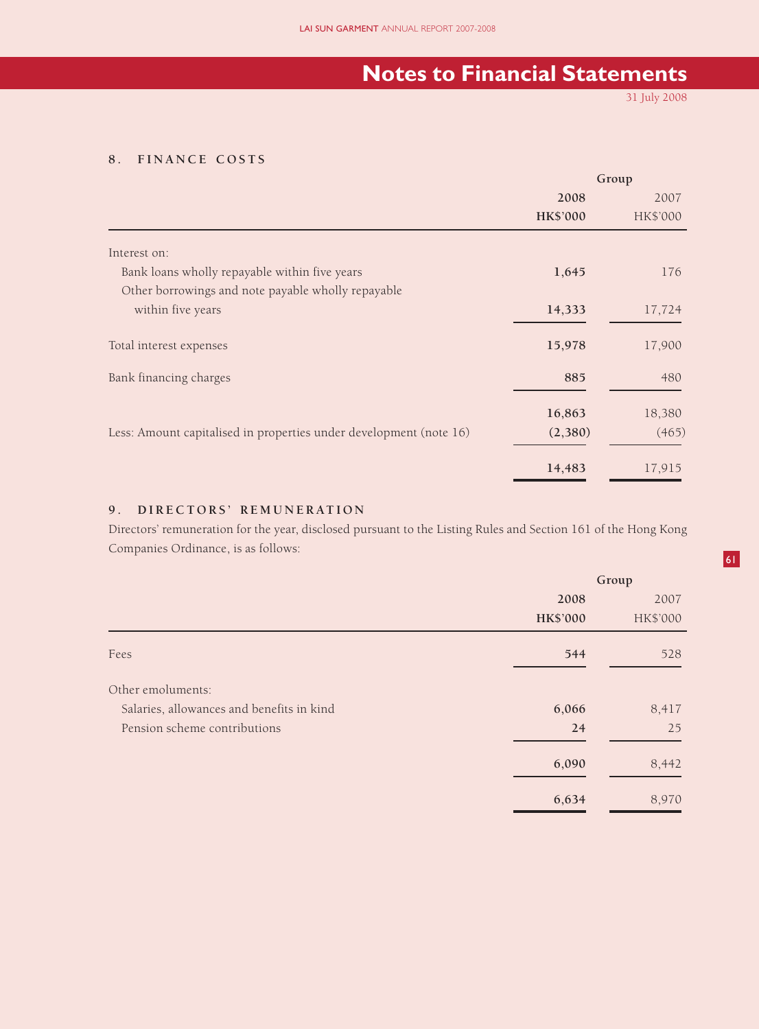31 July 2008

### **8. FINANCE COSTS**

|                                                                    | Group           |          |  |
|--------------------------------------------------------------------|-----------------|----------|--|
|                                                                    | 2008            | 2007     |  |
|                                                                    | <b>HK\$'000</b> | HK\$'000 |  |
| Interest on:                                                       |                 |          |  |
| Bank loans wholly repayable within five years                      | 1,645           | 176      |  |
| Other borrowings and note payable wholly repayable                 |                 |          |  |
| within five years                                                  | 14,333          | 17,724   |  |
| Total interest expenses                                            | 15,978          | 17,900   |  |
| Bank financing charges                                             | 885             | 480      |  |
|                                                                    | 16,863          | 18,380   |  |
| Less: Amount capitalised in properties under development (note 16) | (2,380)         | (465)    |  |
|                                                                    | 14,483          | 17,915   |  |

## **9. DIRECTORS ' REMUNERATION**

Directors' remuneration for the year, disclosed pursuant to the Listing Rules and Section 161 of the Hong Kong Companies Ordinance, is as follows:

|                                           | Group           |          |  |
|-------------------------------------------|-----------------|----------|--|
|                                           | 2008            | 2007     |  |
|                                           | <b>HK\$'000</b> | HK\$'000 |  |
| Fees                                      | 544             | 528      |  |
| Other emoluments:                         |                 |          |  |
| Salaries, allowances and benefits in kind | 6,066           | 8,417    |  |
| Pension scheme contributions              | 24              | 25       |  |
|                                           | 6,090           | 8,442    |  |
|                                           | 6,634           | 8,970    |  |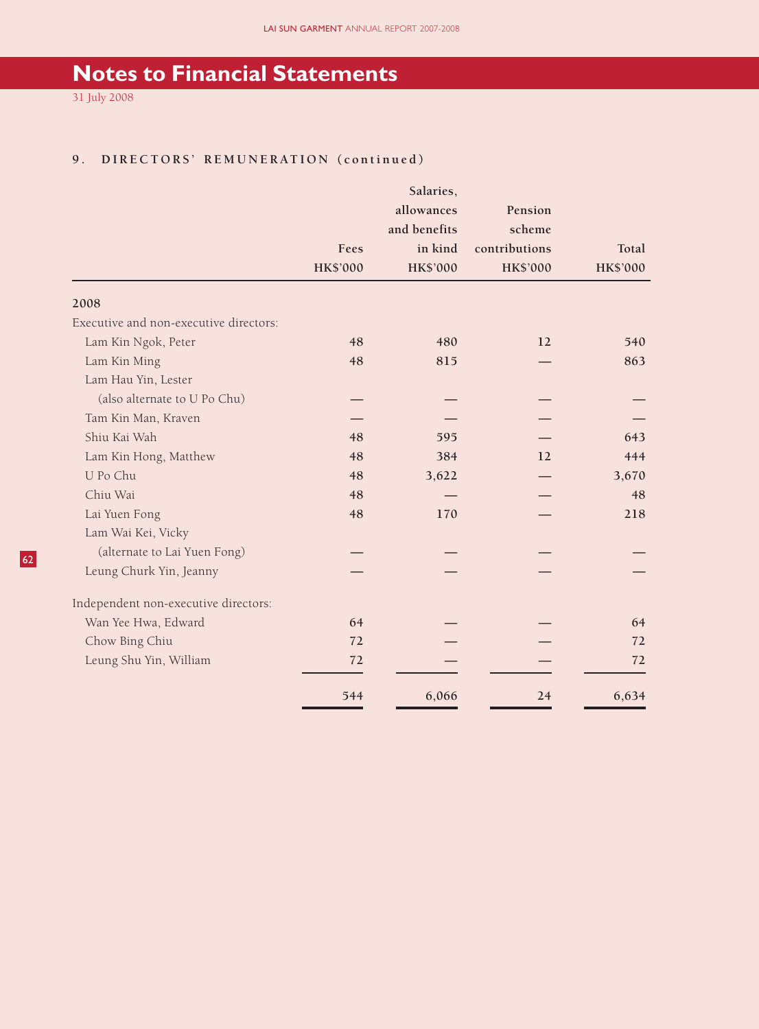31 July 2008

## **9. DIRECTORS ' REMUNERATION (continued)**

|                                        |                 | Salaries,       |                 |                 |
|----------------------------------------|-----------------|-----------------|-----------------|-----------------|
|                                        |                 | allowances      | Pension         |                 |
|                                        |                 | and benefits    | scheme          |                 |
|                                        | Fees            | in kind         | contributions   | Total           |
|                                        | <b>HK\$'000</b> | <b>HK\$'000</b> | <b>HK\$'000</b> | <b>HK\$'000</b> |
| 2008                                   |                 |                 |                 |                 |
| Executive and non-executive directors: |                 |                 |                 |                 |
| Lam Kin Ngok, Peter                    | 48              | 480             | 12              | 540             |
| Lam Kin Ming                           | 48              | 815             |                 | 863             |
| Lam Hau Yin, Lester                    |                 |                 |                 |                 |
| (also alternate to U Po Chu)           |                 |                 |                 |                 |
| Tam Kin Man, Kraven                    |                 |                 |                 |                 |
| Shiu Kai Wah                           | 48              | 595             |                 | 643             |
| Lam Kin Hong, Matthew                  | 48              | 384             | 12              | 444             |
| U Po Chu                               | 48              | 3,622           |                 | 3,670           |
| Chiu Wai                               | 48              |                 |                 | 48              |
| Lai Yuen Fong                          | 48              | 170             |                 | 218             |
| Lam Wai Kei, Vicky                     |                 |                 |                 |                 |
| (alternate to Lai Yuen Fong)           |                 |                 |                 |                 |
| Leung Churk Yin, Jeanny                |                 |                 |                 |                 |
| Independent non-executive directors:   |                 |                 |                 |                 |
| Wan Yee Hwa, Edward                    | 64              |                 |                 | 64              |
| Chow Bing Chiu                         | 72              |                 |                 | 72              |
| Leung Shu Yin, William                 | 72              |                 |                 | 72              |
|                                        | 544             | 6,066           | 24              | 6,634           |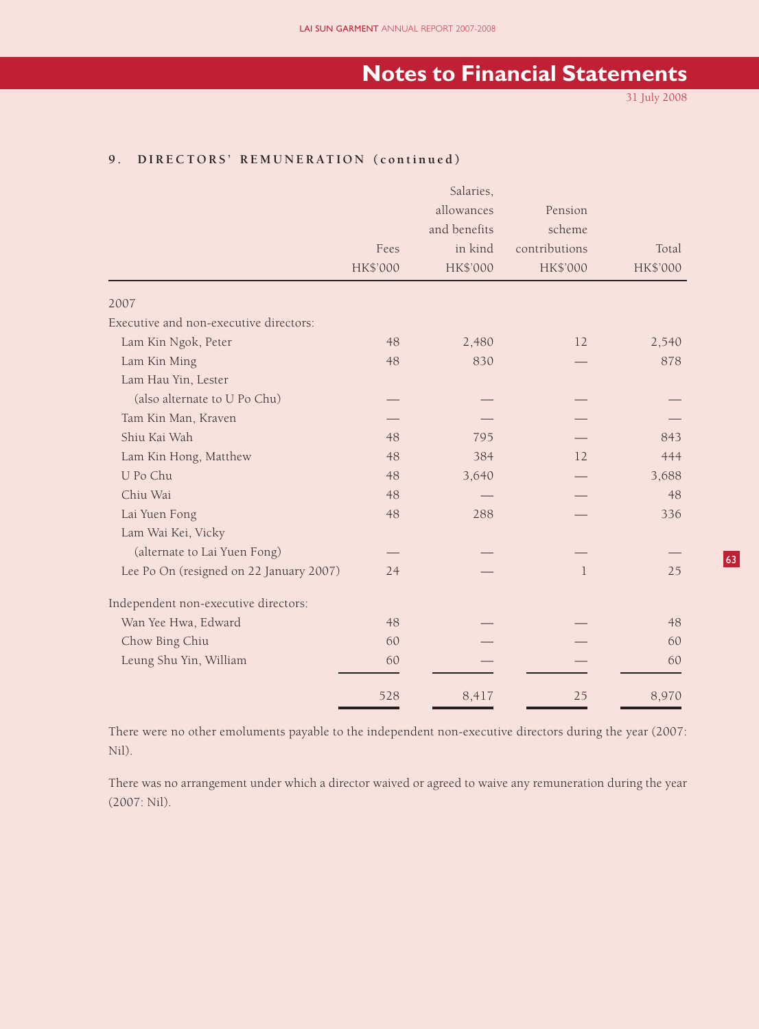31 July 2008

|                                         |          | Salaries,    |               |          |
|-----------------------------------------|----------|--------------|---------------|----------|
|                                         |          | allowances   | Pension       |          |
|                                         |          | and benefits | scheme        |          |
|                                         | Fees     | in kind      | contributions | Total    |
|                                         | HK\$'000 | HK\$'000     | HK\$'000      | HK\$'000 |
| 2007                                    |          |              |               |          |
| Executive and non-executive directors:  |          |              |               |          |
| Lam Kin Ngok, Peter                     | 48       | 2,480        | 12            | 2,540    |
| Lam Kin Ming                            | 48       | 830          |               | 878      |
| Lam Hau Yin, Lester                     |          |              |               |          |
| (also alternate to U Po Chu)            |          |              |               |          |
| Tam Kin Man, Kraven                     |          |              |               |          |
| Shiu Kai Wah                            | 48       | 795          |               | 843      |
| Lam Kin Hong, Matthew                   | 48       | 384          | 12            | 444      |
| U Po Chu                                | 48       | 3,640        |               | 3,688    |
| Chiu Wai                                | 48       |              |               | 48       |
| Lai Yuen Fong                           | 48       | 288          |               | 336      |
| Lam Wai Kei, Vicky                      |          |              |               |          |
| (alternate to Lai Yuen Fong)            |          |              |               |          |
| Lee Po On (resigned on 22 January 2007) | 24       |              | $\mathbf{1}$  | 25       |
| Independent non-executive directors:    |          |              |               |          |
| Wan Yee Hwa, Edward                     | 48       |              |               | 48       |
| Chow Bing Chiu                          | 60       |              |               | 60       |
| Leung Shu Yin, William                  | 60       |              |               | 60       |
|                                         | 528      | 8,417        | 25            | 8,970    |

## **9. DIRECTORS ' REMUNERATION (continued)**

There were no other emoluments payable to the independent non-executive directors during the year (2007: Nil).

There was no arrangement under which a director waived or agreed to waive any remuneration during the year (2007: Nil).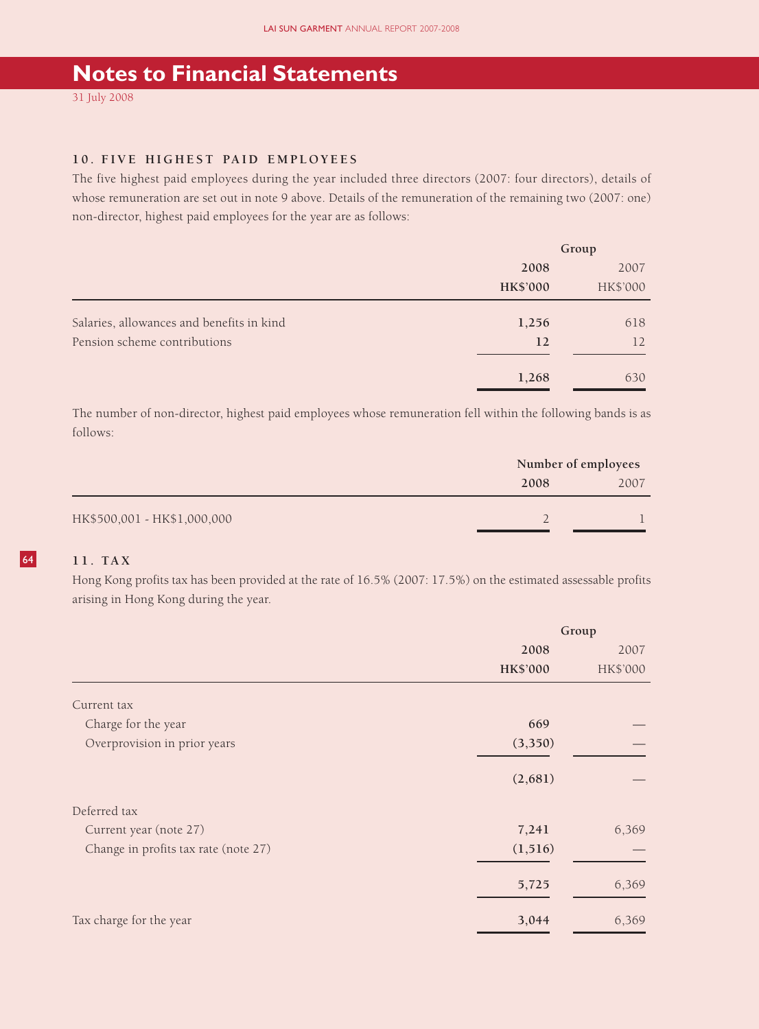31 July 2008

## **10. FIVE HIGHEST PAID EMPLOYEES**

The five highest paid employees during the year included three directors (2007: four directors), details of whose remuneration are set out in note 9 above. Details of the remuneration of the remaining two (2007: one) non-director, highest paid employees for the year are as follows:

|                                           |                 | Group    |  |
|-------------------------------------------|-----------------|----------|--|
|                                           | 2008            |          |  |
|                                           | <b>HK\$'000</b> | HK\$'000 |  |
|                                           |                 |          |  |
| Salaries, allowances and benefits in kind | 1,256           | 618      |  |
| Pension scheme contributions              | 12              | 12       |  |
|                                           |                 |          |  |
|                                           | 1,268           | 630      |  |

The number of non-director, highest paid employees whose remuneration fell within the following bands is as follows:

|                             |      | Number of employees |  |
|-----------------------------|------|---------------------|--|
|                             | 2008 | 2007                |  |
| HK\$500,001 - HK\$1,000,000 |      |                     |  |

## **11. TAX**

64

Hong Kong profits tax has been provided at the rate of 16.5% (2007: 17.5%) on the estimated assessable profits arising in Hong Kong during the year.

|                                      | Group           |          |  |
|--------------------------------------|-----------------|----------|--|
|                                      | 2008            | 2007     |  |
|                                      | <b>HK\$'000</b> | HK\$'000 |  |
| Current tax                          |                 |          |  |
| Charge for the year                  | 669             |          |  |
| Overprovision in prior years         | (3,350)         |          |  |
|                                      | (2,681)         |          |  |
| Deferred tax                         |                 |          |  |
| Current year (note 27)               | 7,241           | 6,369    |  |
| Change in profits tax rate (note 27) | (1,516)         |          |  |
|                                      | 5,725           | 6,369    |  |
| Tax charge for the year              | 3,044           | 6,369    |  |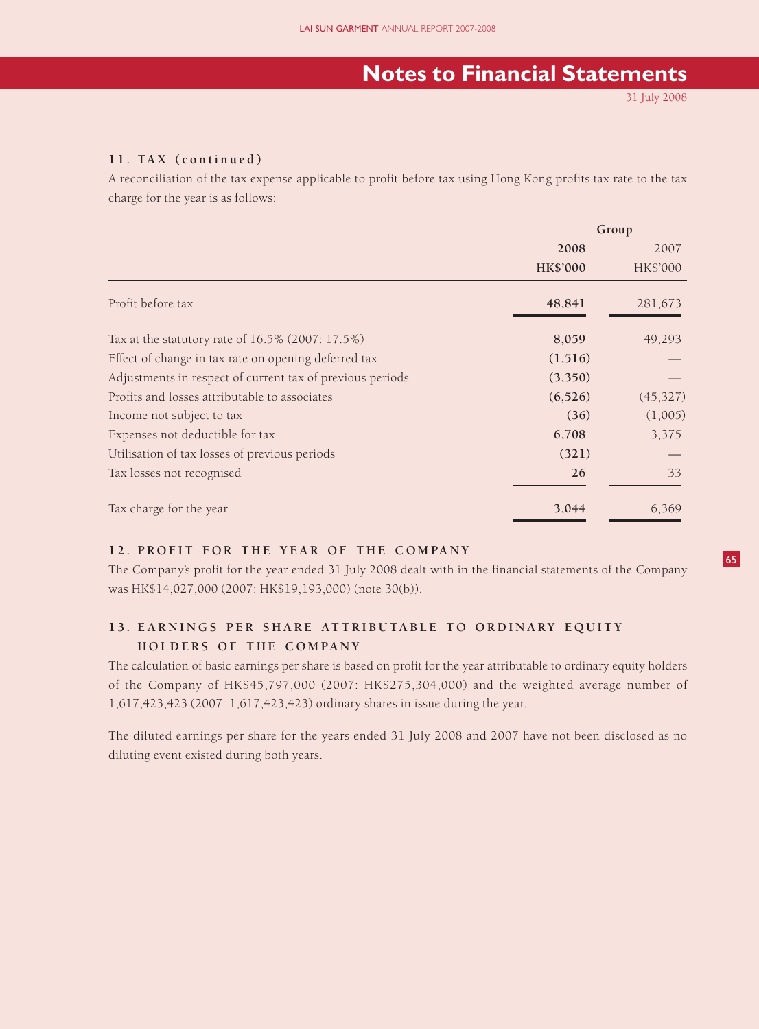31 July 2008

#### **11. TAX (continued)**

A reconciliation of the tax expense applicable to profit before tax using Hong Kong profits tax rate to the tax charge for the year is as follows:

|                                                           | Group           |           |
|-----------------------------------------------------------|-----------------|-----------|
|                                                           | 2008            | 2007      |
|                                                           | <b>HK\$'000</b> | HK\$'000  |
| Profit before tax                                         | 48,841          | 281,673   |
| Tax at the statutory rate of 16.5% (2007: 17.5%)          | 8,059           | 49,293    |
| Effect of change in tax rate on opening deferred tax      | (1,516)         |           |
| Adjustments in respect of current tax of previous periods | (3,350)         |           |
| Profits and losses attributable to associates             | (6,526)         | (45, 327) |
| Income not subject to tax                                 | (36)            | (1,005)   |
| Expenses not deductible for tax                           | 6,708           | 3,375     |
| Utilisation of tax losses of previous periods             | (321)           |           |
| Tax losses not recognised                                 | 26              | 33        |
| Tax charge for the year                                   | 3,044           | 6,369     |

#### **12. PROFIT FOR THE YEAR OF THE COMPANY**

The Company's profit for the year ended 31 July 2008 dealt with in the financial statements of the Company was HK\$14,027,000 (2007: HK\$19,193,000) (note 30(b)).

## **13. EARNINGS PER SHARE ATTRIBUTABLE TO ORDINARY EQUITY HOLDERS OF THE COMPANY**

The calculation of basic earnings per share is based on profit for the year attributable to ordinary equity holders of the Company of HK\$45,797,000 (2007: HK\$275,304,000) and the weighted average number of 1,617,423,423 (2007: 1,617,423,423) ordinary shares in issue during the year.

The diluted earnings per share for the years ended 31 July 2008 and 2007 have not been disclosed as no diluting event existed during both years.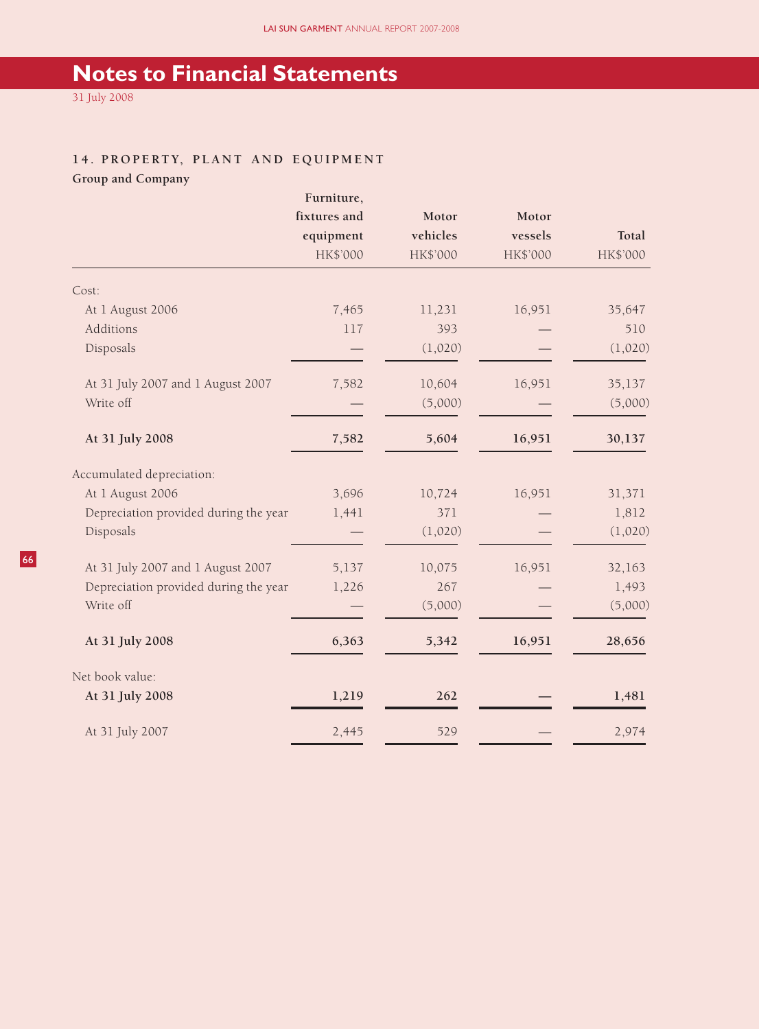# 31 July 2008

# **14. PROPERTY, PLANT AND EQUIPMENT**

**Group and Company**

|                                       | Furniture,   |          |          |          |
|---------------------------------------|--------------|----------|----------|----------|
|                                       | fixtures and | Motor    | Motor    |          |
|                                       | equipment    | vehicles | vessels  | Total    |
|                                       | HK\$'000     | HK\$'000 | HK\$'000 | HK\$'000 |
| Cost:                                 |              |          |          |          |
| At 1 August 2006                      | 7,465        | 11,231   | 16,951   | 35,647   |
| Additions                             | 117          | 393      |          | 510      |
| Disposals                             |              | (1,020)  |          | (1,020)  |
| At 31 July 2007 and 1 August 2007     | 7,582        | 10,604   | 16,951   | 35,137   |
| Write off                             |              | (5,000)  |          | (5,000)  |
| At 31 July 2008                       | 7,582        | 5,604    | 16,951   | 30,137   |
| Accumulated depreciation:             |              |          |          |          |
| At 1 August 2006                      | 3,696        | 10,724   | 16,951   | 31,371   |
| Depreciation provided during the year | 1,441        | 371      |          | 1,812    |
| Disposals                             |              | (1,020)  |          | (1,020)  |
| At 31 July 2007 and 1 August 2007     | 5,137        | 10,075   | 16,951   | 32,163   |
| Depreciation provided during the year | 1,226        | 267      |          | 1,493    |
| Write off                             |              | (5,000)  |          | (5,000)  |
| At 31 July 2008                       | 6,363        | 5,342    | 16,951   | 28,656   |
| Net book value:                       |              |          |          |          |
| At 31 July 2008                       | 1,219        | 262      |          | 1,481    |
| At 31 July 2007                       | 2,445        | 529      |          | 2,974    |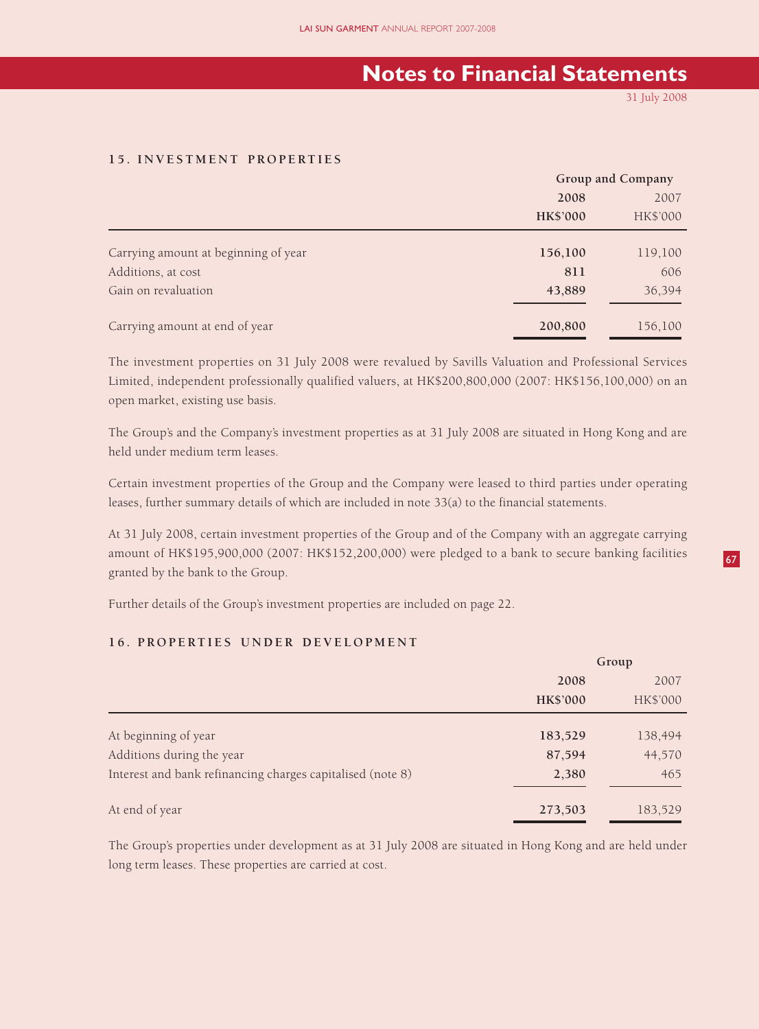31 July 2008

#### **15. INVESTMENT PROPERTIES**

|                                      | <b>Group and Company</b> |          |  |
|--------------------------------------|--------------------------|----------|--|
|                                      | 2008                     |          |  |
|                                      | <b>HK\$'000</b>          | HK\$'000 |  |
|                                      |                          |          |  |
| Carrying amount at beginning of year | 156,100                  | 119,100  |  |
| Additions, at cost                   | 811                      | 606      |  |
| Gain on revaluation                  | 43,889                   | 36,394   |  |
|                                      |                          |          |  |
| Carrying amount at end of year       | 200,800                  | 156,100  |  |

The investment properties on 31 July 2008 were revalued by Savills Valuation and Professional Services Limited, independent professionally qualified valuers, at HK\$200,800,000 (2007: HK\$156,100,000) on an open market, existing use basis.

The Group's and the Company's investment properties as at 31 July 2008 are situated in Hong Kong and are held under medium term leases.

Certain investment properties of the Group and the Company were leased to third parties under operating leases, further summary details of which are included in note 33(a) to the financial statements.

At 31 July 2008, certain investment properties of the Group and of the Company with an aggregate carrying amount of HK\$195,900,000 (2007: HK\$152,200,000) were pledged to a bank to secure banking facilities granted by the bank to the Group.

Further details of the Group's investment properties are included on page 22.

#### **16. PROPERTIES UNDER DEVELOPMENT**

|                                                            |                 | Group    |  |
|------------------------------------------------------------|-----------------|----------|--|
|                                                            | 2008            | 2007     |  |
|                                                            | <b>HK\$'000</b> | HK\$'000 |  |
|                                                            |                 |          |  |
| At beginning of year                                       | 183,529         | 138,494  |  |
| Additions during the year                                  | 87,594          | 44,570   |  |
| Interest and bank refinancing charges capitalised (note 8) | 2,380           | 465      |  |
| At end of year                                             | 273,503         | 183,529  |  |

The Group's properties under development as at 31 July 2008 are situated in Hong Kong and are held under long term leases. These properties are carried at cost.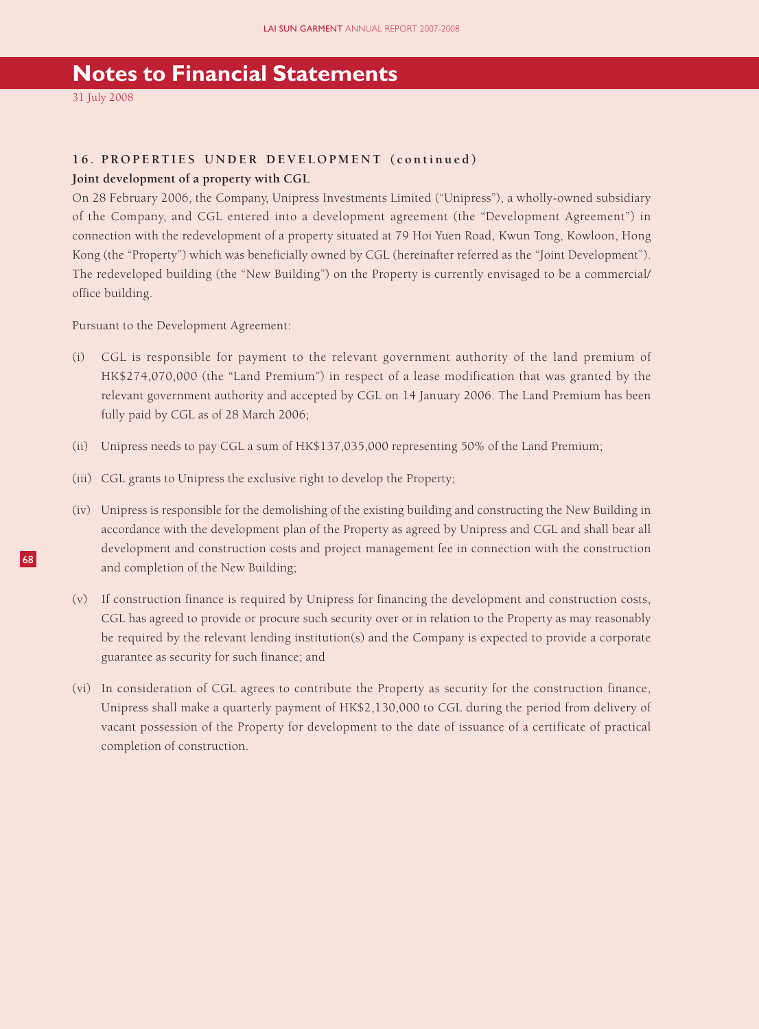31 July 2008

## **16. PROPERTIES UNDER DEVELOPMENT (continued) Joint development of a property with CGL**

On 28 February 2006, the Company, Unipress Investments Limited ("Unipress"), a wholly-owned subsidiary of the Company, and CGL entered into a development agreement (the "Development Agreement") in connection with the redevelopment of a property situated at 79 Hoi Yuen Road, Kwun Tong, Kowloon, Hong Kong (the "Property") which was beneficially owned by CGL (hereinafter referred as the "Joint Development"). The redeveloped building (the "New Building") on the Property is currently envisaged to be a commercial/ office building.

Pursuant to the Development Agreement:

- (i) CGL is responsible for payment to the relevant government authority of the land premium of HK\$274,070,000 (the "Land Premium") in respect of a lease modification that was granted by the relevant government authority and accepted by CGL on 14 January 2006. The Land Premium has been fully paid by CGL as of 28 March 2006;
- (ii) Unipress needs to pay CGL a sum of HK\$137,035,000 representing 50% of the Land Premium;
- (iii) CGL grants to Unipress the exclusive right to develop the Property;
- (iv) Unipress is responsible for the demolishing of the existing building and constructing the New Building in accordance with the development plan of the Property as agreed by Unipress and CGL and shall bear all development and construction costs and project management fee in connection with the construction and completion of the New Building;
- (v) If construction finance is required by Unipress for financing the development and construction costs, CGL has agreed to provide or procure such security over or in relation to the Property as may reasonably be required by the relevant lending institution(s) and the Company is expected to provide a corporate guarantee as security for such finance; and
- (vi) In consideration of CGL agrees to contribute the Property as security for the construction finance, Unipress shall make a quarterly payment of HK\$2,130,000 to CGL during the period from delivery of vacant possession of the Property for development to the date of issuance of a certificate of practical completion of construction.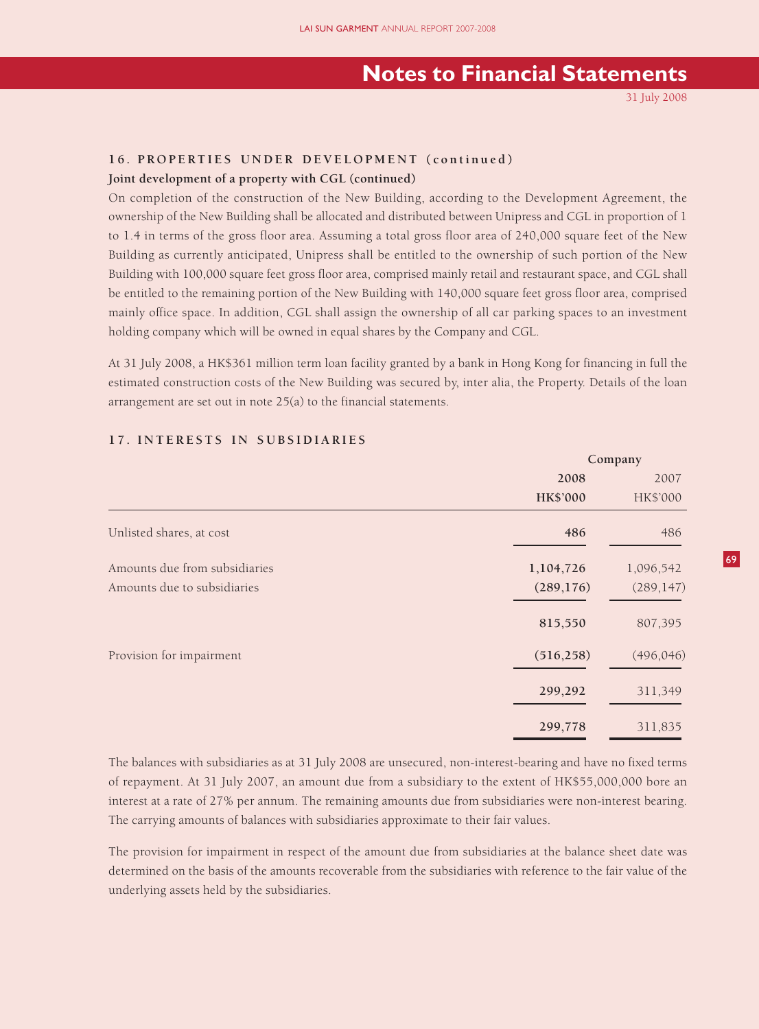31 July 2008

### **16. PROPERTIES UNDER DEVELOPMENT (continued) Joint development of a property with CGL (continued)**

On completion of the construction of the New Building, according to the Development Agreement, the ownership of the New Building shall be allocated and distributed between Unipress and CGL in proportion of 1 to 1.4 in terms of the gross floor area. Assuming a total gross floor area of 240,000 square feet of the New Building as currently anticipated, Unipress shall be entitled to the ownership of such portion of the New Building with 100,000 square feet gross floor area, comprised mainly retail and restaurant space, and CGL shall be entitled to the remaining portion of the New Building with 140,000 square feet gross floor area, comprised mainly office space. In addition, CGL shall assign the ownership of all car parking spaces to an investment holding company which will be owned in equal shares by the Company and CGL.

At 31 July 2008, a HK\$361 million term loan facility granted by a bank in Hong Kong for financing in full the estimated construction costs of the New Building was secured by, inter alia, the Property. Details of the loan arrangement are set out in note 25(a) to the financial statements.

|                               | Company         |            |  |
|-------------------------------|-----------------|------------|--|
|                               | 2008            | 2007       |  |
|                               | <b>HK\$'000</b> | HK\$'000   |  |
| Unlisted shares, at cost      | 486             | 486        |  |
| Amounts due from subsidiaries | 1,104,726       | 1,096,542  |  |
| Amounts due to subsidiaries   | (289, 176)      | (289, 147) |  |
|                               | 815,550         | 807,395    |  |
| Provision for impairment      | (516, 258)      | (496, 046) |  |
|                               | 299,292         | 311,349    |  |
|                               | 299,778         | 311,835    |  |

#### **17. INTERESTS IN SUBSIDIARIES**

The balances with subsidiaries as at 31 July 2008 are unsecured, non-interest-bearing and have no fixed terms of repayment. At 31 July 2007, an amount due from a subsidiary to the extent of HK\$55,000,000 bore an interest at a rate of 27% per annum. The remaining amounts due from subsidiaries were non-interest bearing. The carrying amounts of balances with subsidiaries approximate to their fair values.

The provision for impairment in respect of the amount due from subsidiaries at the balance sheet date was determined on the basis of the amounts recoverable from the subsidiaries with reference to the fair value of the underlying assets held by the subsidiaries.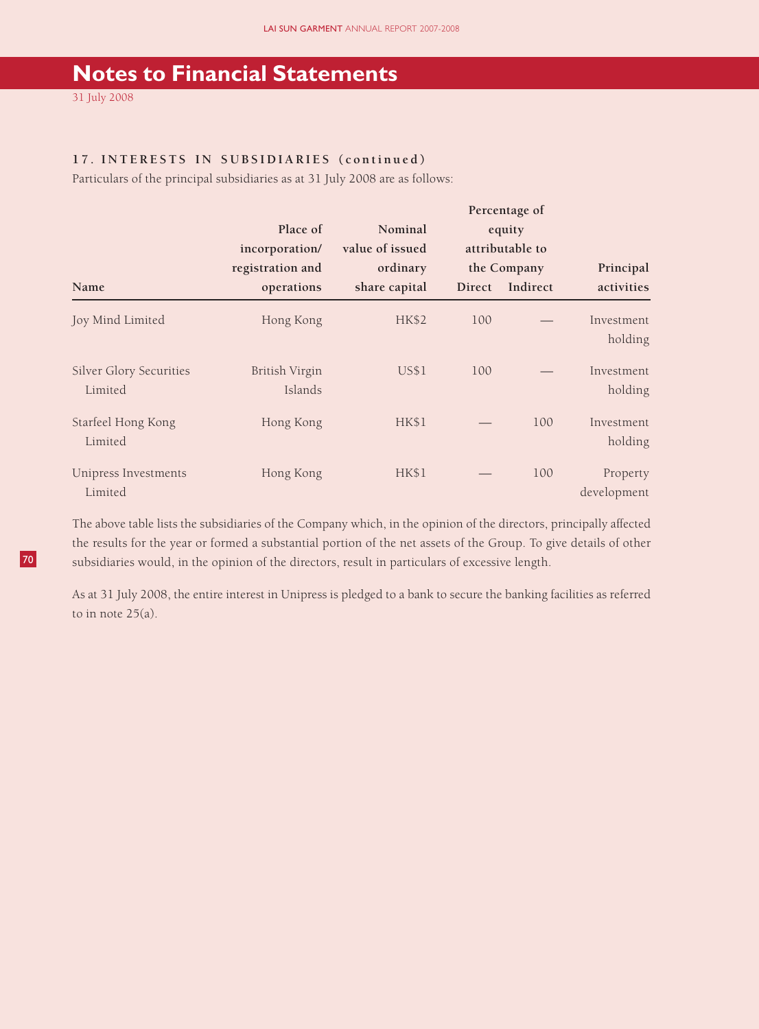31 July 2008

## **17. INTERESTS IN SUBSIDIARIES (continued)**

Particulars of the principal subsidiaries as at 31 July 2008 are as follows:

|                                    |                            |                            |        | Percentage of             |                         |
|------------------------------------|----------------------------|----------------------------|--------|---------------------------|-------------------------|
|                                    | Place of<br>incorporation/ | Nominal<br>value of issued |        | equity<br>attributable to |                         |
|                                    | registration and           | ordinary                   |        | the Company               | Principal               |
| Name                               | operations                 | share capital              | Direct | Indirect                  | activities              |
| Joy Mind Limited                   | Hong Kong                  | <b>HK\$2</b>               | 100    |                           | Investment<br>holding   |
| Silver Glory Securities<br>Limited | British Virgin<br>Islands  | US\$1                      | 100    |                           | Investment<br>holding   |
| Starfeel Hong Kong<br>Limited      | Hong Kong                  | HK\$1                      |        | 100                       | Investment<br>holding   |
| Unipress Investments<br>Limited    | Hong Kong                  | HK\$1                      |        | 100                       | Property<br>development |

The above table lists the subsidiaries of the Company which, in the opinion of the directors, principally affected the results for the year or formed a substantial portion of the net assets of the Group. To give details of other subsidiaries would, in the opinion of the directors, result in particulars of excessive length.

As at 31 July 2008, the entire interest in Unipress is pledged to a bank to secure the banking facilities as referred to in note 25(a).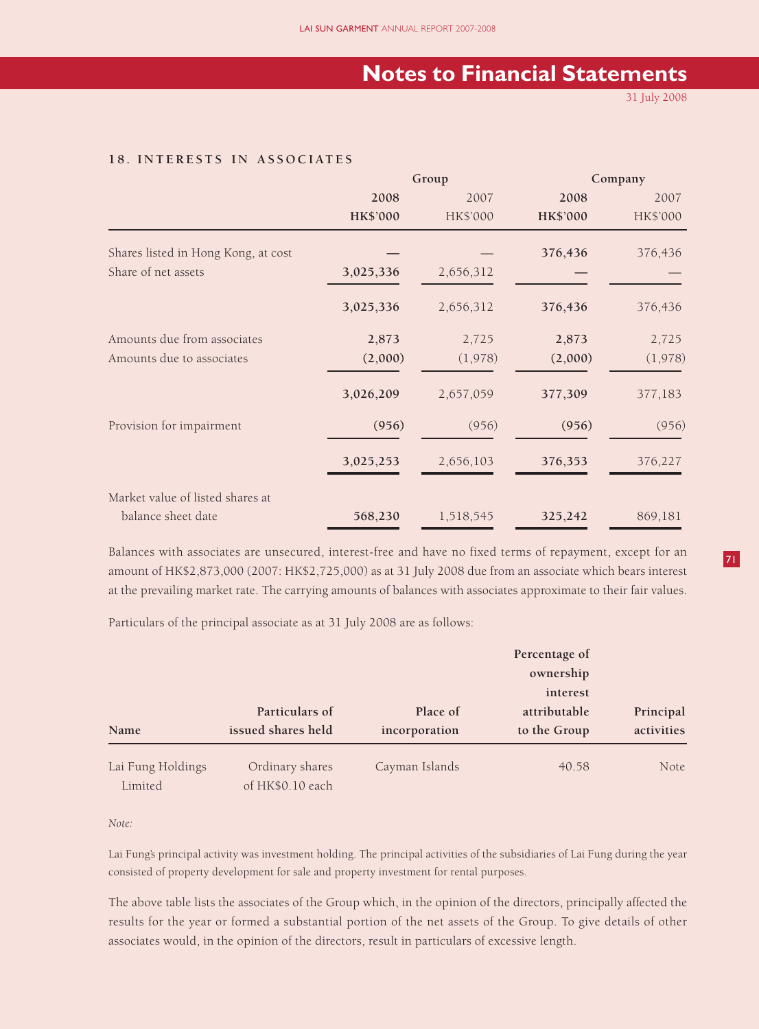31 July 2008

#### **18. INTERESTS IN ASSOCIATES**

|                                     |                 | Group     |                 | Company  |  |
|-------------------------------------|-----------------|-----------|-----------------|----------|--|
|                                     | 2008            | 2007      | 2008            | 2007     |  |
|                                     | <b>HK\$'000</b> | HK\$'000  | <b>HK\$'000</b> | HK\$'000 |  |
| Shares listed in Hong Kong, at cost |                 |           | 376,436         | 376,436  |  |
| Share of net assets                 | 3,025,336       | 2,656,312 |                 |          |  |
|                                     | 3,025,336       | 2,656,312 | 376,436         | 376,436  |  |
| Amounts due from associates         | 2,873           | 2,725     | 2,873           | 2,725    |  |
| Amounts due to associates           | (2,000)         | (1,978)   | (2,000)         | (1,978)  |  |
|                                     | 3,026,209       | 2,657,059 | 377,309         | 377,183  |  |
| Provision for impairment            | (956)           | (956)     | (956)           | (956)    |  |
|                                     | 3,025,253       | 2,656,103 | 376,353         | 376,227  |  |
| Market value of listed shares at    |                 |           |                 |          |  |
| balance sheet date                  | 568,230         | 1,518,545 | 325,242         | 869,181  |  |

Balances with associates are unsecured, interest-free and have no fixed terms of repayment, except for an amount of HK\$2,873,000 (2007: HK\$2,725,000) as at 31 July 2008 due from an associate which bears interest at the prevailing market rate. The carrying amounts of balances with associates approximate to their fair values.

Particulars of the principal associate as at 31 July 2008 are as follows:

| Name                         | Particulars of<br>issued shares held |                           | Percentage of<br>ownership<br>interest<br>attributable<br>to the Group | Principal<br>activities |
|------------------------------|--------------------------------------|---------------------------|------------------------------------------------------------------------|-------------------------|
|                              |                                      | Place of<br>incorporation |                                                                        |                         |
| Lai Fung Holdings<br>Limited | Ordinary shares<br>of HK\$0.10 each  | Cayman Islands            | 40.58                                                                  | Note                    |

*Note:*

Lai Fung's principal activity was investment holding. The principal activities of the subsidiaries of Lai Fung during the year consisted of property development for sale and property investment for rental purposes.

The above table lists the associates of the Group which, in the opinion of the directors, principally affected the results for the year or formed a substantial portion of the net assets of the Group. To give details of other associates would, in the opinion of the directors, result in particulars of excessive length.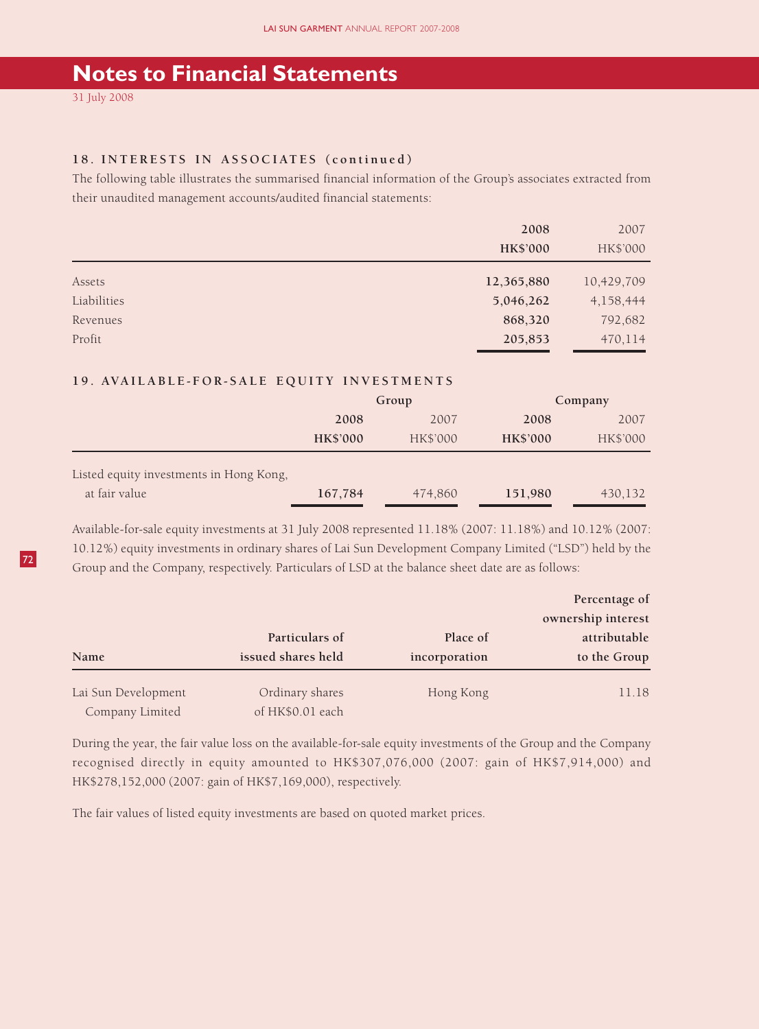31 July 2008

### **18. INTERESTS IN ASSOCIATES (continued)**

The following table illustrates the summarised financial information of the Group's associates extracted from their unaudited management accounts/audited financial statements:

|             | 2008            | 2007       |
|-------------|-----------------|------------|
|             | <b>HK\$'000</b> | HK\$'000   |
|             |                 |            |
| Assets      | 12,365,880      | 10,429,709 |
| Liabilities | 5,046,262       | 4,158,444  |
| Revenues    | 868,320         | 792,682    |
| Profit      | 205,853         | 470,114    |

## **19. AVAILABLE-FOR-SALE EQUITY INVESTMENTS**

|                                                          | Group           |          | Company         |          |
|----------------------------------------------------------|-----------------|----------|-----------------|----------|
|                                                          | 2008            | 2007     | 2008            | 2007     |
|                                                          | <b>HK\$'000</b> | HK\$'000 | <b>HK\$'000</b> | HK\$'000 |
| Listed equity investments in Hong Kong,<br>at fair value | 167,784         | 474,860  | 151,980         | 430,132  |

Available-for-sale equity investments at 31 July 2008 represented 11.18% (2007: 11.18%) and 10.12% (2007: 10.12%) equity investments in ordinary shares of Lai Sun Development Company Limited ("LSD") held by the Group and the Company, respectively. Particulars of LSD at the balance sheet date are as follows:

|                     |                    |               | Percentage of      |
|---------------------|--------------------|---------------|--------------------|
|                     |                    |               | ownership interest |
|                     | Particulars of     | Place of      | attributable       |
| Name                | issued shares held | incorporation | to the Group       |
| Lai Sun Development | Ordinary shares    | Hong Kong     | 11.18              |
| Company Limited     | of HK\$0.01 each   |               |                    |

During the year, the fair value loss on the available-for-sale equity investments of the Group and the Company recognised directly in equity amounted to HK\$307,076,000 (2007: gain of HK\$7,914,000) and HK\$278,152,000 (2007: gain of HK\$7,169,000), respectively.

The fair values of listed equity investments are based on quoted market prices.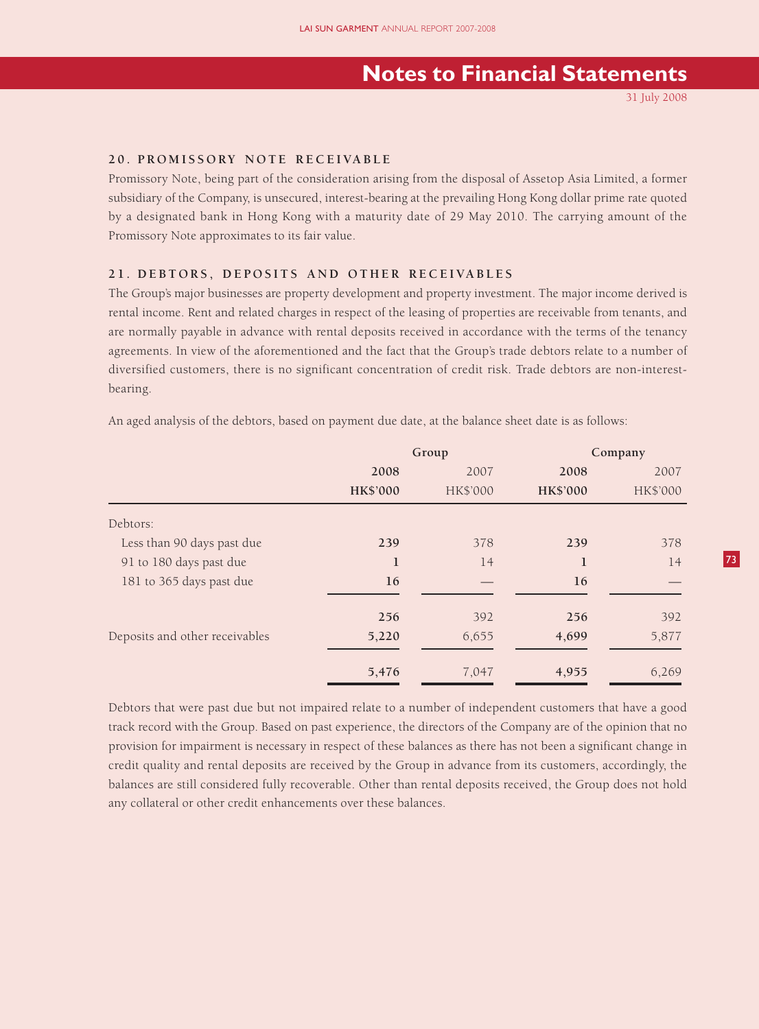31 July 2008

### **20. PROMISSORY NOTE RECEIVABLE**

Promissory Note, being part of the consideration arising from the disposal of Assetop Asia Limited, a former subsidiary of the Company, is unsecured, interest-bearing at the prevailing Hong Kong dollar prime rate quoted by a designated bank in Hong Kong with a maturity date of 29 May 2010. The carrying amount of the Promissory Note approximates to its fair value.

### **21. DEBTORS, DEPOSITS AND OTHER RECEIVABLES**

The Group's major businesses are property development and property investment. The major income derived is rental income. Rent and related charges in respect of the leasing of properties are receivable from tenants, and are normally payable in advance with rental deposits received in accordance with the terms of the tenancy agreements. In view of the aforementioned and the fact that the Group's trade debtors relate to a number of diversified customers, there is no significant concentration of credit risk. Trade debtors are non-interestbearing.

|  |  | $\sqrt{2}$ | Company |
|--|--|------------|---------|
|  |  |            |         |
|  |  |            |         |
|  |  |            |         |

An aged analysis of the debtors, based on payment due date, at the balance sheet date is as follows:

|                                |                 | Group    |                 | Company  |
|--------------------------------|-----------------|----------|-----------------|----------|
|                                | 2008            | 2007     | 2008            | 2007     |
|                                | <b>HK\$'000</b> | HK\$'000 | <b>HK\$'000</b> | HK\$'000 |
| Debtors:                       |                 |          |                 |          |
| Less than 90 days past due     | 239             | 378      | 239             | 378      |
| 91 to 180 days past due        | 1               | 14       |                 | 14       |
| 181 to 365 days past due       | 16              |          | 16              |          |
|                                |                 |          |                 |          |
|                                | 256             | 392      | 256             | 392      |
| Deposits and other receivables | 5,220           | 6,655    | 4,699           | 5,877    |
|                                |                 |          |                 |          |
|                                | 5,476           | 7,047    | 4,955           | 6,269    |
|                                |                 |          |                 |          |

Debtors that were past due but not impaired relate to a number of independent customers that have a good track record with the Group. Based on past experience, the directors of the Company are of the opinion that no provision for impairment is necessary in respect of these balances as there has not been a significant change in credit quality and rental deposits are received by the Group in advance from its customers, accordingly, the balances are still considered fully recoverable. Other than rental deposits received, the Group does not hold any collateral or other credit enhancements over these balances.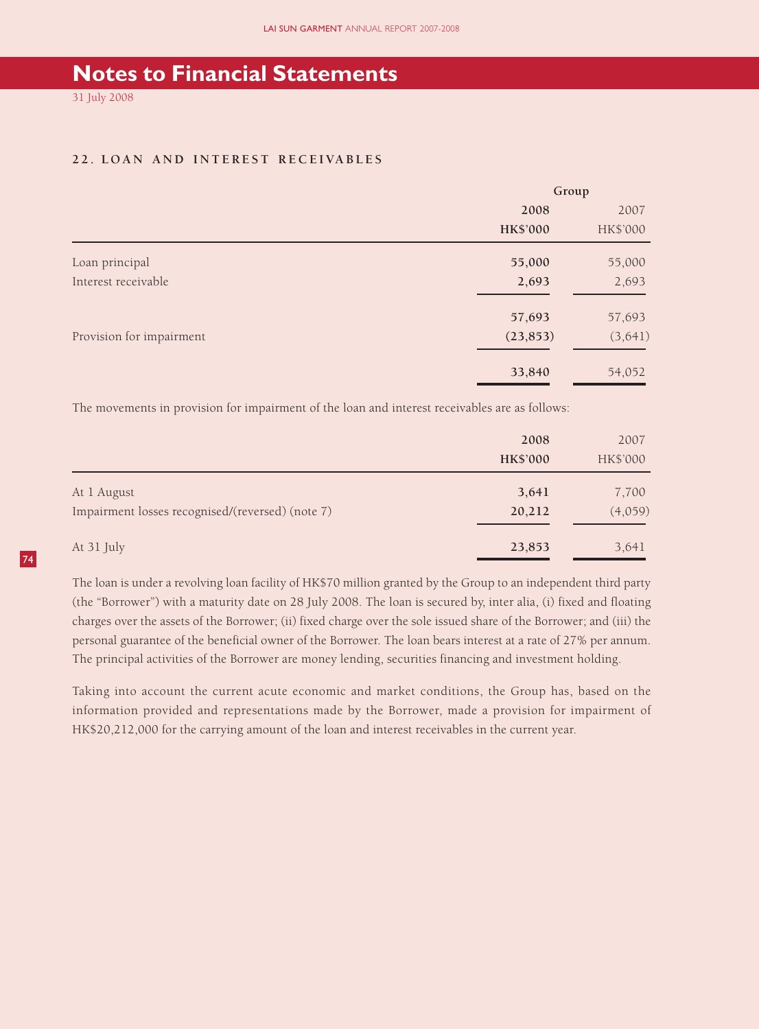31 July 2008

## **22. LOAN AND INTEREST RECEIVABLES**

|                          | Group           |          |  |
|--------------------------|-----------------|----------|--|
|                          | 2008            | 2007     |  |
|                          | <b>HK\$'000</b> | HK\$'000 |  |
| Loan principal           | 55,000          | 55,000   |  |
| Interest receivable      | 2,693           | 2,693    |  |
|                          | 57,693          | 57,693   |  |
| Provision for impairment | (23, 853)       | (3,641)  |  |
|                          | 33,840          | 54,052   |  |

The movements in provision for impairment of the loan and interest receivables are as follows:

|                                                  | 2008            | 2007     |
|--------------------------------------------------|-----------------|----------|
|                                                  | <b>HK\$'000</b> | HK\$'000 |
| At 1 August                                      | 3,641           | 7,700    |
| Impairment losses recognised/(reversed) (note 7) | 20,212          | (4,059)  |
| At 31 July                                       | 23,853          | 3,641    |

The loan is under a revolving loan facility of HK\$70 million granted by the Group to an independent third party (the "Borrower") with a maturity date on 28 July 2008. The loan is secured by, inter alia, (i) fixed and floating charges over the assets of the Borrower; (ii) fixed charge over the sole issued share of the Borrower; and (iii) the personal guarantee of the beneficial owner of the Borrower. The loan bears interest at a rate of 27% per annum. The principal activities of the Borrower are money lending, securities financing and investment holding.

Taking into account the current acute economic and market conditions, the Group has, based on the information provided and representations made by the Borrower, made a provision for impairment of HK\$20,212,000 for the carrying amount of the loan and interest receivables in the current year.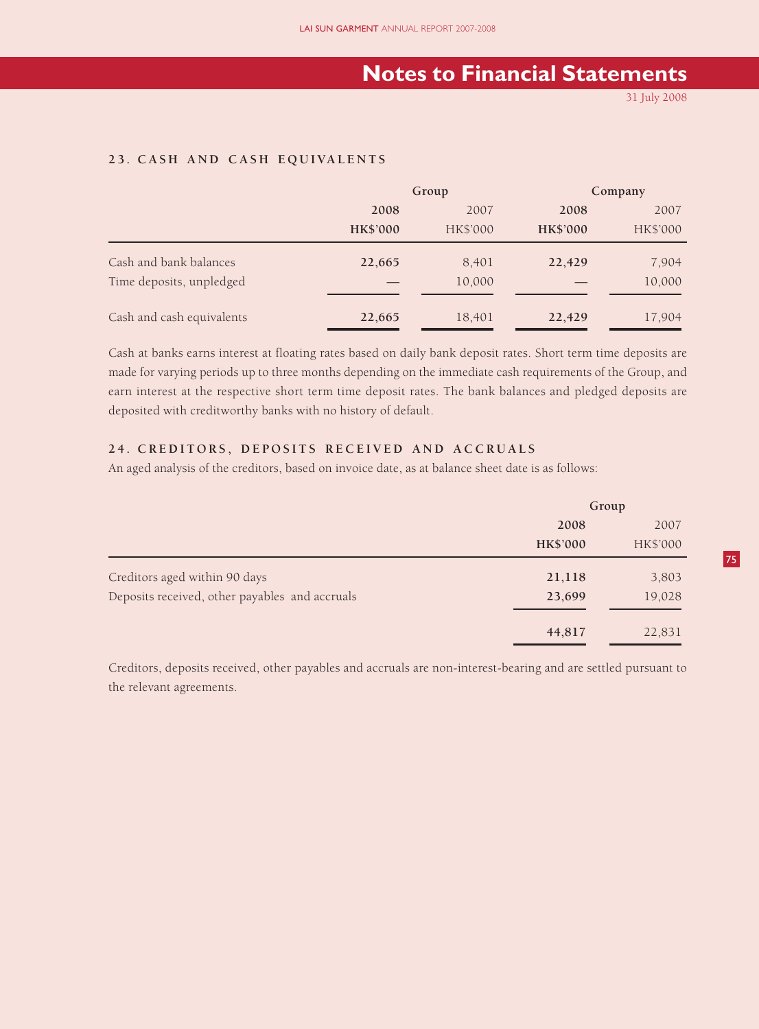31 July 2008

## **23. CASH AND CASH EQUIVALENTS**

|                           | Group           |          |                 | Company  |
|---------------------------|-----------------|----------|-----------------|----------|
|                           | 2008            | 2007     | 2008            | 2007     |
|                           | <b>HK\$'000</b> | HK\$'000 | <b>HK\$'000</b> | HK\$'000 |
| Cash and bank balances    | 22,665          | 8,401    | 22,429          | 7,904    |
| Time deposits, unpledged  |                 | 10,000   |                 | 10,000   |
| Cash and cash equivalents | 22,665          | 18,401   | 22,429          | 17,904   |

Cash at banks earns interest at floating rates based on daily bank deposit rates. Short term time deposits are made for varying periods up to three months depending on the immediate cash requirements of the Group, and earn interest at the respective short term time deposit rates. The bank balances and pledged deposits are deposited with creditworthy banks with no history of default.

### **24. CREDITORS, DEPOSITS RECEIVED AND ACCRUALS**

An aged analysis of the creditors, based on invoice date, as at balance sheet date is as follows:

|                                                |                 | Group    |
|------------------------------------------------|-----------------|----------|
|                                                | 2008            | 2007     |
|                                                | <b>HK\$'000</b> | HK\$'000 |
| Creditors aged within 90 days                  | 21,118          | 3,803    |
| Deposits received, other payables and accruals | 23,699          | 19,028   |
|                                                | 44,817          | 22,831   |

Creditors, deposits received, other payables and accruals are non-interest-bearing and are settled pursuant to the relevant agreements.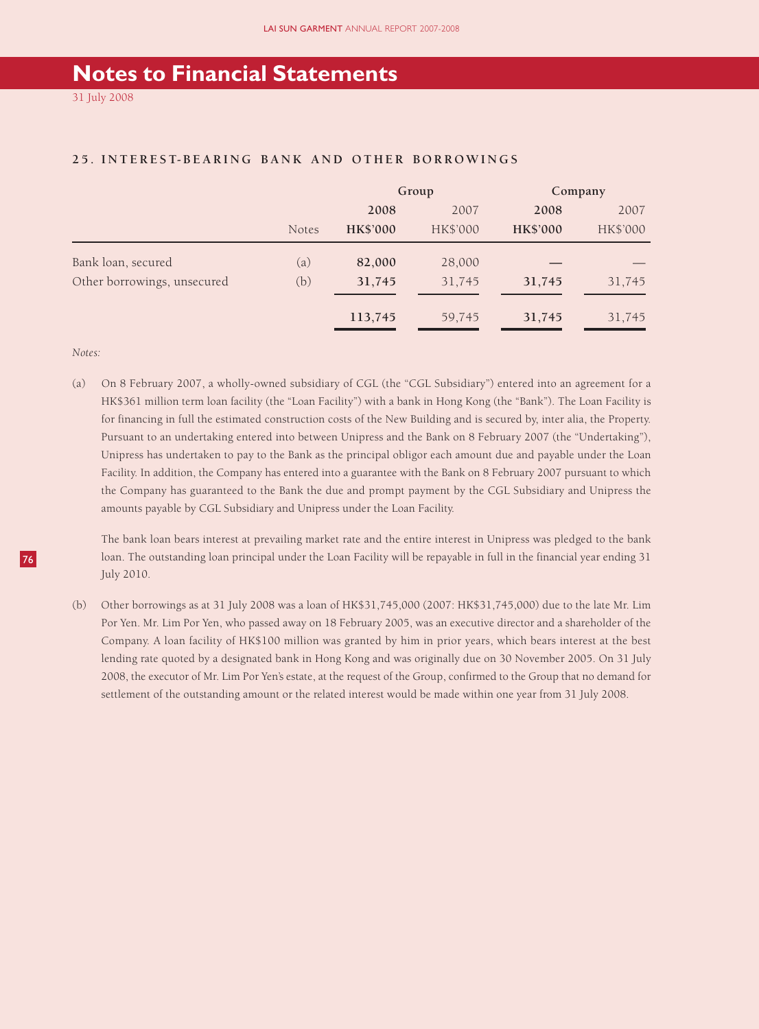31 July 2008

### **25. INTEREST-BEARING BANK AND OTHER BORROWINGS**

|                             |       | Group           |          |                 | Company  |
|-----------------------------|-------|-----------------|----------|-----------------|----------|
|                             |       | 2008            | 2007     | 2008            | 2007     |
|                             | Notes | <b>HK\$'000</b> | HK\$'000 | <b>HK\$'000</b> | HK\$'000 |
| Bank loan, secured          | (a)   | 82,000          | 28,000   |                 |          |
| Other borrowings, unsecured | (b)   | 31,745          | 31,745   | 31,745          | 31,745   |
|                             |       | 113,745         | 59,745   | 31,745          | 31,745   |

*Notes:*

(a) On 8 February 2007, a wholly-owned subsidiary of CGL (the "CGL Subsidiary") entered into an agreement for a HK\$361 million term loan facility (the "Loan Facility") with a bank in Hong Kong (the "Bank"). The Loan Facility is for financing in full the estimated construction costs of the New Building and is secured by, inter alia, the Property. Pursuant to an undertaking entered into between Unipress and the Bank on 8 February 2007 (the "Undertaking"), Unipress has undertaken to pay to the Bank as the principal obligor each amount due and payable under the Loan Facility. In addition, the Company has entered into a guarantee with the Bank on 8 February 2007 pursuant to which the Company has guaranteed to the Bank the due and prompt payment by the CGL Subsidiary and Unipress the amounts payable by CGL Subsidiary and Unipress under the Loan Facility.

The bank loan bears interest at prevailing market rate and the entire interest in Unipress was pledged to the bank loan. The outstanding loan principal under the Loan Facility will be repayable in full in the financial year ending 31 July 2010.

(b) Other borrowings as at 31 July 2008 was a loan of HK\$31,745,000 (2007: HK\$31,745,000) due to the late Mr. Lim Por Yen. Mr. Lim Por Yen, who passed away on 18 February 2005, was an executive director and a shareholder of the Company. A loan facility of HK\$100 million was granted by him in prior years, which bears interest at the best lending rate quoted by a designated bank in Hong Kong and was originally due on 30 November 2005. On 31 July 2008, the executor of Mr. Lim Por Yen's estate, at the request of the Group, confirmed to the Group that no demand for settlement of the outstanding amount or the related interest would be made within one year from 31 July 2008.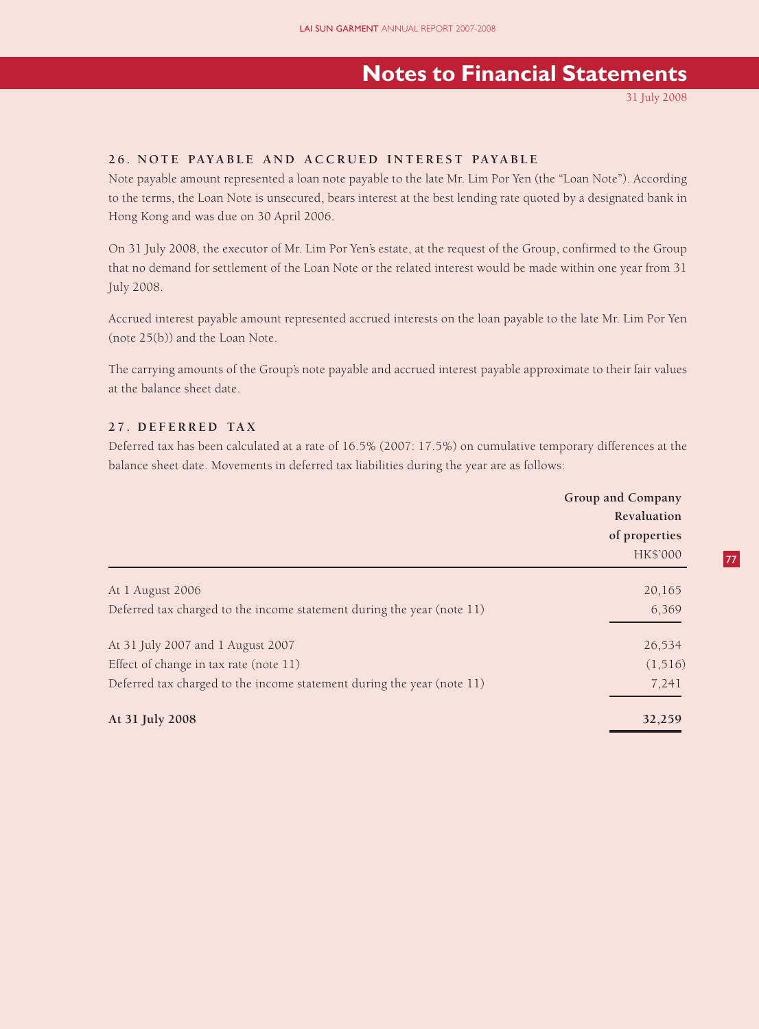31 July 2008

## **26. NOTE PAYABLE AND ACCRUED INTEREST PAYABLE**

Note payable amount represented a loan note payable to the late Mr. Lim Por Yen (the "Loan Note"). According to the terms, the Loan Note is unsecured, bears interest at the best lending rate quoted by a designated bank in Hong Kong and was due on 30 April 2006.

On 31 July 2008, the executor of Mr. Lim Por Yen's estate, at the request of the Group, confirmed to the Group that no demand for settlement of the Loan Note or the related interest would be made within one year from 31 July 2008.

Accrued interest payable amount represented accrued interests on the loan payable to the late Mr. Lim Por Yen (note 25(b)) and the Loan Note.

The carrying amounts of the Group's note payable and accrued interest payable approximate to their fair values at the balance sheet date.

### **27. DEFERRED TAX**

Deferred tax has been calculated at a rate of 16.5% (2007: 17.5%) on cumulative temporary differences at the balance sheet date. Movements in deferred tax liabilities during the year are as follows:

|                                                                        | <b>Group and Company</b> |
|------------------------------------------------------------------------|--------------------------|
|                                                                        | Revaluation              |
|                                                                        | of properties            |
|                                                                        | HK\$'000                 |
| At 1 August 2006                                                       | 20,165                   |
| Deferred tax charged to the income statement during the year (note 11) | 6,369                    |
| At 31 July 2007 and 1 August 2007                                      | 26,534                   |
| Effect of change in tax rate (note 11)                                 | (1,516)                  |
| Deferred tax charged to the income statement during the year (note 11) | 7,241                    |
| At 31 July 2008                                                        | 32,259                   |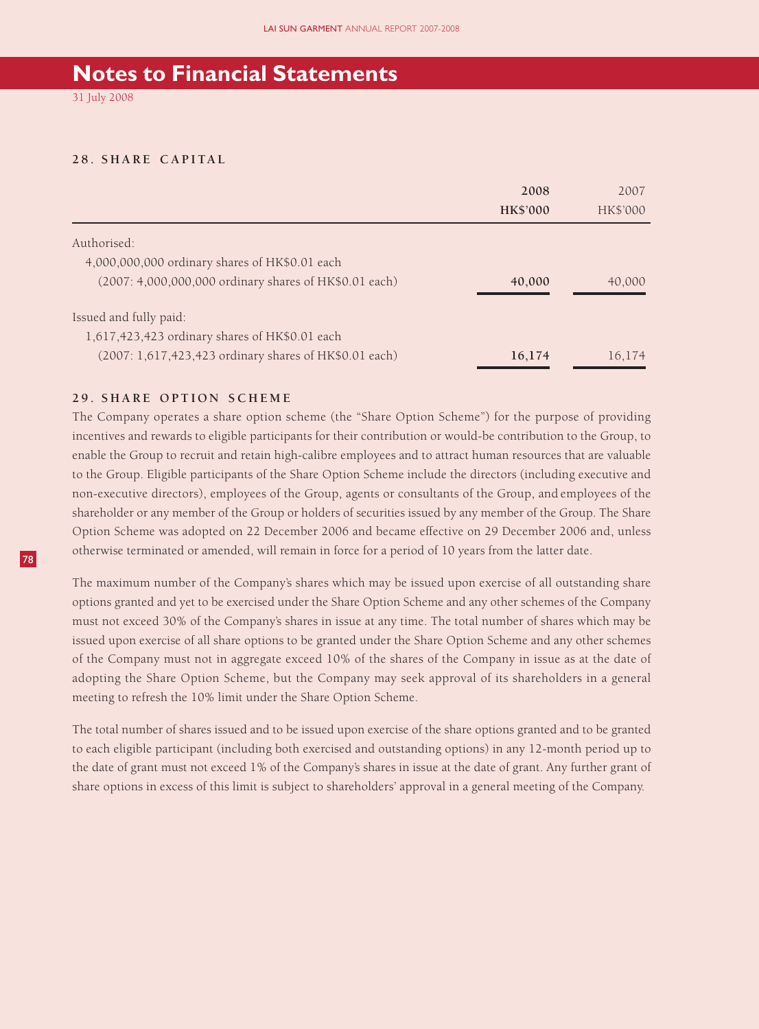31 July 2008

### **28. SHARE CAPITAL**

|                                                        | 2008            | 2007     |
|--------------------------------------------------------|-----------------|----------|
|                                                        | <b>HK\$'000</b> | HK\$'000 |
| Authorised:                                            |                 |          |
| 4,000,000,000 ordinary shares of HK\$0.01 each         |                 |          |
| (2007: 4,000,000,000 ordinary shares of HK\$0.01 each) | 40,000          | 40,000   |
| Issued and fully paid:                                 |                 |          |
| 1,617,423,423 ordinary shares of HK\$0.01 each         |                 |          |
| (2007: 1,617,423,423 ordinary shares of HK\$0.01 each) | 16,174          | 16,174   |

#### **29. SHARE OPTION SCHEME**

The Company operates a share option scheme (the "Share Option Scheme") for the purpose of providing incentives and rewards to eligible participants for their contribution or would-be contribution to the Group, to enable the Group to recruit and retain high-calibre employees and to attract human resources that are valuable to the Group. Eligible participants of the Share Option Scheme include the directors (including executive and non-executive directors), employees of the Group, agents or consultants of the Group, and employees of the shareholder or any member of the Group or holders of securities issued by any member of the Group. The Share Option Scheme was adopted on 22 December 2006 and became effective on 29 December 2006 and, unless otherwise terminated or amended, will remain in force for a period of 10 years from the latter date.

The maximum number of the Company's shares which may be issued upon exercise of all outstanding share options granted and yet to be exercised under the Share Option Scheme and any other schemes of the Company must not exceed 30% of the Company's shares in issue at any time. The total number of shares which may be issued upon exercise of all share options to be granted under the Share Option Scheme and any other schemes of the Company must not in aggregate exceed 10% of the shares of the Company in issue as at the date of adopting the Share Option Scheme, but the Company may seek approval of its shareholders in a general meeting to refresh the 10% limit under the Share Option Scheme.

The total number of shares issued and to be issued upon exercise of the share options granted and to be granted to each eligible participant (including both exercised and outstanding options) in any 12-month period up to the date of grant must not exceed 1% of the Company's shares in issue at the date of grant. Any further grant of share options in excess of this limit is subject to shareholders' approval in a general meeting of the Company.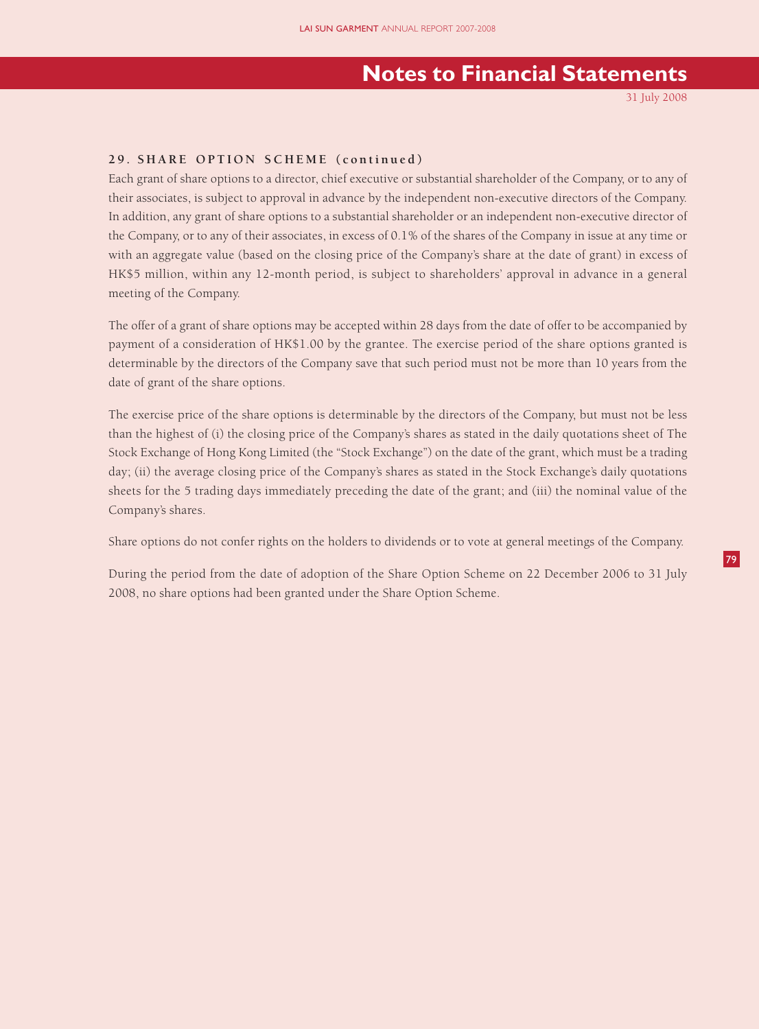31 July 2008

### **29. SHARE OPTION SCHEME (continued)**

Each grant of share options to a director, chief executive or substantial shareholder of the Company, or to any of their associates, is subject to approval in advance by the independent non-executive directors of the Company. In addition, any grant of share options to a substantial shareholder or an independent non-executive director of the Company, or to any of their associates, in excess of 0.1% of the shares of the Company in issue at any time or with an aggregate value (based on the closing price of the Company's share at the date of grant) in excess of HK\$5 million, within any 12-month period, is subject to shareholders' approval in advance in a general meeting of the Company.

The offer of a grant of share options may be accepted within 28 days from the date of offer to be accompanied by payment of a consideration of HK\$1.00 by the grantee. The exercise period of the share options granted is determinable by the directors of the Company save that such period must not be more than 10 years from the date of grant of the share options.

The exercise price of the share options is determinable by the directors of the Company, but must not be less than the highest of (i) the closing price of the Company's shares as stated in the daily quotations sheet of The Stock Exchange of Hong Kong Limited (the "Stock Exchange") on the date of the grant, which must be a trading day; (ii) the average closing price of the Company's shares as stated in the Stock Exchange's daily quotations sheets for the 5 trading days immediately preceding the date of the grant; and (iii) the nominal value of the Company's shares.

Share options do not confer rights on the holders to dividends or to vote at general meetings of the Company.

During the period from the date of adoption of the Share Option Scheme on 22 December 2006 to 31 July 2008, no share options had been granted under the Share Option Scheme.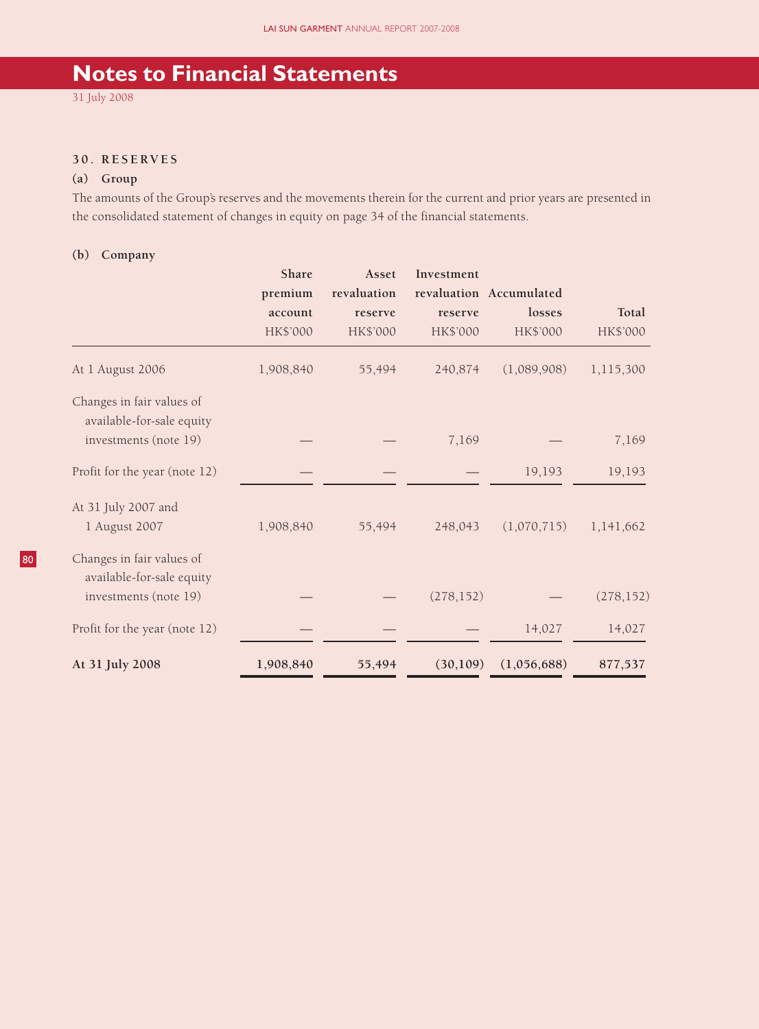31 July 2008

### **30. RESERVES**

## **(a) Group**

The amounts of the Group's reserves and the movements therein for the current and prior years are presented in the consolidated statement of changes in equity on page 34 of the financial statements.

### **(b) Company**

|                                                        | Share     | Asset       | Investment |                         |            |
|--------------------------------------------------------|-----------|-------------|------------|-------------------------|------------|
|                                                        | premium   | revaluation |            | revaluation Accumulated |            |
|                                                        | account   | reserve     | reserve    | losses                  | Total      |
|                                                        | HK\$'000  | HK\$'000    | HK\$'000   | HK\$'000                | HK\$'000   |
| At 1 August 2006                                       | 1,908,840 | 55,494      | 240,874    | (1,089,908)             | 1,115,300  |
| Changes in fair values of<br>available-for-sale equity |           |             |            |                         |            |
| investments (note 19)                                  |           |             | 7,169      |                         | 7,169      |
| Profit for the year (note 12)                          |           |             |            | 19,193                  | 19,193     |
| At 31 July 2007 and<br>1 August 2007                   | 1,908,840 | 55,494      | 248,043    | (1,070,715)             | 1,141,662  |
| Changes in fair values of<br>available-for-sale equity |           |             |            |                         |            |
| investments (note 19)                                  |           |             | (278, 152) |                         | (278, 152) |
| Profit for the year (note 12)                          |           |             |            | 14,027                  | 14,027     |
| At 31 July 2008                                        | 1,908,840 | 55,494      | (30, 109)  | (1,056,688)             | 877,537    |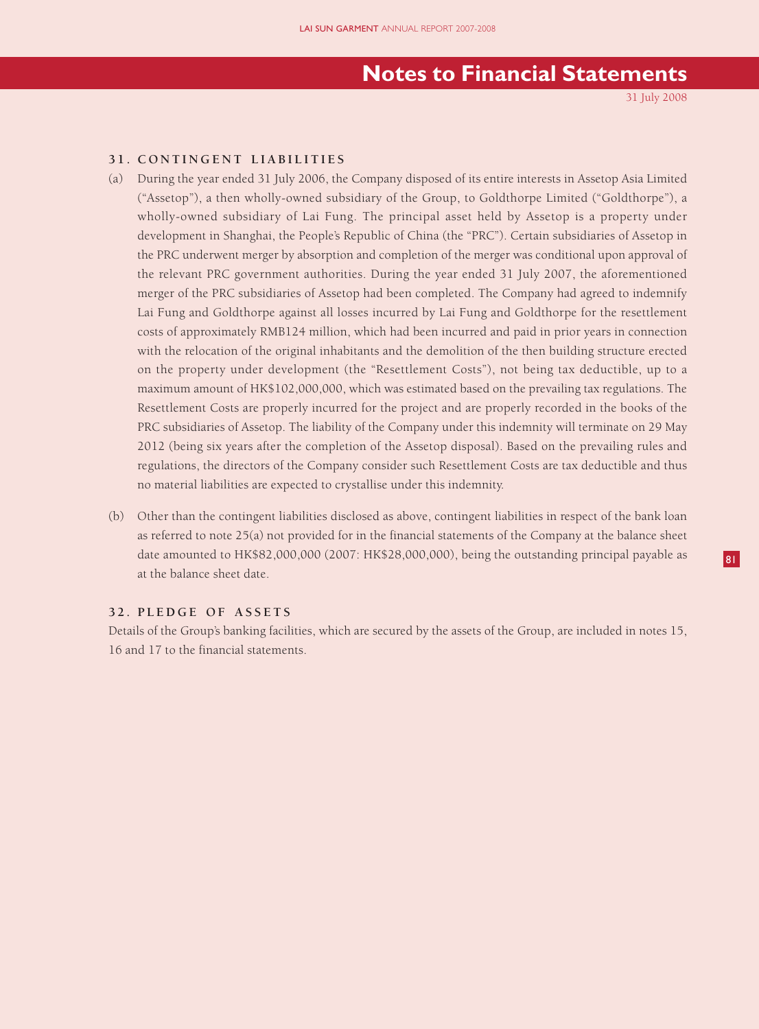31 July 2008

### **31. CONTINGENT LIABILITIES**

- (a) During the year ended 31 July 2006, the Company disposed of its entire interests in Assetop Asia Limited ("Assetop"), a then wholly-owned subsidiary of the Group, to Goldthorpe Limited ("Goldthorpe"), a wholly-owned subsidiary of Lai Fung. The principal asset held by Assetop is a property under development in Shanghai, the People's Republic of China (the "PRC"). Certain subsidiaries of Assetop in the PRC underwent merger by absorption and completion of the merger was conditional upon approval of the relevant PRC government authorities. During the year ended 31 July 2007, the aforementioned merger of the PRC subsidiaries of Assetop had been completed. The Company had agreed to indemnify Lai Fung and Goldthorpe against all losses incurred by Lai Fung and Goldthorpe for the resettlement costs of approximately RMB124 million, which had been incurred and paid in prior years in connection with the relocation of the original inhabitants and the demolition of the then building structure erected on the property under development (the "Resettlement Costs"), not being tax deductible, up to a maximum amount of HK\$102,000,000, which was estimated based on the prevailing tax regulations. The Resettlement Costs are properly incurred for the project and are properly recorded in the books of the PRC subsidiaries of Assetop. The liability of the Company under this indemnity will terminate on 29 May 2012 (being six years after the completion of the Assetop disposal). Based on the prevailing rules and regulations, the directors of the Company consider such Resettlement Costs are tax deductible and thus no material liabilities are expected to crystallise under this indemnity.
- (b) Other than the contingent liabilities disclosed as above, contingent liabilities in respect of the bank loan as referred to note 25(a) not provided for in the financial statements of the Company at the balance sheet date amounted to HK\$82,000,000 (2007: HK\$28,000,000), being the outstanding principal payable as at the balance sheet date.

#### **32. PLEDGE OF ASSETS**

Details of the Group's banking facilities, which are secured by the assets of the Group, are included in notes 15, 16 and 17 to the financial statements.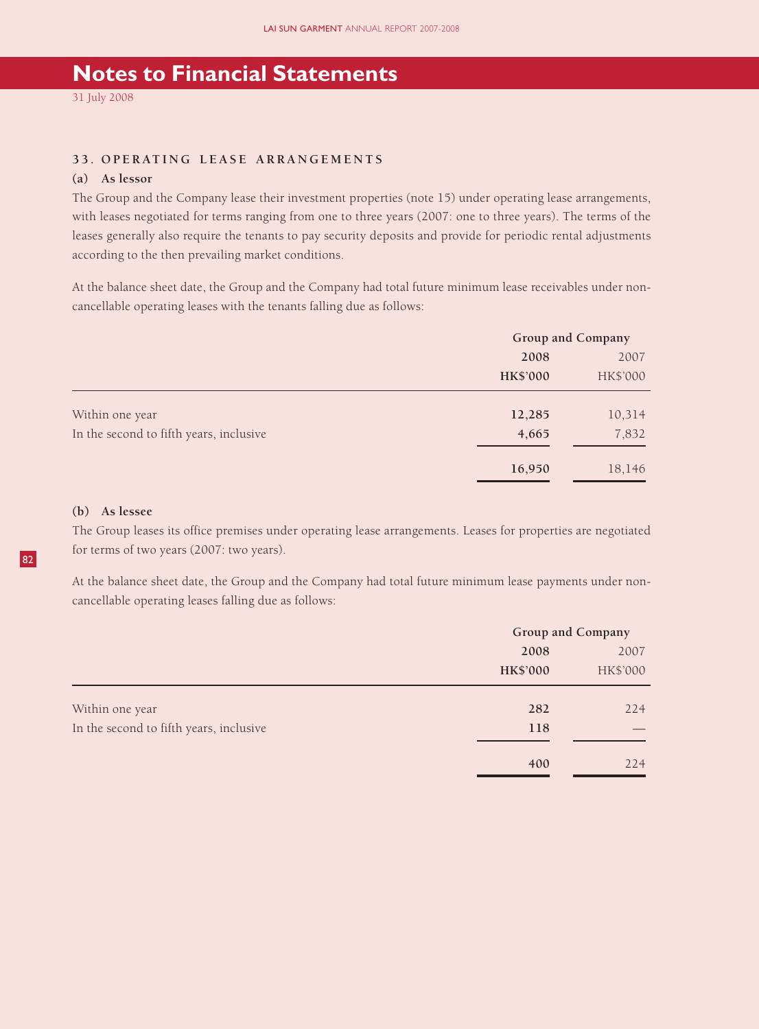31 July 2008

### **33. OPERATING LEASE ARRANGEMENTS**

#### **(a) As lessor**

The Group and the Company lease their investment properties (note 15) under operating lease arrangements, with leases negotiated for terms ranging from one to three years (2007: one to three years). The terms of the leases generally also require the tenants to pay security deposits and provide for periodic rental adjustments according to the then prevailing market conditions.

At the balance sheet date, the Group and the Company had total future minimum lease receivables under noncancellable operating leases with the tenants falling due as follows:

|                                         | Group and Company |          |
|-----------------------------------------|-------------------|----------|
|                                         | 2008              | 2007     |
|                                         | <b>HK\$'000</b>   | HK\$'000 |
|                                         |                   |          |
| Within one year                         | 12,285            | 10,314   |
| In the second to fifth years, inclusive | 4,665             | 7,832    |
|                                         | 16,950            | 18,146   |

### **(b) As lessee**

The Group leases its office premises under operating lease arrangements. Leases for properties are negotiated for terms of two years (2007: two years).

At the balance sheet date, the Group and the Company had total future minimum lease payments under noncancellable operating leases falling due as follows:

|                                         |                 | Group and Company |  |
|-----------------------------------------|-----------------|-------------------|--|
|                                         | 2008            | 2007              |  |
|                                         | <b>HK\$'000</b> | HK\$'000          |  |
| Within one year                         | 282             | 224               |  |
| In the second to fifth years, inclusive | 118             |                   |  |
|                                         | 400             | 224               |  |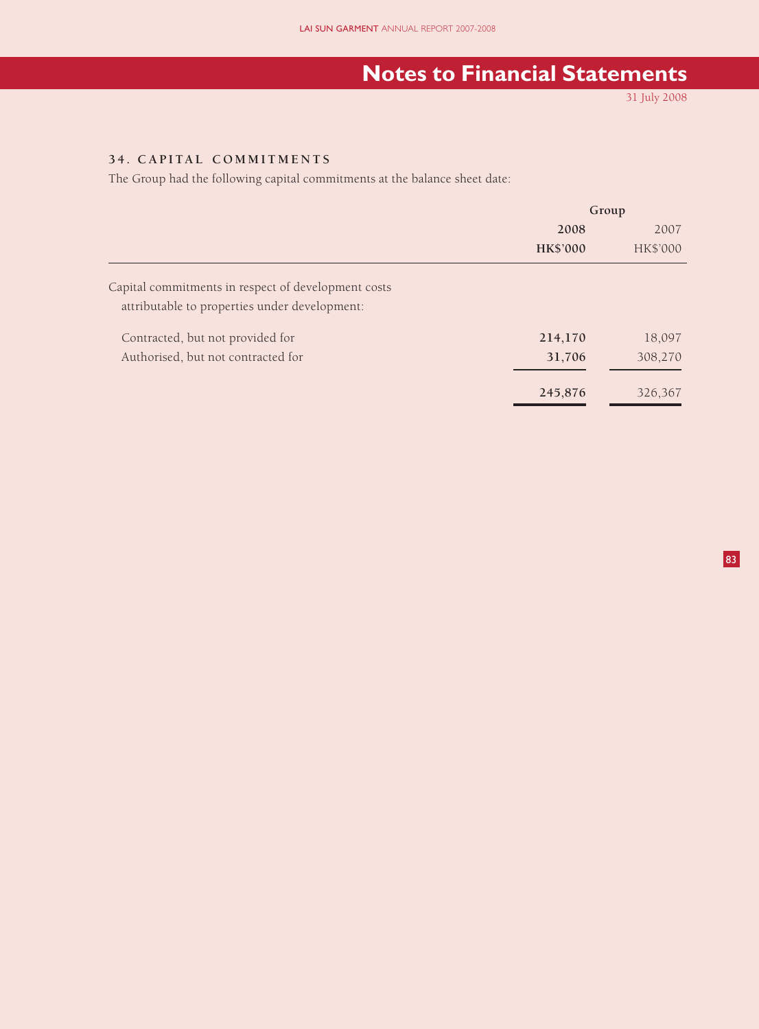31 July 2008

## **34. CAPITAL COMMITMENTS**

The Group had the following capital commitments at the balance sheet date:

|                                                     |                 | Group    |
|-----------------------------------------------------|-----------------|----------|
|                                                     | 2008            | 2007     |
|                                                     | <b>HK\$'000</b> | HK\$'000 |
| Capital commitments in respect of development costs |                 |          |
| attributable to properties under development:       |                 |          |
| Contracted, but not provided for                    | 214,170         | 18,097   |
| Authorised, but not contracted for                  | 31,706          | 308,270  |
|                                                     | 245,876         | 326,367  |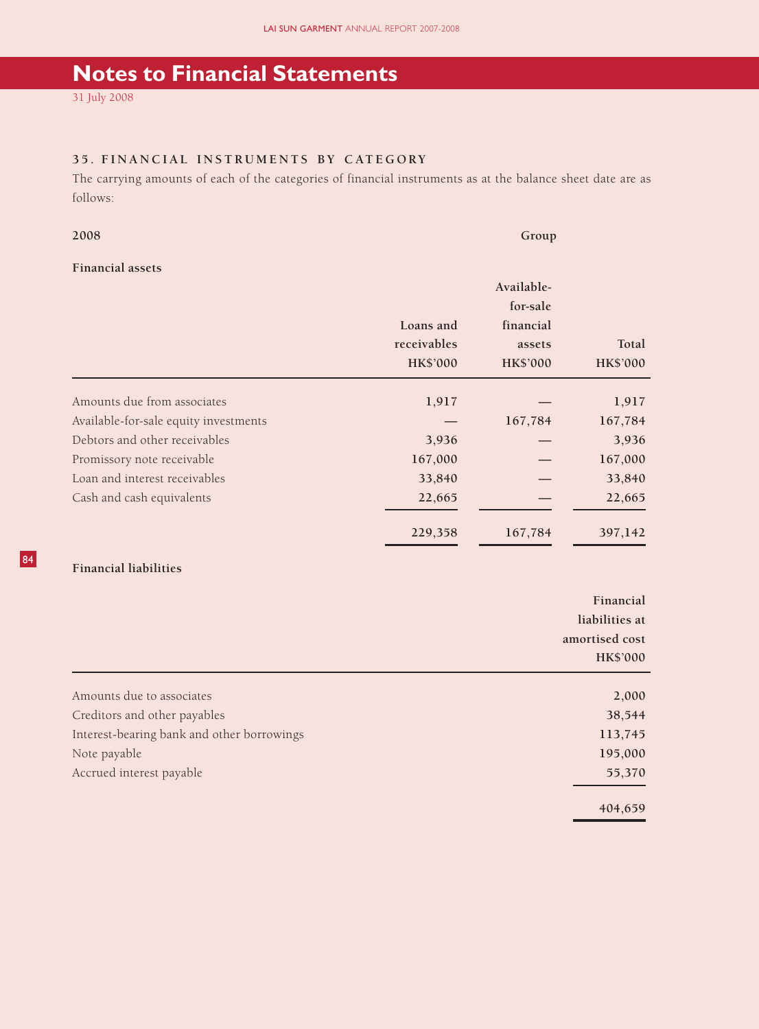31 July 2008

## **35. FINANCIAL INSTRUMENTS BY CATEGORY**

The carrying amounts of each of the categories of financial instruments as at the balance sheet date are as follows:

| 2008                                  | Group           |                 |                 |
|---------------------------------------|-----------------|-----------------|-----------------|
| <b>Financial assets</b>               |                 |                 |                 |
|                                       |                 | Available-      |                 |
|                                       |                 | for-sale        |                 |
|                                       | Loans and       | financial       |                 |
|                                       | receivables     | assets          | Total           |
|                                       | <b>HK\$'000</b> | <b>HK\$'000</b> | <b>HK\$'000</b> |
| Amounts due from associates           | 1,917           |                 | 1,917           |
| Available-for-sale equity investments |                 | 167,784         | 167,784         |
| Debtors and other receivables         | 3,936           |                 | 3,936           |
|                                       | 167,000         |                 | 167,000         |
| Promissory note receivable            |                 |                 |                 |
| Loan and interest receivables         | 33,840          |                 | 33,840          |
| Cash and cash equivalents             | 22,665          |                 | 22,665          |
|                                       | 229,358         | 167,784         | 397,142         |
| <b>Financial liabilities</b>          |                 |                 |                 |

|                                            | Financial       |
|--------------------------------------------|-----------------|
|                                            | liabilities at  |
|                                            | amortised cost  |
|                                            | <b>HK\$'000</b> |
|                                            |                 |
| Amounts due to associates                  | 2,000           |
| Creditors and other payables               | 38,544          |
| Interest-bearing bank and other borrowings | 113,745         |
| Note payable                               | 195,000         |
| Accrued interest payable                   | 55,370          |
|                                            |                 |
|                                            | 404,659         |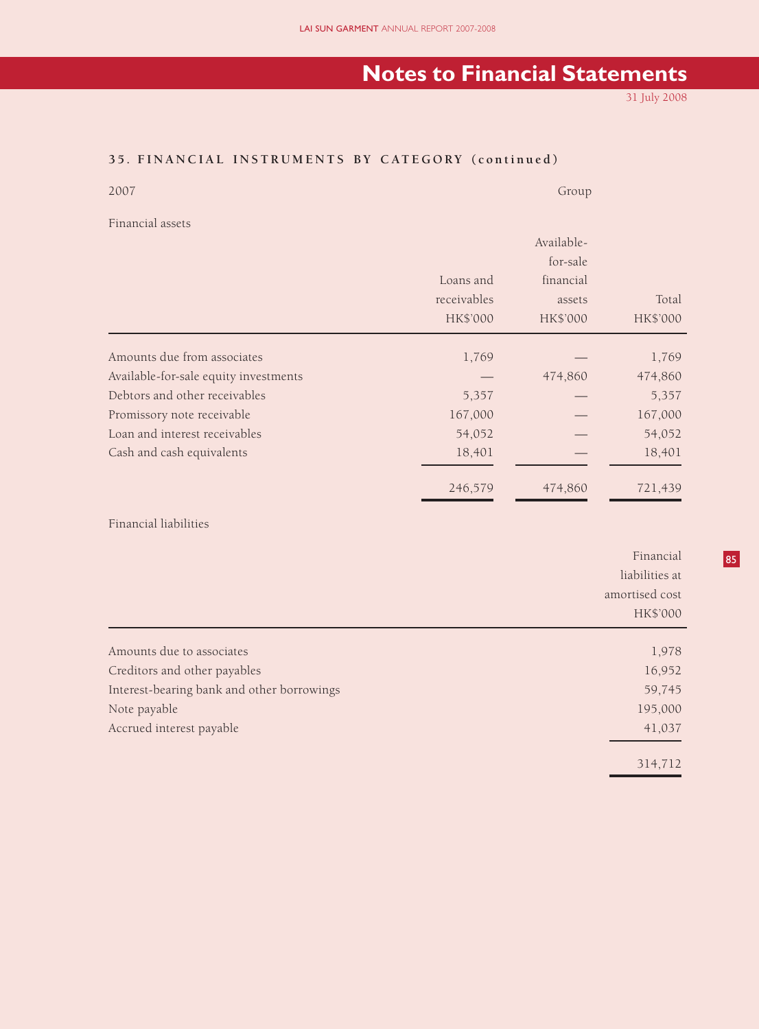31 July 2008

## **35. FINANCIAL INSTRUMENTS BY CATEGORY (continued)**

| 2007 | Group |
|------|-------|
|      |       |

Financial assets

|                                       |             | Available- |          |
|---------------------------------------|-------------|------------|----------|
|                                       |             | for-sale   |          |
|                                       | Loans and   | financial  |          |
|                                       | receivables | assets     | Total    |
|                                       | HK\$'000    | HK\$'000   | HK\$'000 |
| Amounts due from associates           | 1,769       |            | 1,769    |
| Available-for-sale equity investments |             | 474,860    | 474,860  |
| Debtors and other receivables         | 5,357       |            | 5,357    |
| Promissory note receivable            | 167,000     |            | 167,000  |
| Loan and interest receivables         | 54,052      |            | 54,052   |
| Cash and cash equivalents             | 18,401      |            | 18,401   |
|                                       | 246,579     | 474,860    | 721,439  |
|                                       |             |            |          |

Financial liabilities

|                                            | Financial      |
|--------------------------------------------|----------------|
|                                            | liabilities at |
|                                            | amortised cost |
|                                            | HK\$'000       |
|                                            |                |
| Amounts due to associates                  | 1,978          |
| Creditors and other payables               | 16,952         |
| Interest-bearing bank and other borrowings | 59,745         |
| Note payable                               | 195,000        |
| Accrued interest payable                   | 41,037         |
|                                            |                |
|                                            | 314,712        |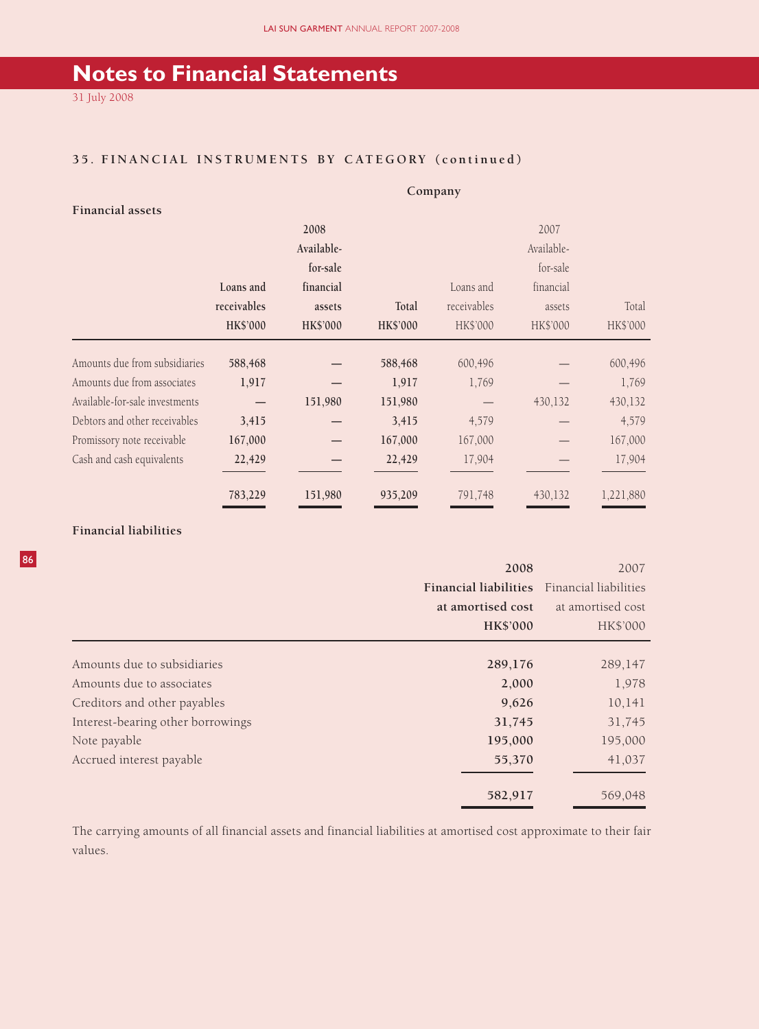**Company**

# **Notes to Financial Statements**

31 July 2008

## **35. FINANCIAL INSTRUMENTS BY CATEGORY (continued)**

| <b>Financial assets</b>        |                 |                 |                 |             |            |           |  |
|--------------------------------|-----------------|-----------------|-----------------|-------------|------------|-----------|--|
|                                |                 | 2008            |                 |             | 2007       |           |  |
|                                |                 | Available-      |                 |             | Available- |           |  |
|                                |                 | for-sale        |                 |             | for-sale   |           |  |
|                                | Loans and       | financial       |                 | Loans and   | financial  |           |  |
|                                | receivables     | assets          | Total           | receivables | assets     | Total     |  |
|                                | <b>HK\$'000</b> | <b>HK\$'000</b> | <b>HK\$'000</b> | HK\$'000    | HK\$'000   | HK\$'000  |  |
|                                |                 |                 |                 |             |            |           |  |
| Amounts due from subsidiaries  | 588,468         |                 | 588,468         | 600,496     |            | 600,496   |  |
| Amounts due from associates    | 1,917           |                 | 1,917           | 1,769       |            | 1,769     |  |
| Available-for-sale investments |                 | 151,980         | 151,980         |             | 430,132    | 430,132   |  |
| Debtors and other receivables  | 3,415           |                 | 3,415           | 4,579       |            | 4,579     |  |
| Promissory note receivable     | 167,000         |                 | 167,000         | 167,000     |            | 167,000   |  |
| Cash and cash equivalents      | 22,429          |                 | 22,429          | 17,904      |            | 17,904    |  |
|                                | 783,229         | 151,980         | 935,209         | 791,748     | 430,132    | 1,221,880 |  |

## **Financial liabilities**

|                                   | 2008<br>Financial liabilities Financial liabilities<br>at amortised cost<br><b>HK\$'000</b> | 2007<br>at amortised cost<br>HK\$'000 |
|-----------------------------------|---------------------------------------------------------------------------------------------|---------------------------------------|
| Amounts due to subsidiaries       | 289,176                                                                                     | 289,147                               |
| Amounts due to associates         | 2,000                                                                                       | 1,978                                 |
| Creditors and other payables      | 9,626                                                                                       | 10,141                                |
| Interest-bearing other borrowings | 31,745                                                                                      | 31,745                                |
| Note payable                      | 195,000                                                                                     | 195,000                               |
| Accrued interest payable          | 55,370                                                                                      | 41,037                                |
|                                   | 582,917                                                                                     | 569,048                               |

The carrying amounts of all financial assets and financial liabilities at amortised cost approximate to their fair values.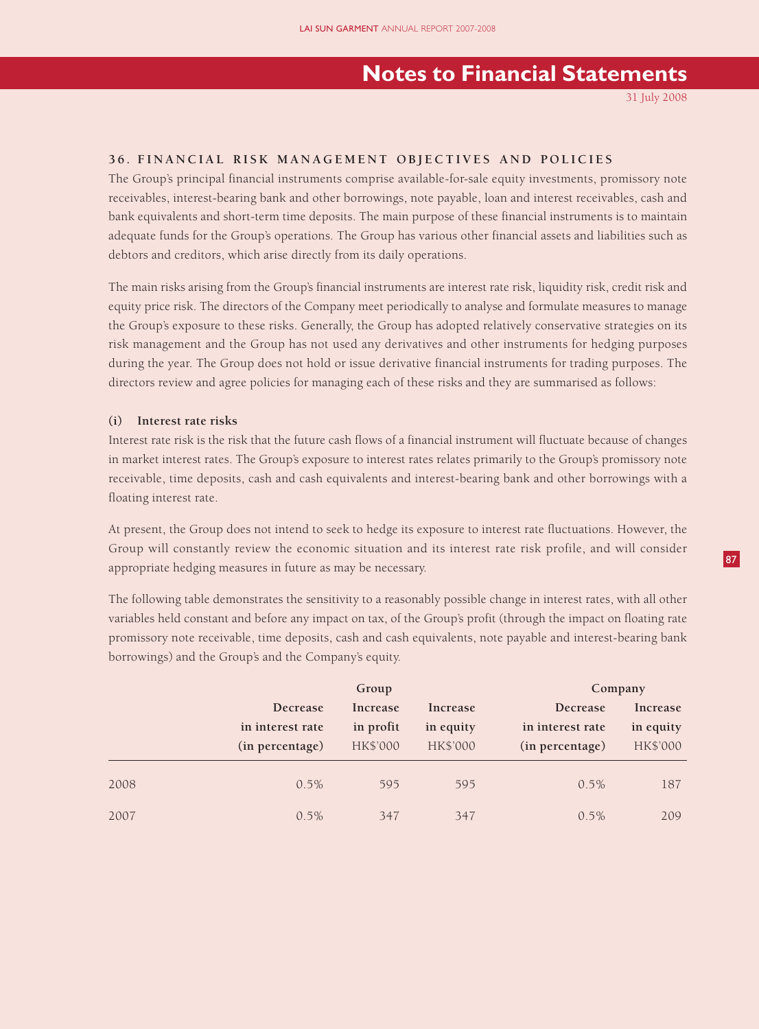31 July 2008

### **36. FINANCIAL RISK MANAGEMENT OBJECTIVES AND POLICIES**

The Group's principal financial instruments comprise available-for-sale equity investments, promissory note receivables, interest-bearing bank and other borrowings, note payable, loan and interest receivables, cash and bank equivalents and short-term time deposits. The main purpose of these financial instruments is to maintain adequate funds for the Group's operations. The Group has various other financial assets and liabilities such as debtors and creditors, which arise directly from its daily operations.

The main risks arising from the Group's financial instruments are interest rate risk, liquidity risk, credit risk and equity price risk. The directors of the Company meet periodically to analyse and formulate measures to manage the Group's exposure to these risks. Generally, the Group has adopted relatively conservative strategies on its risk management and the Group has not used any derivatives and other instruments for hedging purposes during the year. The Group does not hold or issue derivative financial instruments for trading purposes. The directors review and agree policies for managing each of these risks and they are summarised as follows:

#### **(i) Interest rate risks**

Interest rate risk is the risk that the future cash flows of a financial instrument will fluctuate because of changes in market interest rates. The Group's exposure to interest rates relates primarily to the Group's promissory note receivable, time deposits, cash and cash equivalents and interest-bearing bank and other borrowings with a floating interest rate.

At present, the Group does not intend to seek to hedge its exposure to interest rate fluctuations. However, the Group will constantly review the economic situation and its interest rate risk profile, and will consider appropriate hedging measures in future as may be necessary.

The following table demonstrates the sensitivity to a reasonably possible change in interest rates, with all other variables held constant and before any impact on tax, of the Group's profit (through the impact on floating rate promissory note receivable, time deposits, cash and cash equivalents, note payable and interest-bearing bank borrowings) and the Group's and the Company's equity.

|      |                  | Group     |           |                  | Company   |
|------|------------------|-----------|-----------|------------------|-----------|
|      | Decrease         | Increase  | Increase  | Decrease         | Increase  |
|      | in interest rate | in profit | in equity | in interest rate | in equity |
|      | (in percentage)  | HK\$'000  | HK\$'000  | (in percentage)  | HK\$'000  |
| 2008 | $0.5\%$          | 595       | 595       | $0.5\%$          | 187       |
| 2007 | $0.5\%$          | 347       | 347       | $0.5\%$          | 209       |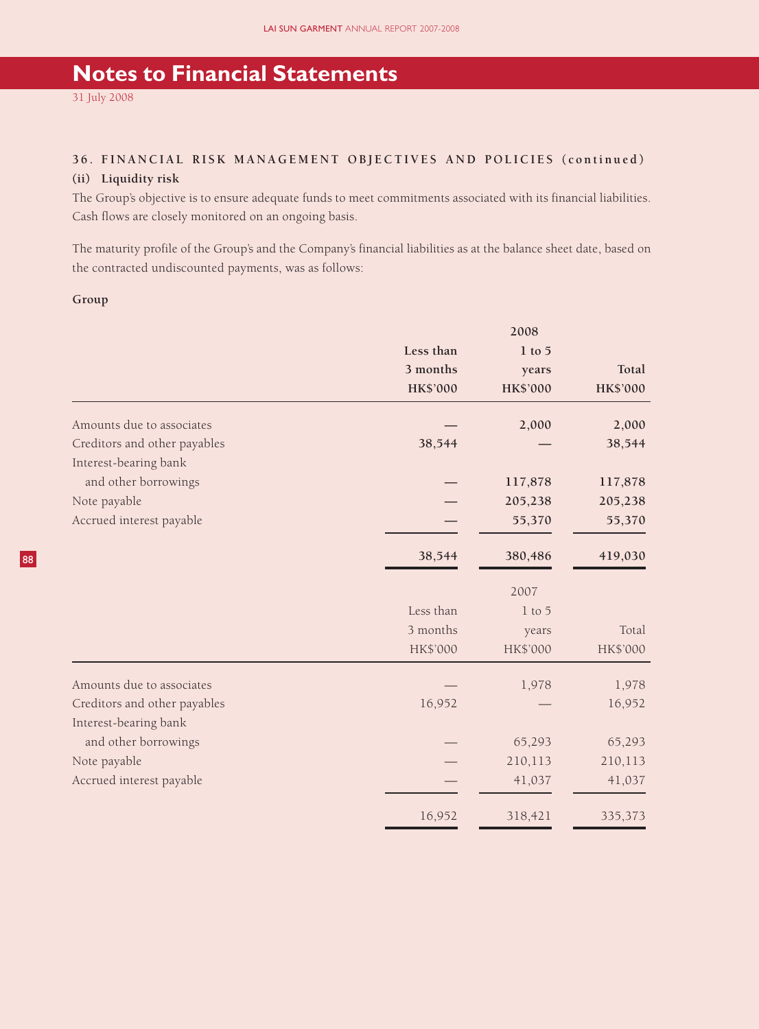31 July 2008

# **36. FINANCIAL RISK MANAGEMENT OBJECTIVES AND POLICIES (continued)**

## **(ii) Liquidity risk**

The Group's objective is to ensure adequate funds to meet commitments associated with its financial liabilities. Cash flows are closely monitored on an ongoing basis.

The maturity profile of the Group's and the Company's financial liabilities as at the balance sheet date, based on the contracted undiscounted payments, was as follows:

### **Group**

|                              | Less than       | $1$ to 5        |                 |
|------------------------------|-----------------|-----------------|-----------------|
|                              | 3 months        | years           | Total           |
|                              | <b>HK\$'000</b> | <b>HK\$'000</b> | <b>HK\$'000</b> |
| Amounts due to associates    |                 | 2,000           | 2,000           |
| Creditors and other payables | 38,544          |                 | 38,544          |
| Interest-bearing bank        |                 |                 |                 |
| and other borrowings         |                 | 117,878         | 117,878         |
| Note payable                 |                 | 205,238         | 205,238         |
| Accrued interest payable     |                 | 55,370          | 55,370          |
|                              | 38,544          | 380,486         | 419,030         |
|                              |                 | 2007            |                 |
|                              | Less than       | $1$ to 5        |                 |
|                              | 3 months        | years           | Total           |
|                              | HK\$'000        | HK\$'000        | HK\$'000        |
| Amounts due to associates    |                 | 1,978           | 1,978           |
| Creditors and other payables | 16,952          |                 | 16,952          |
| Interest-bearing bank        |                 |                 |                 |
| and other borrowings         |                 | 65,293          | 65,293          |
| Note payable                 |                 | 210,113         | 210,113         |
| Accrued interest payable     |                 | 41,037          | 41,037          |
|                              | 16,952          | 318,421         | 335,373         |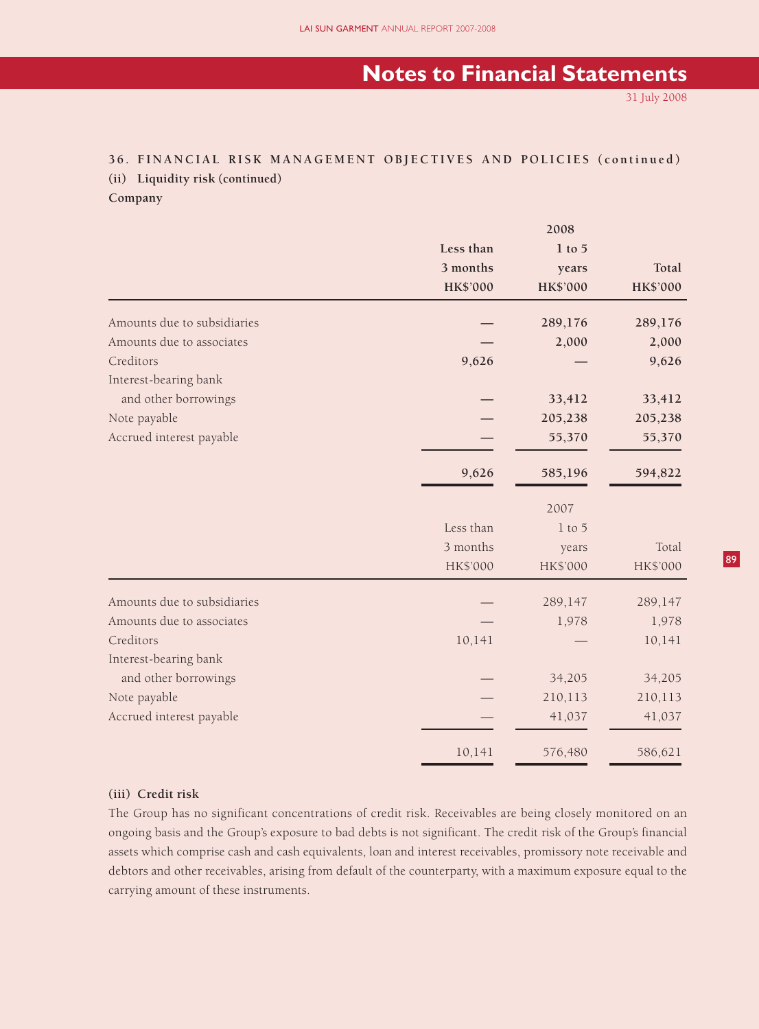31 July 2008

## **36. FINANCIAL RISK MANAGEMENT OBJECTIVES AND POLICIES (continued) (ii) Liquidity risk (continued)**

**Company**

|                             |                 | 2008            |                 |
|-----------------------------|-----------------|-----------------|-----------------|
|                             | Less than       | $1$ to 5        |                 |
|                             | 3 months        | years           | Total           |
|                             | <b>HK\$'000</b> | <b>HK\$'000</b> | <b>HK\$'000</b> |
| Amounts due to subsidiaries |                 | 289,176         | 289,176         |
| Amounts due to associates   |                 | 2,000           | 2,000           |
| Creditors                   | 9,626           |                 | 9,626           |
| Interest-bearing bank       |                 |                 |                 |
| and other borrowings        |                 | 33,412          | 33,412          |
| Note payable                |                 | 205,238         | 205,238         |
| Accrued interest payable    |                 | 55,370          | 55,370          |
|                             |                 |                 |                 |
|                             | 9,626           | 585,196         | 594,822         |
|                             |                 | 2007            |                 |
|                             | Less than       | $1$ to 5        |                 |
|                             | 3 months        | years           | Total           |
|                             | HK\$'000        | HK\$'000        | HK\$'000        |
| Amounts due to subsidiaries |                 | 289,147         | 289,147         |
| Amounts due to associates   |                 | 1,978           | 1,978           |
| Creditors                   | 10,141          |                 | 10,141          |
| Interest-bearing bank       |                 |                 |                 |
| and other borrowings        |                 | 34,205          | 34,205          |
| Note payable                |                 | 210,113         | 210,113         |
| Accrued interest payable    |                 | 41,037          | 41,037          |
|                             | 10,141          | 576,480         | 586,621         |
|                             |                 |                 |                 |

#### **(iii) Credit risk**

The Group has no significant concentrations of credit risk. Receivables are being closely monitored on an ongoing basis and the Group's exposure to bad debts is not significant. The credit risk of the Group's financial assets which comprise cash and cash equivalents, loan and interest receivables, promissory note receivable and debtors and other receivables, arising from default of the counterparty, with a maximum exposure equal to the carrying amount of these instruments.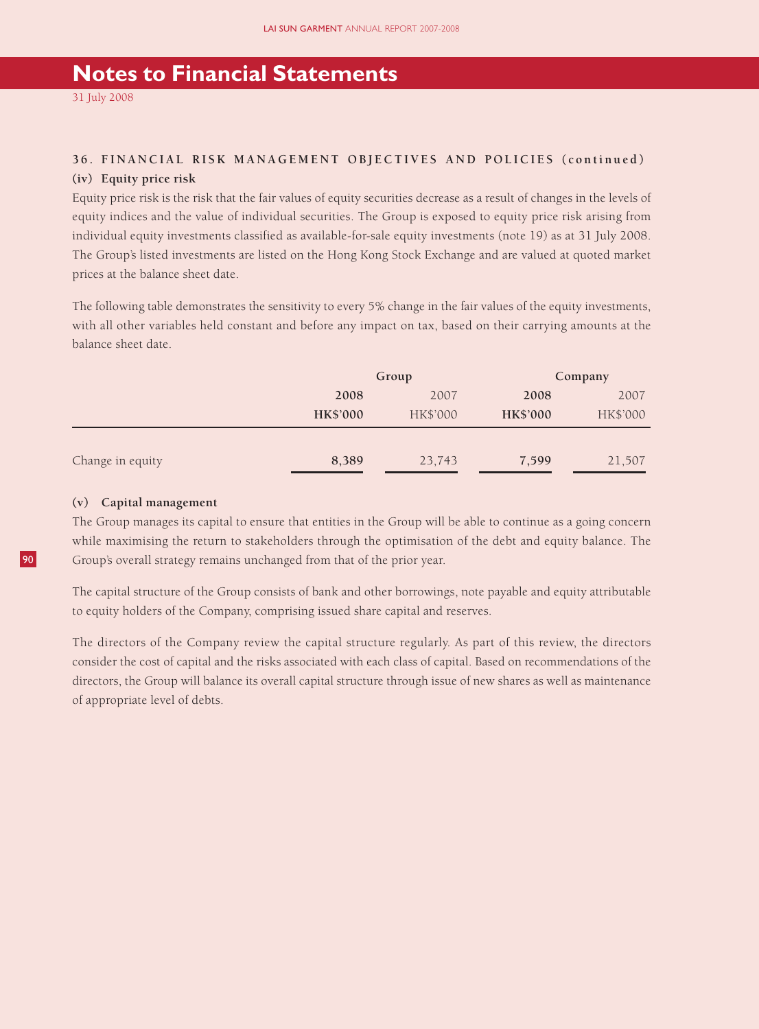31 July 2008

## **36. FINANCIAL RISK MANAGEMENT OBJECTIVES AND POLICIES (continued) (iv) Equity price risk**

Equity price risk is the risk that the fair values of equity securities decrease as a result of changes in the levels of equity indices and the value of individual securities. The Group is exposed to equity price risk arising from individual equity investments classified as available-for-sale equity investments (note 19) as at 31 July 2008. The Group's listed investments are listed on the Hong Kong Stock Exchange and are valued at quoted market prices at the balance sheet date.

The following table demonstrates the sensitivity to every 5% change in the fair values of the equity investments, with all other variables held constant and before any impact on tax, based on their carrying amounts at the balance sheet date.

|                  |                 | Group    |                 | Company  |  |
|------------------|-----------------|----------|-----------------|----------|--|
|                  | 2008            | 2007     | 2008            | 2007     |  |
|                  | <b>HK\$'000</b> | HK\$'000 | <b>HK\$'000</b> | HK\$'000 |  |
|                  |                 |          |                 |          |  |
| Change in equity | 8,389           | 23,743   | 7,599           | 21,507   |  |

### **(v) Capital management**

The Group manages its capital to ensure that entities in the Group will be able to continue as a going concern while maximising the return to stakeholders through the optimisation of the debt and equity balance. The Group's overall strategy remains unchanged from that of the prior year.

The capital structure of the Group consists of bank and other borrowings, note payable and equity attributable to equity holders of the Company, comprising issued share capital and reserves.

The directors of the Company review the capital structure regularly. As part of this review, the directors consider the cost of capital and the risks associated with each class of capital. Based on recommendations of the directors, the Group will balance its overall capital structure through issue of new shares as well as maintenance of appropriate level of debts.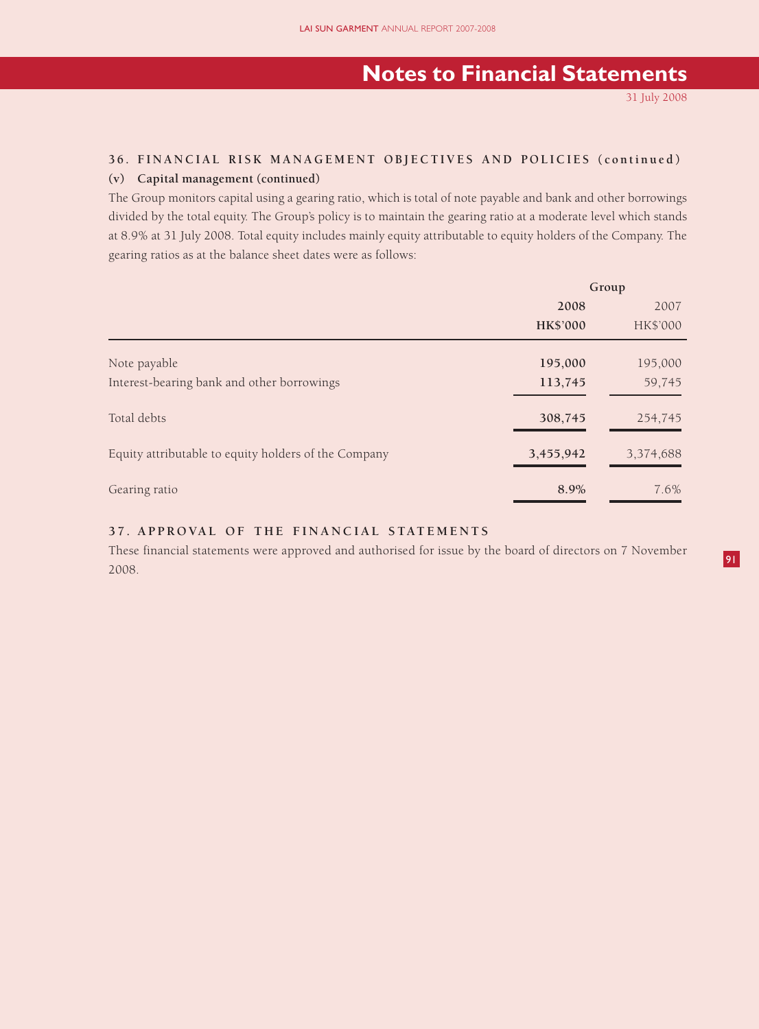31 July 2008

## **36. FINANCIAL RISK MANAGEMENT OBJECTIVES AND POLICIES (continued) (v) Capital management (continued)**

The Group monitors capital using a gearing ratio, which is total of note payable and bank and other borrowings divided by the total equity. The Group's policy is to maintain the gearing ratio at a moderate level which stands at 8.9% at 31 July 2008. Total equity includes mainly equity attributable to equity holders of the Company. The gearing ratios as at the balance sheet dates were as follows:

|                                                      | Group           |           |
|------------------------------------------------------|-----------------|-----------|
|                                                      | 2008            | 2007      |
|                                                      | <b>HK\$'000</b> | HK\$'000  |
| Note payable                                         | 195,000         | 195,000   |
|                                                      |                 |           |
| Interest-bearing bank and other borrowings           | 113,745         | 59,745    |
| Total debts                                          | 308,745         | 254,745   |
| Equity attributable to equity holders of the Company | 3,455,942       | 3,374,688 |
| Gearing ratio                                        | 8.9%            | 7.6%      |

## **37. APPROVAL OF THE FINANCIAL STATEMENTS**

These financial statements were approved and authorised for issue by the board of directors on 7 November 2008.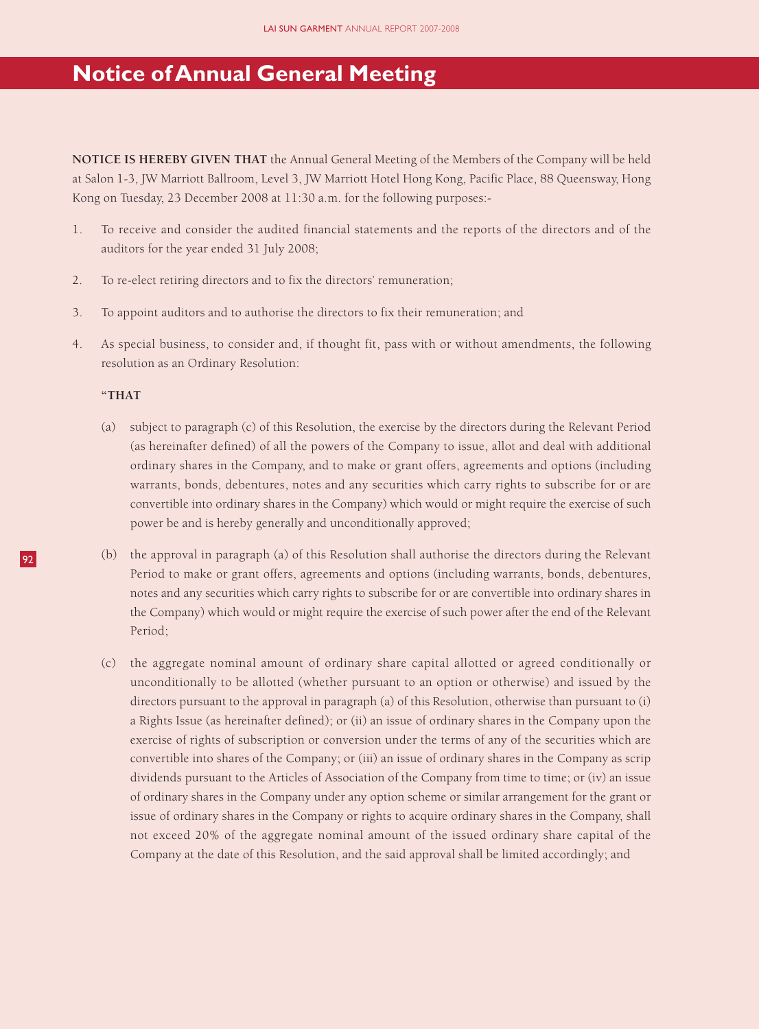# **Notice of Annual General Meeting**

**NOTICE IS HEREBY GIVEN THAT** the Annual General Meeting of the Members of the Company will be held at Salon 1-3, JW Marriott Ballroom, Level 3, JW Marriott Hotel Hong Kong, Pacific Place, 88 Queensway, Hong Kong on Tuesday, 23 December 2008 at 11:30 a.m. for the following purposes:-

- 1. To receive and consider the audited financial statements and the reports of the directors and of the auditors for the year ended 31 July 2008;
- 2. To re-elect retiring directors and to fix the directors' remuneration;
- 3. To appoint auditors and to authorise the directors to fix their remuneration; and
- 4. As special business, to consider and, if thought fit, pass with or without amendments, the following resolution as an Ordinary Resolution:

#### **"THAT**

- (a) subject to paragraph (c) of this Resolution, the exercise by the directors during the Relevant Period (as hereinafter defined) of all the powers of the Company to issue, allot and deal with additional ordinary shares in the Company, and to make or grant offers, agreements and options (including warrants, bonds, debentures, notes and any securities which carry rights to subscribe for or are convertible into ordinary shares in the Company) which would or might require the exercise of such power be and is hereby generally and unconditionally approved;
- (b) the approval in paragraph (a) of this Resolution shall authorise the directors during the Relevant Period to make or grant offers, agreements and options (including warrants, bonds, debentures, notes and any securities which carry rights to subscribe for or are convertible into ordinary shares in the Company) which would or might require the exercise of such power after the end of the Relevant Period;
- (c) the aggregate nominal amount of ordinary share capital allotted or agreed conditionally or unconditionally to be allotted (whether pursuant to an option or otherwise) and issued by the directors pursuant to the approval in paragraph (a) of this Resolution, otherwise than pursuant to (i) a Rights Issue (as hereinafter defined); or (ii) an issue of ordinary shares in the Company upon the exercise of rights of subscription or conversion under the terms of any of the securities which are convertible into shares of the Company; or (iii) an issue of ordinary shares in the Company as scrip dividends pursuant to the Articles of Association of the Company from time to time; or (iv) an issue of ordinary shares in the Company under any option scheme or similar arrangement for the grant or issue of ordinary shares in the Company or rights to acquire ordinary shares in the Company, shall not exceed 20% of the aggregate nominal amount of the issued ordinary share capital of the Company at the date of this Resolution, and the said approval shall be limited accordingly; and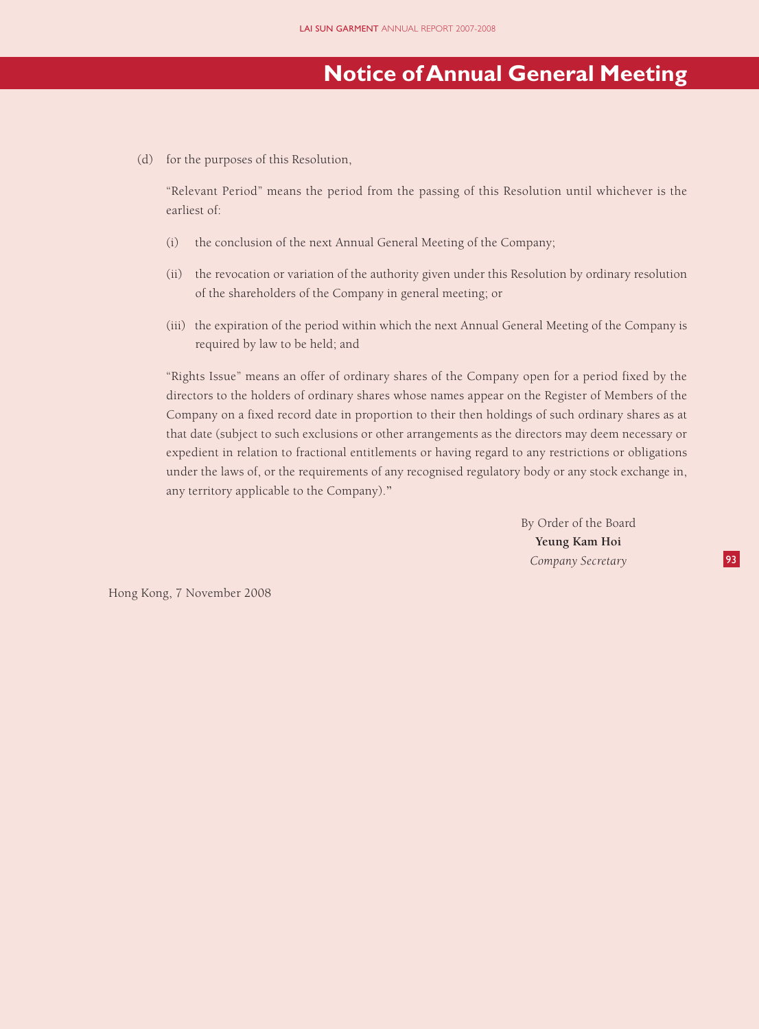# **Notice of Annual General Meeting**

(d) for the purposes of this Resolution,

"Relevant Period" means the period from the passing of this Resolution until whichever is the earliest of:

- (i) the conclusion of the next Annual General Meeting of the Company;
- (ii) the revocation or variation of the authority given under this Resolution by ordinary resolution of the shareholders of the Company in general meeting; or
- (iii) the expiration of the period within which the next Annual General Meeting of the Company is required by law to be held; and

"Rights Issue" means an offer of ordinary shares of the Company open for a period fixed by the directors to the holders of ordinary shares whose names appear on the Register of Members of the Company on a fixed record date in proportion to their then holdings of such ordinary shares as at that date (subject to such exclusions or other arrangements as the directors may deem necessary or expedient in relation to fractional entitlements or having regard to any restrictions or obligations under the laws of, or the requirements of any recognised regulatory body or any stock exchange in, any territory applicable to the Company).**"**

> By Order of the Board **Yeung Kam Hoi** *Company Secretary*

Hong Kong, 7 November 2008